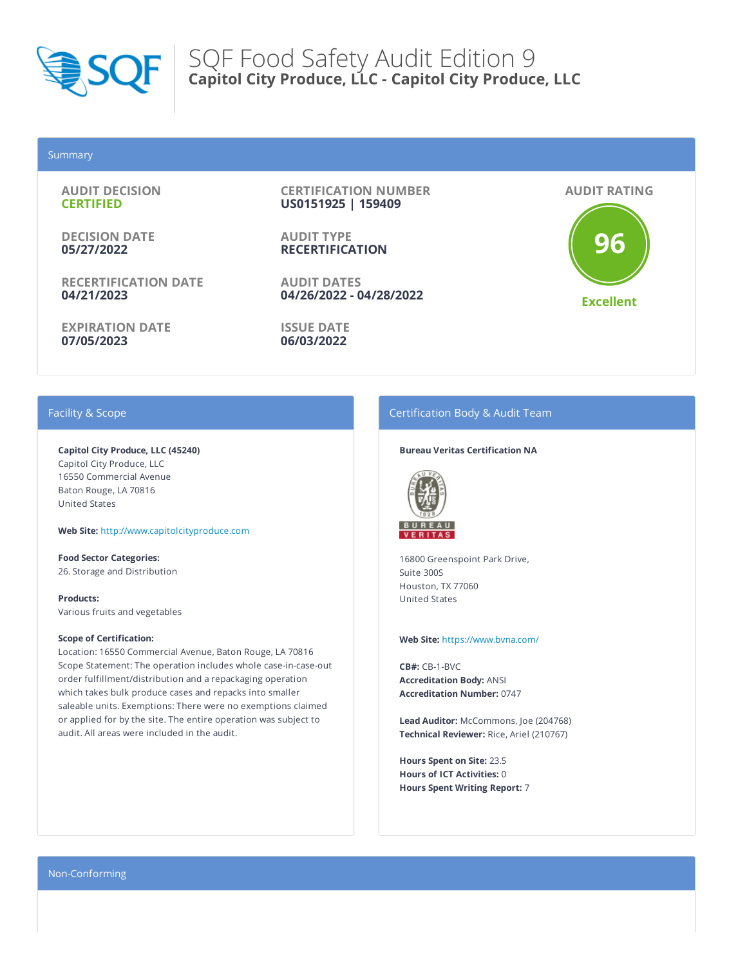

### Summary

**AUDIT DECISION CERTIFIED**

**DECISION DATE 05/27/2022**

**RECERTIFICATION DATE 04/21/2023**

**EXPIRATION DATE 07/05/2023**

**CERTIFICATION NUMBER US0151925 | 159409**

**AUDIT TYPE RECERTIFICATION**

**AUDIT DATES 04/26/2022 - 04/28/2022**

**ISSUE DATE 06/03/2022**

**AUDIT RATING**

**96 Excellent**

# Facility & Scope

**Capitol City Produce, LLC (45240)** Capitol City Produce, LLC 16550 Commercial Avenue Baton Rouge, LA 70816 United States

**Web Site:** http://www.capitolcityproduce.com

**Food Sector Categories:** 26. Storage and Distribution

**Products:** Various fruits and vegetables

#### **Scope of Certification:**

Location: 16550 Commercial Avenue, Baton Rouge, LA 70816 Scope Statement: The operation includes whole case-in-case-out order fulfillment/distribution and a repackaging operation which takes bulk produce cases and repacks into smaller saleable units. Exemptions: There were no exemptions claimed or applied for by the site. The entire operation was subject to audit. All areas were included in the audit.

# Certification Body & Audit Team

#### **Bureau Veritas Certification NA**



16800 Greenspoint Park Drive, Suite 300S Houston, TX 77060 United States

#### **Web Site:** https://www.bvna.com/

**CB#:** CB-1-BVC **Accreditation Body:** ANSI **Accreditation Number:** 0747

**Lead Auditor:** McCommons, Joe (204768) **Technical Reviewer:** Rice, Ariel (210767)

**Hours Spent on Site:** 23.5 **Hours of ICT Activities:** 0 **Hours Spent Writing Report:** 7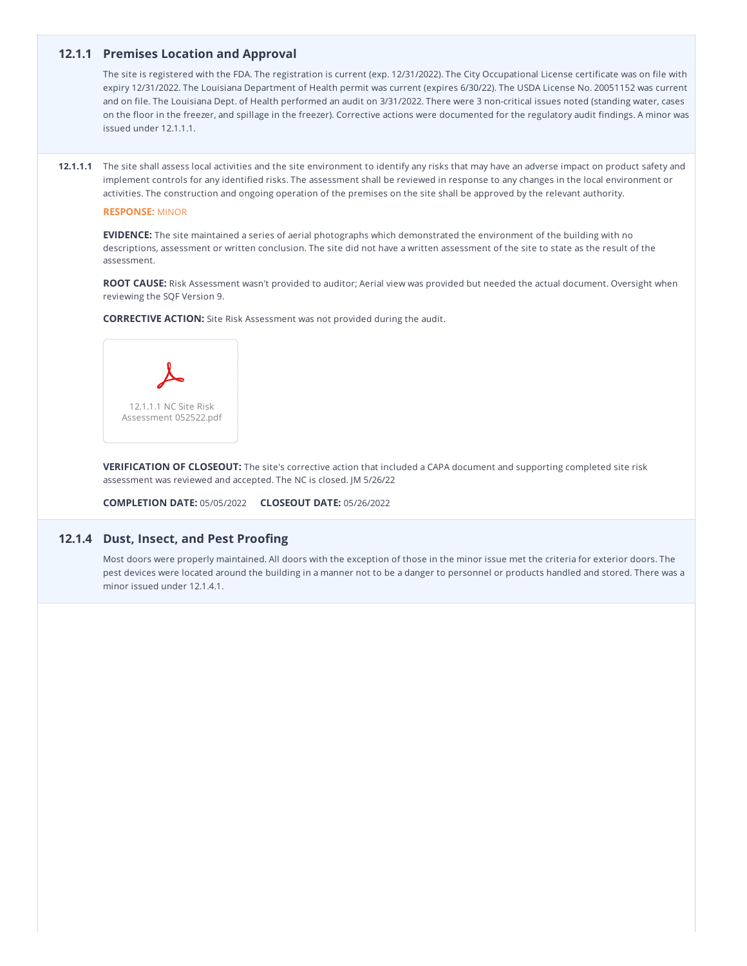# **12.1.1 Premises Location and Approval**

The site is registered with the FDA. The registration is current (exp. 12/31/2022). The City Occupational License certificate was on file with expiry 12/31/2022. The Louisiana Department of Health permit was current (expires 6/30/22). The USDA License No. 20051152 was current and on file. The Louisiana Dept. of Health performed an audit on 3/31/2022. There were 3 non-critical issues noted (standing water, cases on the floor in the freezer, and spillage in the freezer). Corrective actions were documented for the regulatory audit findings. A minor was issued under 12.1.1.1.

**12.1.1.1** The site shall assess local activities and the site environment to identify any risks that may have an adverse impact on product safety and implement controls for any identified risks. The assessment shall be reviewed in response to any changes in the local environment or activities. The construction and ongoing operation of the premises on the site shall be approved by the relevant authority.

#### **RESPONSE:** MINOR

**EVIDENCE:** The site maintained a series of aerial photographs which demonstrated the environment of the building with no descriptions, assessment or written conclusion. The site did not have a written assessment of the site to state as the result of the assessment.

**ROOT CAUSE:** Risk Assessment wasn't provided to auditor; Aerial view was provided but needed the actual document. Oversight when reviewing the SQF Version 9.

**CORRECTIVE ACTION:** Site Risk Assessment was not provided during the audit.



**VERIFICATION OF CLOSEOUT:** The site's corrective action that included a CAPA document and supporting completed site risk assessment was reviewed and accepted. The NC is closed. JM 5/26/22

**COMPLETION DATE:** 05/05/2022 **CLOSEOUT DATE:** 05/26/2022

# **12.1.4 Dust, Insect, and Pest Proofing**

Most doors were properly maintained. All doors with the exception of those in the minor issue met the criteria for exterior doors. The pest devices were located around the building in a manner not to be a danger to personnel or products handled and stored. There was a minor issued under 12.1.4.1.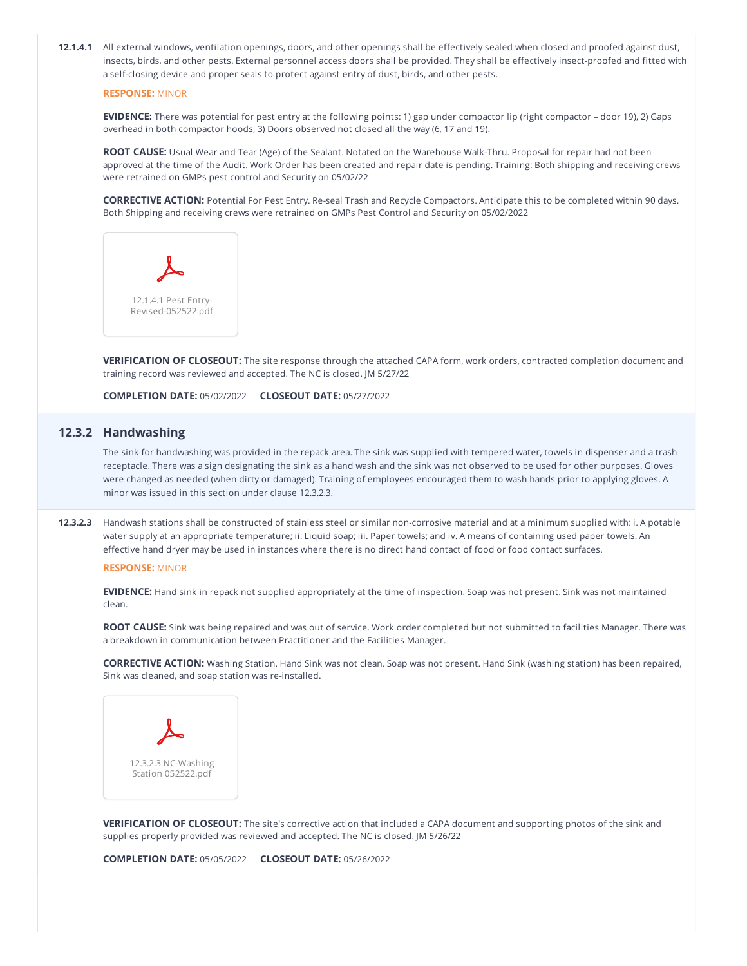**12.1.4.1** All external windows, ventilation openings, doors, and other openings shall be effectively sealed when closed and proofed against dust, insects, birds, and other pests. External personnel access doors shall be provided. They shall be effectively insect-proofed and fitted with a self-closing device and proper seals to protect against entry of dust, birds, and other pests.

#### **RESPONSE:** MINOR

**EVIDENCE:** There was potential for pest entry at the following points: 1) gap under compactor lip (right compactor – door 19), 2) Gaps overhead in both compactor hoods, 3) Doors observed not closed all the way (6, 17 and 19).

**ROOT CAUSE:** Usual Wear and Tear (Age) of the Sealant. Notated on the Warehouse Walk-Thru. Proposal for repair had not been approved at the time of the Audit. Work Order has been created and repair date is pending. Training: Both shipping and receiving crews were retrained on GMPs pest control and Security on 05/02/22

**CORRECTIVE ACTION:** Potential For Pest Entry. Re-seal Trash and Recycle Compactors. Anticipate this to be completed within 90 days. Both Shipping and receiving crews were retrained on GMPs Pest Control and Security on 05/02/2022



**VERIFICATION OF CLOSEOUT:** The site response through the attached CAPA form, work orders, contracted completion document and training record was reviewed and accepted. The NC is closed. JM 5/27/22

**COMPLETION DATE:** 05/02/2022 **CLOSEOUT DATE:** 05/27/2022

# **12.3.2 Handwashing**

The sink for handwashing was provided in the repack area. The sink was supplied with tempered water, towels in dispenser and a trash receptacle. There was a sign designating the sink as a hand wash and the sink was not observed to be used for other purposes. Gloves were changed as needed (when dirty or damaged). Training of employees encouraged them to wash hands prior to applying gloves. A minor was issued in this section under clause 12.3.2.3.

**12.3.2.3** Handwash stations shall be constructed of stainless steel or similar non-corrosive material and at a minimum supplied with: i. A potable water supply at an appropriate temperature; ii. Liquid soap; iii. Paper towels; and iv. A means of containing used paper towels. An effective hand dryer may be used in instances where there is no direct hand contact of food or food contact surfaces.

### **RESPONSE:** MINOR

**EVIDENCE:** Hand sink in repack not supplied appropriately at the time of inspection. Soap was not present. Sink was not maintained clean.

**ROOT CAUSE:** Sink was being repaired and was out of service. Work order completed but not submitted to facilities Manager. There was a breakdown in communication between Practitioner and the Facilities Manager.

**CORRECTIVE ACTION:** Washing Station. Hand Sink was not clean. Soap was not present. Hand Sink (washing station) has been repaired, Sink was cleaned, and soap station was re-installed.



**VERIFICATION OF CLOSEOUT:** The site's corrective action that included a CAPA document and supporting photos of the sink and supplies properly provided was reviewed and accepted. The NC is closed. JM 5/26/22

**COMPLETION DATE:** 05/05/2022 **CLOSEOUT DATE:** 05/26/2022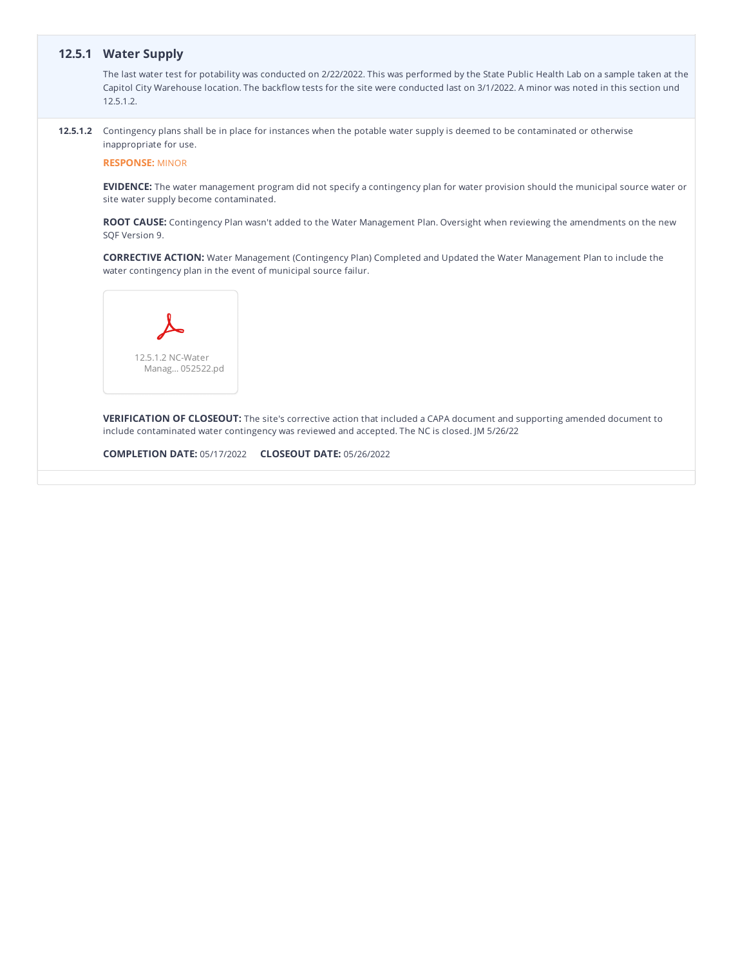# **12.5.1 Water Supply**

The last water test for potability was conducted on 2/22/2022. This was performed by the State Public Health Lab on a sample taken at the Capitol City Warehouse location. The backflow tests for the site were conducted last on 3/1/2022. A minor was noted in this section und 12.5.1.2.

**12.5.1.2** Contingency plans shall be in place for instances when the potable water supply is deemed to be contaminated or otherwise inappropriate for use.

**RESPONSE:** MINOR

**EVIDENCE:** The water management program did not specify a contingency plan for water provision should the municipal source water or site water supply become contaminated.

**ROOT CAUSE:** Contingency Plan wasn't added to the Water Management Plan. Oversight when reviewing the amendments on the new SQF Version 9.

**CORRECTIVE ACTION:** Water Management (Contingency Plan) Completed and Updated the Water Management Plan to include the water contingency plan in the event of municipal source failur.



**VERIFICATION OF CLOSEOUT:** The site's corrective action that included a CAPA document and supporting amended document to include contaminated water contingency was reviewed and accepted. The NC is closed. JM 5/26/22

**COMPLETION DATE:** 05/17/2022 **CLOSEOUT DATE:** 05/26/2022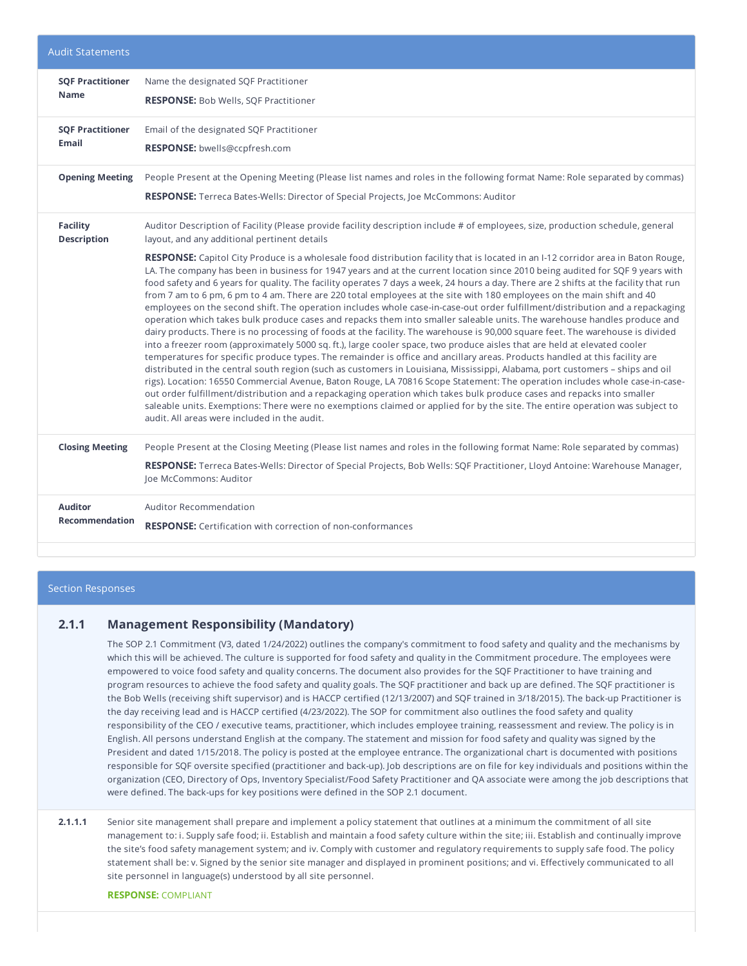| <b>Audit Statements</b> |                                                                                                                                                                                                                                                                                                                                                                                                                                                                                                                                                                                                                                                                                                                                                                                                                                                                                                                                                                                                                                                                                                                                                                                                                                                                                                                                                                                                                                                                                                                                                                                                                                                                                                                                                                            |
|-------------------------|----------------------------------------------------------------------------------------------------------------------------------------------------------------------------------------------------------------------------------------------------------------------------------------------------------------------------------------------------------------------------------------------------------------------------------------------------------------------------------------------------------------------------------------------------------------------------------------------------------------------------------------------------------------------------------------------------------------------------------------------------------------------------------------------------------------------------------------------------------------------------------------------------------------------------------------------------------------------------------------------------------------------------------------------------------------------------------------------------------------------------------------------------------------------------------------------------------------------------------------------------------------------------------------------------------------------------------------------------------------------------------------------------------------------------------------------------------------------------------------------------------------------------------------------------------------------------------------------------------------------------------------------------------------------------------------------------------------------------------------------------------------------------|
| <b>SQF Practitioner</b> | Name the designated SQF Practitioner                                                                                                                                                                                                                                                                                                                                                                                                                                                                                                                                                                                                                                                                                                                                                                                                                                                                                                                                                                                                                                                                                                                                                                                                                                                                                                                                                                                                                                                                                                                                                                                                                                                                                                                                       |
| <b>Name</b>             | <b>RESPONSE:</b> Bob Wells, SQF Practitioner                                                                                                                                                                                                                                                                                                                                                                                                                                                                                                                                                                                                                                                                                                                                                                                                                                                                                                                                                                                                                                                                                                                                                                                                                                                                                                                                                                                                                                                                                                                                                                                                                                                                                                                               |
| <b>SQF Practitioner</b> | Email of the designated SQF Practitioner                                                                                                                                                                                                                                                                                                                                                                                                                                                                                                                                                                                                                                                                                                                                                                                                                                                                                                                                                                                                                                                                                                                                                                                                                                                                                                                                                                                                                                                                                                                                                                                                                                                                                                                                   |
| <b>Email</b>            | RESPONSE: bwells@ccpfresh.com                                                                                                                                                                                                                                                                                                                                                                                                                                                                                                                                                                                                                                                                                                                                                                                                                                                                                                                                                                                                                                                                                                                                                                                                                                                                                                                                                                                                                                                                                                                                                                                                                                                                                                                                              |
| <b>Opening Meeting</b>  | People Present at the Opening Meeting (Please list names and roles in the following format Name: Role separated by commas)<br><b>RESPONSE:</b> Terreca Bates-Wells: Director of Special Projects, Joe McCommons: Auditor                                                                                                                                                                                                                                                                                                                                                                                                                                                                                                                                                                                                                                                                                                                                                                                                                                                                                                                                                                                                                                                                                                                                                                                                                                                                                                                                                                                                                                                                                                                                                   |
| <b>Facility</b>         | Auditor Description of Facility (Please provide facility description include # of employees, size, production schedule, general                                                                                                                                                                                                                                                                                                                                                                                                                                                                                                                                                                                                                                                                                                                                                                                                                                                                                                                                                                                                                                                                                                                                                                                                                                                                                                                                                                                                                                                                                                                                                                                                                                            |
| <b>Description</b>      | layout, and any additional pertinent details                                                                                                                                                                                                                                                                                                                                                                                                                                                                                                                                                                                                                                                                                                                                                                                                                                                                                                                                                                                                                                                                                                                                                                                                                                                                                                                                                                                                                                                                                                                                                                                                                                                                                                                               |
|                         | RESPONSE: Capitol City Produce is a wholesale food distribution facility that is located in an I-12 corridor area in Baton Rouge,<br>LA. The company has been in business for 1947 years and at the current location since 2010 being audited for SQF 9 years with<br>food safety and 6 years for quality. The facility operates 7 days a week, 24 hours a day. There are 2 shifts at the facility that run<br>from 7 am to 6 pm, 6 pm to 4 am. There are 220 total employees at the site with 180 employees on the main shift and 40<br>employees on the second shift. The operation includes whole case-in-case-out order fulfillment/distribution and a repackaging<br>operation which takes bulk produce cases and repacks them into smaller saleable units. The warehouse handles produce and<br>dairy products. There is no processing of foods at the facility. The warehouse is 90,000 square feet. The warehouse is divided<br>into a freezer room (approximately 5000 sq. ft.), large cooler space, two produce aisles that are held at elevated cooler<br>temperatures for specific produce types. The remainder is office and ancillary areas. Products handled at this facility are<br>distributed in the central south region (such as customers in Louisiana, Mississippi, Alabama, port customers - ships and oil<br>rigs). Location: 16550 Commercial Avenue, Baton Rouge, LA 70816 Scope Statement: The operation includes whole case-in-case-<br>out order fulfillment/distribution and a repackaging operation which takes bulk produce cases and repacks into smaller<br>saleable units. Exemptions: There were no exemptions claimed or applied for by the site. The entire operation was subject to<br>audit. All areas were included in the audit. |
| <b>Closing Meeting</b>  | People Present at the Closing Meeting (Please list names and roles in the following format Name: Role separated by commas)<br>RESPONSE: Terreca Bates-Wells: Director of Special Projects, Bob Wells: SQF Practitioner, Lloyd Antoine: Warehouse Manager,<br>Joe McCommons: Auditor                                                                                                                                                                                                                                                                                                                                                                                                                                                                                                                                                                                                                                                                                                                                                                                                                                                                                                                                                                                                                                                                                                                                                                                                                                                                                                                                                                                                                                                                                        |
| <b>Auditor</b>          | <b>Auditor Recommendation</b>                                                                                                                                                                                                                                                                                                                                                                                                                                                                                                                                                                                                                                                                                                                                                                                                                                                                                                                                                                                                                                                                                                                                                                                                                                                                                                                                                                                                                                                                                                                                                                                                                                                                                                                                              |
| <b>Recommendation</b>   | <b>RESPONSE:</b> Certification with correction of non-conformances                                                                                                                                                                                                                                                                                                                                                                                                                                                                                                                                                                                                                                                                                                                                                                                                                                                                                                                                                                                                                                                                                                                                                                                                                                                                                                                                                                                                                                                                                                                                                                                                                                                                                                         |

### Section Responses

# **2.1.1 Management Responsibility (Mandatory)**

The SOP 2.1 Commitment (V3, dated 1/24/2022) outlines the company's commitment to food safety and quality and the mechanisms by which this will be achieved. The culture is supported for food safety and quality in the Commitment procedure. The employees were empowered to voice food safety and quality concerns. The document also provides for the SQF Practitioner to have training and program resources to achieve the food safety and quality goals. The SQF practitioner and back up are defined. The SQF practitioner is the Bob Wells (receiving shift supervisor) and is HACCP certified (12/13/2007) and SQF trained in 3/18/2015). The back-up Practitioner is the day receiving lead and is HACCP certified (4/23/2022). The SOP for commitment also outlines the food safety and quality responsibility of the CEO / executive teams, practitioner, which includes employee training, reassessment and review. The policy is in English. All persons understand English at the company. The statement and mission for food safety and quality was signed by the President and dated 1/15/2018. The policy is posted at the employee entrance. The organizational chart is documented with positions responsible for SQF oversite specified (practitioner and back-up). Job descriptions are on file for key individuals and positions within the organization (CEO, Directory of Ops, Inventory Specialist/Food Safety Practitioner and QA associate were among the job descriptions that were defined. The back-ups for key positions were defined in the SOP 2.1 document.

**2.1.1.1** Senior site management shall prepare and implement a policy statement that outlines at a minimum the commitment of all site management to: i. Supply safe food; ii. Establish and maintain a food safety culture within the site; iii. Establish and continually improve the site's food safety management system; and iv. Comply with customer and regulatory requirements to supply safe food. The policy statement shall be: v. Signed by the senior site manager and displayed in prominent positions; and vi. Effectively communicated to all site personnel in language(s) understood by all site personnel.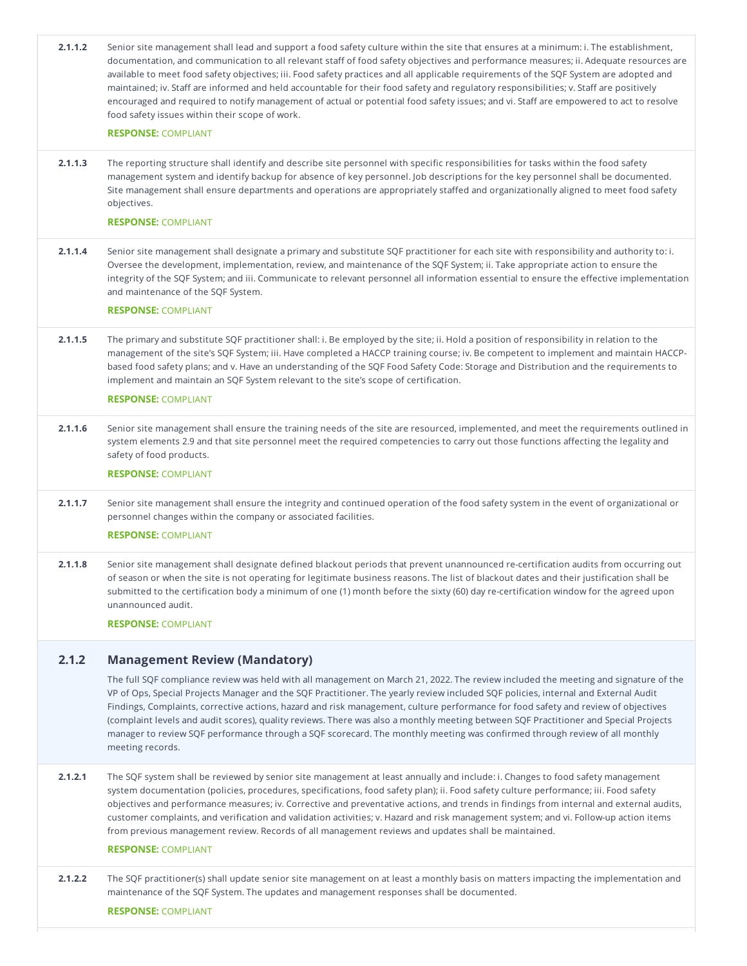| 2.1.1.2 | Senior site management shall lead and support a food safety culture within the site that ensures at a minimum: i. The establishment,<br>documentation, and communication to all relevant staff of food safety objectives and performance measures; ii. Adequate resources are<br>available to meet food safety objectives; iii. Food safety practices and all applicable requirements of the SQF System are adopted and<br>maintained; iv. Staff are informed and held accountable for their food safety and regulatory responsibilities; v. Staff are positively<br>encouraged and required to notify management of actual or potential food safety issues; and vi. Staff are empowered to act to resolve<br>food safety issues within their scope of work. |
|---------|--------------------------------------------------------------------------------------------------------------------------------------------------------------------------------------------------------------------------------------------------------------------------------------------------------------------------------------------------------------------------------------------------------------------------------------------------------------------------------------------------------------------------------------------------------------------------------------------------------------------------------------------------------------------------------------------------------------------------------------------------------------|
|         | <b>RESPONSE: COMPLIANT</b>                                                                                                                                                                                                                                                                                                                                                                                                                                                                                                                                                                                                                                                                                                                                   |
| 2.1.1.3 | The reporting structure shall identify and describe site personnel with specific responsibilities for tasks within the food safety<br>management system and identify backup for absence of key personnel. Job descriptions for the key personnel shall be documented.<br>Site management shall ensure departments and operations are appropriately staffed and organizationally aligned to meet food safety<br>objectives.                                                                                                                                                                                                                                                                                                                                   |
|         | <b>RESPONSE: COMPLIANT</b>                                                                                                                                                                                                                                                                                                                                                                                                                                                                                                                                                                                                                                                                                                                                   |
| 2.1.1.4 | Senior site management shall designate a primary and substitute SQF practitioner for each site with responsibility and authority to: i.<br>Oversee the development, implementation, review, and maintenance of the SQF System; ii. Take appropriate action to ensure the<br>integrity of the SQF System; and iii. Communicate to relevant personnel all information essential to ensure the effective implementation<br>and maintenance of the SQF System.                                                                                                                                                                                                                                                                                                   |
|         | <b>RESPONSE: COMPLIANT</b>                                                                                                                                                                                                                                                                                                                                                                                                                                                                                                                                                                                                                                                                                                                                   |
| 2.1.1.5 | The primary and substitute SQF practitioner shall: i. Be employed by the site; ii. Hold a position of responsibility in relation to the<br>management of the site's SQF System; iii. Have completed a HACCP training course; iv. Be competent to implement and maintain HACCP-<br>based food safety plans; and v. Have an understanding of the SQF Food Safety Code: Storage and Distribution and the requirements to<br>implement and maintain an SQF System relevant to the site's scope of certification.<br><b>RESPONSE: COMPLIANT</b>                                                                                                                                                                                                                   |
|         |                                                                                                                                                                                                                                                                                                                                                                                                                                                                                                                                                                                                                                                                                                                                                              |
| 2.1.1.6 | Senior site management shall ensure the training needs of the site are resourced, implemented, and meet the requirements outlined in<br>system elements 2.9 and that site personnel meet the required competencies to carry out those functions affecting the legality and<br>safety of food products.                                                                                                                                                                                                                                                                                                                                                                                                                                                       |
|         | <b>RESPONSE: COMPLIANT</b>                                                                                                                                                                                                                                                                                                                                                                                                                                                                                                                                                                                                                                                                                                                                   |
| 2.1.1.7 | Senior site management shall ensure the integrity and continued operation of the food safety system in the event of organizational or<br>personnel changes within the company or associated facilities.                                                                                                                                                                                                                                                                                                                                                                                                                                                                                                                                                      |
|         | <b>RESPONSE: COMPLIANT</b>                                                                                                                                                                                                                                                                                                                                                                                                                                                                                                                                                                                                                                                                                                                                   |
| 2.1.1.8 | Senior site management shall designate defined blackout periods that prevent unannounced re-certification audits from occurring out<br>of season or when the site is not operating for legitimate business reasons. The list of blackout dates and their justification shall be<br>submitted to the certification body a minimum of one (1) month before the sixty (60) day re-certification window for the agreed upon<br>unannounced audit.                                                                                                                                                                                                                                                                                                                |
|         | <b>RESPONSE: COMPLIANT</b>                                                                                                                                                                                                                                                                                                                                                                                                                                                                                                                                                                                                                                                                                                                                   |
| 2.1.2   | <b>Management Review (Mandatory)</b>                                                                                                                                                                                                                                                                                                                                                                                                                                                                                                                                                                                                                                                                                                                         |
|         | The full SQF compliance review was held with all management on March 21, 2022. The review included the meeting and signature of the<br>VP of Ops, Special Projects Manager and the SQF Practitioner. The yearly review included SQF policies, internal and External Audit<br>Findings, Complaints, corrective actions, hazard and risk management, culture performance for food safety and review of objectives<br>(complaint levels and audit scores), quality reviews. There was also a monthly meeting between SQF Practitioner and Special Projects<br>manager to review SQF performance through a SQF scorecard. The monthly meeting was confirmed through review of all monthly<br>meeting records.                                                    |
| 2.1.2.1 | The SQF system shall be reviewed by senior site management at least annually and include: i. Changes to food safety management<br>system documentation (policies, procedures, specifications, food safety plan); ii. Food safety culture performance; iii. Food safety<br>objectives and performance measures; iv. Corrective and preventative actions, and trends in findings from internal and external audits,<br>customer complaints, and verification and validation activities; v. Hazard and risk management system; and vi. Follow-up action items<br>from previous management review. Records of all management reviews and updates shall be maintained.<br><b>RESPONSE: COMPLIANT</b>                                                              |
| 2.1.2.2 | The SQF practitioner(s) shall update senior site management on at least a monthly basis on matters impacting the implementation and<br>maintenance of the SQF System. The updates and management responses shall be documented.<br><b>RESPONSE: COMPLIANT</b>                                                                                                                                                                                                                                                                                                                                                                                                                                                                                                |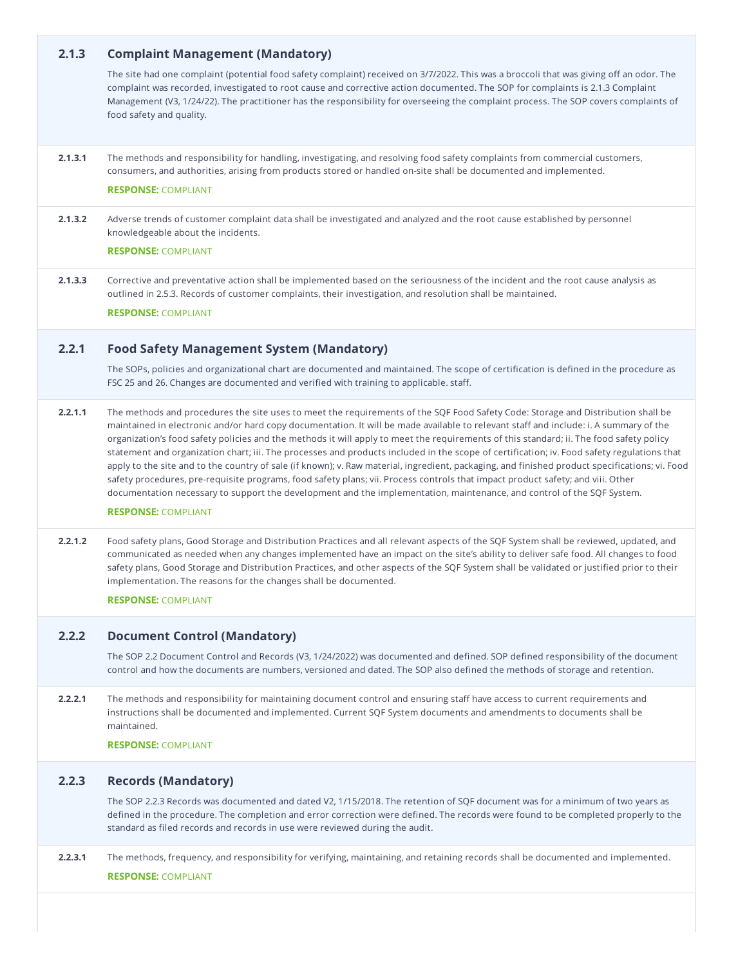| 2.1.3   | <b>Complaint Management (Mandatory)</b>                                                                                                                                                                                                                                                                                                                                                                                                                                                                                                                                                                                                                                                                                                                                                                                                                                                                                                                                                                         |
|---------|-----------------------------------------------------------------------------------------------------------------------------------------------------------------------------------------------------------------------------------------------------------------------------------------------------------------------------------------------------------------------------------------------------------------------------------------------------------------------------------------------------------------------------------------------------------------------------------------------------------------------------------------------------------------------------------------------------------------------------------------------------------------------------------------------------------------------------------------------------------------------------------------------------------------------------------------------------------------------------------------------------------------|
|         | The site had one complaint (potential food safety complaint) received on 3/7/2022. This was a broccoli that was giving off an odor. The<br>complaint was recorded, investigated to root cause and corrective action documented. The SOP for complaints is 2.1.3 Complaint<br>Management (V3, 1/24/22). The practitioner has the responsibility for overseeing the complaint process. The SOP covers complaints of<br>food safety and quality.                                                                                                                                                                                                                                                                                                                                                                                                                                                                                                                                                                   |
| 2.1.3.1 | The methods and responsibility for handling, investigating, and resolving food safety complaints from commercial customers,<br>consumers, and authorities, arising from products stored or handled on-site shall be documented and implemented.<br><b>RESPONSE: COMPLIANT</b>                                                                                                                                                                                                                                                                                                                                                                                                                                                                                                                                                                                                                                                                                                                                   |
| 2.1.3.2 | Adverse trends of customer complaint data shall be investigated and analyzed and the root cause established by personnel<br>knowledgeable about the incidents.<br><b>RESPONSE: COMPLIANT</b>                                                                                                                                                                                                                                                                                                                                                                                                                                                                                                                                                                                                                                                                                                                                                                                                                    |
| 2.1.3.3 | Corrective and preventative action shall be implemented based on the seriousness of the incident and the root cause analysis as<br>outlined in 2.5.3. Records of customer complaints, their investigation, and resolution shall be maintained.<br><b>RESPONSE: COMPLIANT</b>                                                                                                                                                                                                                                                                                                                                                                                                                                                                                                                                                                                                                                                                                                                                    |
| 2.2.1   | <b>Food Safety Management System (Mandatory)</b>                                                                                                                                                                                                                                                                                                                                                                                                                                                                                                                                                                                                                                                                                                                                                                                                                                                                                                                                                                |
|         | The SOPs, policies and organizational chart are documented and maintained. The scope of certification is defined in the procedure as<br>FSC 25 and 26. Changes are documented and verified with training to applicable. staff.                                                                                                                                                                                                                                                                                                                                                                                                                                                                                                                                                                                                                                                                                                                                                                                  |
| 2.2.1.1 | The methods and procedures the site uses to meet the requirements of the SQF Food Safety Code: Storage and Distribution shall be<br>maintained in electronic and/or hard copy documentation. It will be made available to relevant staff and include: i. A summary of the<br>organization's food safety policies and the methods it will apply to meet the requirements of this standard; ii. The food safety policy<br>statement and organization chart; iii. The processes and products included in the scope of certification; iv. Food safety regulations that<br>apply to the site and to the country of sale (if known); v. Raw material, ingredient, packaging, and finished product specifications; vi. Food<br>safety procedures, pre-requisite programs, food safety plans; vii. Process controls that impact product safety; and viii. Other<br>documentation necessary to support the development and the implementation, maintenance, and control of the SQF System.<br><b>RESPONSE: COMPLIANT</b> |
| 2.2.1.2 | Food safety plans, Good Storage and Distribution Practices and all relevant aspects of the SQF System shall be reviewed, updated, and<br>communicated as needed when any changes implemented have an impact on the site's ability to deliver safe food. All changes to food<br>safety plans, Good Storage and Distribution Practices, and other aspects of the SQF System shall be validated or justified prior to their<br>implementation. The reasons for the changes shall be documented.<br><b>RESPONSE: COMPLIANT</b>                                                                                                                                                                                                                                                                                                                                                                                                                                                                                      |
| 2.2.2   | <b>Document Control (Mandatory)</b>                                                                                                                                                                                                                                                                                                                                                                                                                                                                                                                                                                                                                                                                                                                                                                                                                                                                                                                                                                             |
|         | The SOP 2.2 Document Control and Records (V3, 1/24/2022) was documented and defined. SOP defined responsibility of the document<br>control and how the documents are numbers, versioned and dated. The SOP also defined the methods of storage and retention.                                                                                                                                                                                                                                                                                                                                                                                                                                                                                                                                                                                                                                                                                                                                                   |
| 2.2.2.1 | The methods and responsibility for maintaining document control and ensuring staff have access to current requirements and<br>instructions shall be documented and implemented. Current SQF System documents and amendments to documents shall be<br>maintained.<br><b>RESPONSE: COMPLIANT</b>                                                                                                                                                                                                                                                                                                                                                                                                                                                                                                                                                                                                                                                                                                                  |
| 2.2.3   | <b>Records (Mandatory)</b>                                                                                                                                                                                                                                                                                                                                                                                                                                                                                                                                                                                                                                                                                                                                                                                                                                                                                                                                                                                      |
|         | The SOP 2.2.3 Records was documented and dated V2, 1/15/2018. The retention of SQF document was for a minimum of two years as<br>defined in the procedure. The completion and error correction were defined. The records were found to be completed properly to the<br>standard as filed records and records in use were reviewed during the audit.                                                                                                                                                                                                                                                                                                                                                                                                                                                                                                                                                                                                                                                             |
| 2.2.3.1 | The methods, frequency, and responsibility for verifying, maintaining, and retaining records shall be documented and implemented.                                                                                                                                                                                                                                                                                                                                                                                                                                                                                                                                                                                                                                                                                                                                                                                                                                                                               |
|         | <b>RESPONSE: COMPLIANT</b>                                                                                                                                                                                                                                                                                                                                                                                                                                                                                                                                                                                                                                                                                                                                                                                                                                                                                                                                                                                      |

г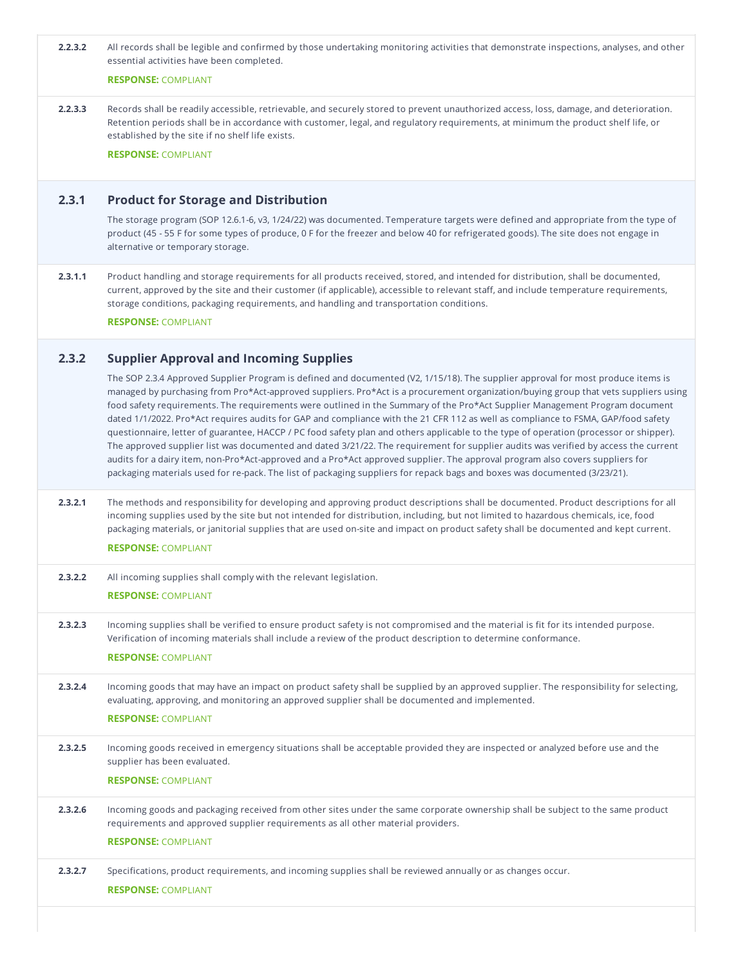| 2.2.3.2 | All records shall be legible and confirmed by those undertaking monitoring activities that demonstrate inspections, analyses, and other<br>essential activities have been completed.                                                                                                                                                                                                                                                                                                                                                                                                                                                                                                                                                                                                                                                                                                                                                                                                                                                                                                       |
|---------|--------------------------------------------------------------------------------------------------------------------------------------------------------------------------------------------------------------------------------------------------------------------------------------------------------------------------------------------------------------------------------------------------------------------------------------------------------------------------------------------------------------------------------------------------------------------------------------------------------------------------------------------------------------------------------------------------------------------------------------------------------------------------------------------------------------------------------------------------------------------------------------------------------------------------------------------------------------------------------------------------------------------------------------------------------------------------------------------|
|         | <b>RESPONSE: COMPLIANT</b>                                                                                                                                                                                                                                                                                                                                                                                                                                                                                                                                                                                                                                                                                                                                                                                                                                                                                                                                                                                                                                                                 |
| 2.2.3.3 | Records shall be readily accessible, retrievable, and securely stored to prevent unauthorized access, loss, damage, and deterioration.<br>Retention periods shall be in accordance with customer, legal, and regulatory requirements, at minimum the product shelf life, or<br>established by the site if no shelf life exists.<br><b>RESPONSE: COMPLIANT</b>                                                                                                                                                                                                                                                                                                                                                                                                                                                                                                                                                                                                                                                                                                                              |
| 2.3.1   | <b>Product for Storage and Distribution</b>                                                                                                                                                                                                                                                                                                                                                                                                                                                                                                                                                                                                                                                                                                                                                                                                                                                                                                                                                                                                                                                |
|         | The storage program (SOP 12.6.1-6, v3, 1/24/22) was documented. Temperature targets were defined and appropriate from the type of<br>product (45 - 55 F for some types of produce, 0 F for the freezer and below 40 for refrigerated goods). The site does not engage in<br>alternative or temporary storage.                                                                                                                                                                                                                                                                                                                                                                                                                                                                                                                                                                                                                                                                                                                                                                              |
| 2.3.1.1 | Product handling and storage requirements for all products received, stored, and intended for distribution, shall be documented,<br>current, approved by the site and their customer (if applicable), accessible to relevant staff, and include temperature requirements,<br>storage conditions, packaging requirements, and handling and transportation conditions.<br><b>RESPONSE: COMPLIANT</b>                                                                                                                                                                                                                                                                                                                                                                                                                                                                                                                                                                                                                                                                                         |
| 2.3.2   | <b>Supplier Approval and Incoming Supplies</b>                                                                                                                                                                                                                                                                                                                                                                                                                                                                                                                                                                                                                                                                                                                                                                                                                                                                                                                                                                                                                                             |
|         | The SOP 2.3.4 Approved Supplier Program is defined and documented (V2, 1/15/18). The supplier approval for most produce items is<br>managed by purchasing from Pro*Act-approved suppliers. Pro*Act is a procurement organization/buying group that vets suppliers using<br>food safety requirements. The requirements were outlined in the Summary of the Pro*Act Supplier Management Program document<br>dated 1/1/2022. Pro*Act requires audits for GAP and compliance with the 21 CFR 112 as well as compliance to FSMA, GAP/food safety<br>questionnaire, letter of guarantee, HACCP / PC food safety plan and others applicable to the type of operation (processor or shipper).<br>The approved supplier list was documented and dated 3/21/22. The requirement for supplier audits was verified by access the current<br>audits for a dairy item, non-Pro*Act-approved and a Pro*Act approved supplier. The approval program also covers suppliers for<br>packaging materials used for re-pack. The list of packaging suppliers for repack bags and boxes was documented (3/23/21). |
| 2.3.2.1 | The methods and responsibility for developing and approving product descriptions shall be documented. Product descriptions for all<br>incoming supplies used by the site but not intended for distribution, including, but not limited to hazardous chemicals, ice, food<br>packaging materials, or janitorial supplies that are used on-site and impact on product safety shall be documented and kept current.<br><b>RESPONSE: COMPLIANT</b>                                                                                                                                                                                                                                                                                                                                                                                                                                                                                                                                                                                                                                             |
| 2.3.2.2 | All incoming supplies shall comply with the relevant legislation.                                                                                                                                                                                                                                                                                                                                                                                                                                                                                                                                                                                                                                                                                                                                                                                                                                                                                                                                                                                                                          |
|         | <b>RESPONSE: COMPLIANT</b>                                                                                                                                                                                                                                                                                                                                                                                                                                                                                                                                                                                                                                                                                                                                                                                                                                                                                                                                                                                                                                                                 |
| 2.3.2.3 | Incoming supplies shall be verified to ensure product safety is not compromised and the material is fit for its intended purpose.<br>Verification of incoming materials shall include a review of the product description to determine conformance.<br><b>RESPONSE: COMPLIANT</b>                                                                                                                                                                                                                                                                                                                                                                                                                                                                                                                                                                                                                                                                                                                                                                                                          |
| 2.3.2.4 | Incoming goods that may have an impact on product safety shall be supplied by an approved supplier. The responsibility for selecting,<br>evaluating, approving, and monitoring an approved supplier shall be documented and implemented.                                                                                                                                                                                                                                                                                                                                                                                                                                                                                                                                                                                                                                                                                                                                                                                                                                                   |
|         | <b>RESPONSE: COMPLIANT</b>                                                                                                                                                                                                                                                                                                                                                                                                                                                                                                                                                                                                                                                                                                                                                                                                                                                                                                                                                                                                                                                                 |
| 2.3.2.5 | Incoming goods received in emergency situations shall be acceptable provided they are inspected or analyzed before use and the<br>supplier has been evaluated.                                                                                                                                                                                                                                                                                                                                                                                                                                                                                                                                                                                                                                                                                                                                                                                                                                                                                                                             |
|         | <b>RESPONSE: COMPLIANT</b>                                                                                                                                                                                                                                                                                                                                                                                                                                                                                                                                                                                                                                                                                                                                                                                                                                                                                                                                                                                                                                                                 |
| 2.3.2.6 | Incoming goods and packaging received from other sites under the same corporate ownership shall be subject to the same product<br>requirements and approved supplier requirements as all other material providers.<br><b>RESPONSE: COMPLIANT</b>                                                                                                                                                                                                                                                                                                                                                                                                                                                                                                                                                                                                                                                                                                                                                                                                                                           |
| 2.3.2.7 | Specifications, product requirements, and incoming supplies shall be reviewed annually or as changes occur.<br><b>RESPONSE: COMPLIANT</b>                                                                                                                                                                                                                                                                                                                                                                                                                                                                                                                                                                                                                                                                                                                                                                                                                                                                                                                                                  |
|         |                                                                                                                                                                                                                                                                                                                                                                                                                                                                                                                                                                                                                                                                                                                                                                                                                                                                                                                                                                                                                                                                                            |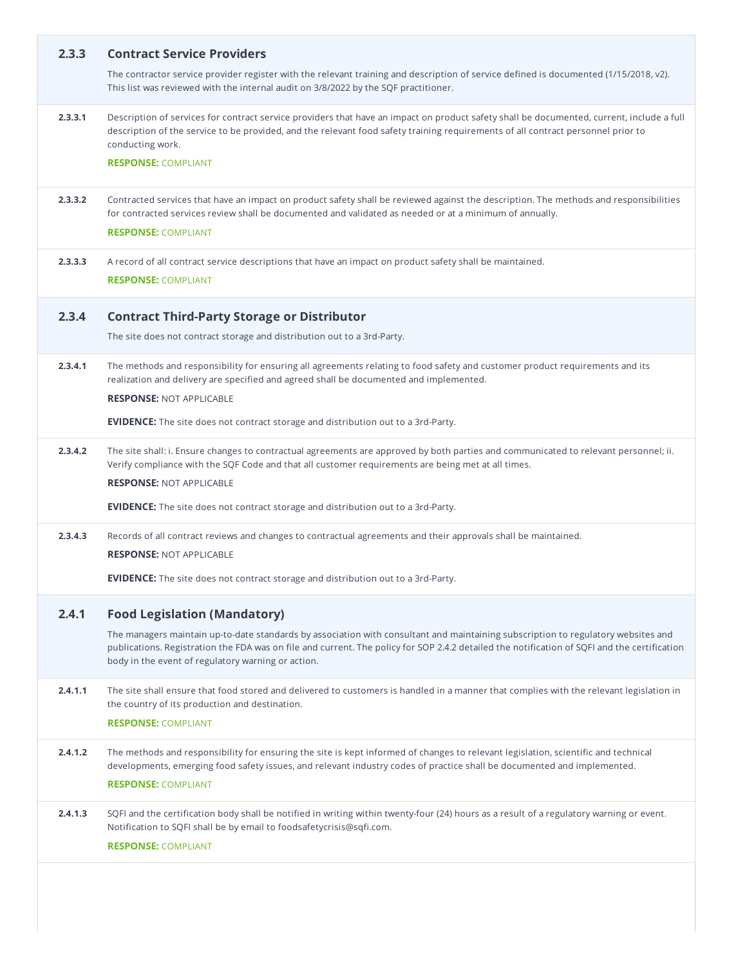| 2.3.3   | <b>Contract Service Providers</b>                                                                                                                                                                                                                                                                                                       |
|---------|-----------------------------------------------------------------------------------------------------------------------------------------------------------------------------------------------------------------------------------------------------------------------------------------------------------------------------------------|
|         | The contractor service provider register with the relevant training and description of service defined is documented (1/15/2018, v2).<br>This list was reviewed with the internal audit on 3/8/2022 by the SQF practitioner.                                                                                                            |
| 2.3.3.1 | Description of services for contract service providers that have an impact on product safety shall be documented, current, include a full<br>description of the service to be provided, and the relevant food safety training requirements of all contract personnel prior to<br>conducting work.                                       |
|         | <b>RESPONSE: COMPLIANT</b>                                                                                                                                                                                                                                                                                                              |
| 2.3.3.2 | Contracted services that have an impact on product safety shall be reviewed against the description. The methods and responsibilities<br>for contracted services review shall be documented and validated as needed or at a minimum of annually.                                                                                        |
|         | <b>RESPONSE: COMPLIANT</b>                                                                                                                                                                                                                                                                                                              |
| 2.3.3.3 | A record of all contract service descriptions that have an impact on product safety shall be maintained.<br><b>RESPONSE: COMPLIANT</b>                                                                                                                                                                                                  |
| 2.3.4   | <b>Contract Third-Party Storage or Distributor</b>                                                                                                                                                                                                                                                                                      |
|         | The site does not contract storage and distribution out to a 3rd-Party.                                                                                                                                                                                                                                                                 |
| 2.3.4.1 | The methods and responsibility for ensuring all agreements relating to food safety and customer product requirements and its<br>realization and delivery are specified and agreed shall be documented and implemented.                                                                                                                  |
|         | <b>RESPONSE: NOT APPLICABLE</b>                                                                                                                                                                                                                                                                                                         |
|         | <b>EVIDENCE:</b> The site does not contract storage and distribution out to a 3rd-Party.                                                                                                                                                                                                                                                |
| 2.3.4.2 | The site shall: i. Ensure changes to contractual agreements are approved by both parties and communicated to relevant personnel; ii.<br>Verify compliance with the SQF Code and that all customer requirements are being met at all times.                                                                                              |
|         | <b>RESPONSE: NOT APPLICABLE</b>                                                                                                                                                                                                                                                                                                         |
|         | <b>EVIDENCE:</b> The site does not contract storage and distribution out to a 3rd-Party.                                                                                                                                                                                                                                                |
| 2.3.4.3 | Records of all contract reviews and changes to contractual agreements and their approvals shall be maintained.<br><b>RESPONSE: NOT APPLICABLE</b>                                                                                                                                                                                       |
|         | <b>EVIDENCE:</b> The site does not contract storage and distribution out to a 3rd-Party.                                                                                                                                                                                                                                                |
| 2.4.1   | <b>Food Legislation (Mandatory)</b>                                                                                                                                                                                                                                                                                                     |
|         | The managers maintain up-to-date standards by association with consultant and maintaining subscription to regulatory websites and<br>publications. Registration the FDA was on file and current. The policy for SOP 2.4.2 detailed the notification of SQFI and the certification<br>body in the event of regulatory warning or action. |
| 2.4.1.1 | The site shall ensure that food stored and delivered to customers is handled in a manner that complies with the relevant legislation in<br>the country of its production and destination.                                                                                                                                               |
|         | <b>RESPONSE: COMPLIANT</b>                                                                                                                                                                                                                                                                                                              |
| 2.4.1.2 | The methods and responsibility for ensuring the site is kept informed of changes to relevant legislation, scientific and technical<br>developments, emerging food safety issues, and relevant industry codes of practice shall be documented and implemented.                                                                           |
|         | <b>RESPONSE: COMPLIANT</b>                                                                                                                                                                                                                                                                                                              |
| 2.4.1.3 | SQFI and the certification body shall be notified in writing within twenty-four (24) hours as a result of a regulatory warning or event.<br>Notification to SQFI shall be by email to foodsafetycrisis@sqfi.com.                                                                                                                        |
|         | <b>RESPONSE: COMPLIANT</b>                                                                                                                                                                                                                                                                                                              |
|         |                                                                                                                                                                                                                                                                                                                                         |
|         |                                                                                                                                                                                                                                                                                                                                         |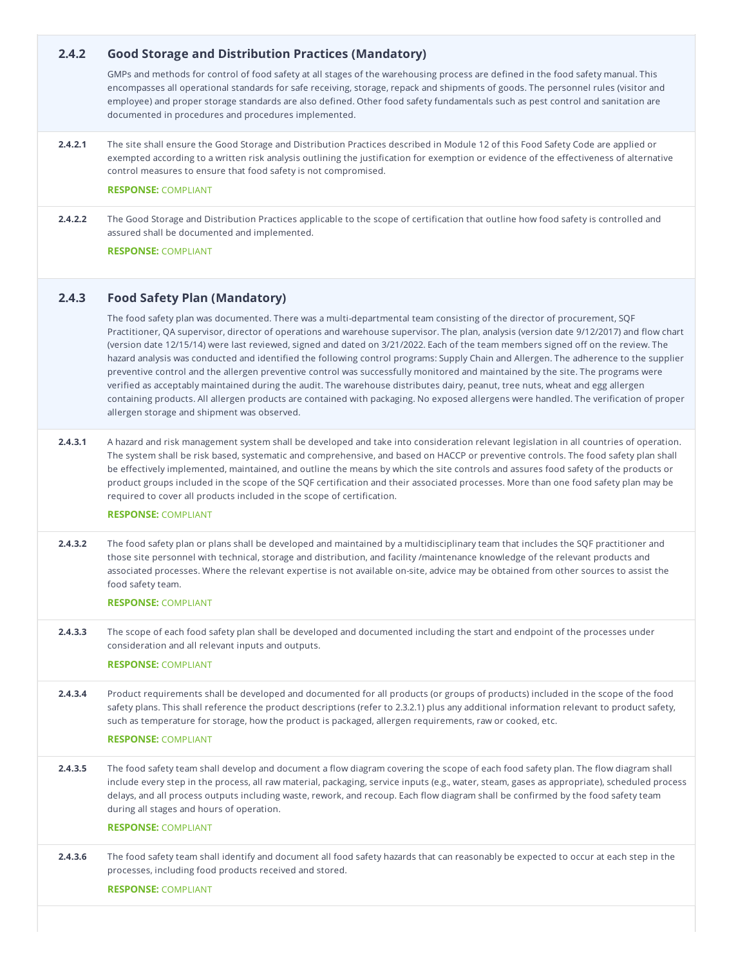| 2.4.2   | <b>Good Storage and Distribution Practices (Mandatory)</b>                                                                                                                                                                                                                                                                                                                                                                                                                                                                                                                                                                                                                                                                                                                                                                                                                                                                                                                                                      |
|---------|-----------------------------------------------------------------------------------------------------------------------------------------------------------------------------------------------------------------------------------------------------------------------------------------------------------------------------------------------------------------------------------------------------------------------------------------------------------------------------------------------------------------------------------------------------------------------------------------------------------------------------------------------------------------------------------------------------------------------------------------------------------------------------------------------------------------------------------------------------------------------------------------------------------------------------------------------------------------------------------------------------------------|
|         | GMPs and methods for control of food safety at all stages of the warehousing process are defined in the food safety manual. This<br>encompasses all operational standards for safe receiving, storage, repack and shipments of goods. The personnel rules (visitor and<br>employee) and proper storage standards are also defined. Other food safety fundamentals such as pest control and sanitation are<br>documented in procedures and procedures implemented.                                                                                                                                                                                                                                                                                                                                                                                                                                                                                                                                               |
| 2.4.2.1 | The site shall ensure the Good Storage and Distribution Practices described in Module 12 of this Food Safety Code are applied or<br>exempted according to a written risk analysis outlining the justification for exemption or evidence of the effectiveness of alternative<br>control measures to ensure that food safety is not compromised.                                                                                                                                                                                                                                                                                                                                                                                                                                                                                                                                                                                                                                                                  |
|         | <b>RESPONSE: COMPLIANT</b>                                                                                                                                                                                                                                                                                                                                                                                                                                                                                                                                                                                                                                                                                                                                                                                                                                                                                                                                                                                      |
| 2.4.2.2 | The Good Storage and Distribution Practices applicable to the scope of certification that outline how food safety is controlled and<br>assured shall be documented and implemented.<br><b>RESPONSE: COMPLIANT</b>                                                                                                                                                                                                                                                                                                                                                                                                                                                                                                                                                                                                                                                                                                                                                                                               |
| 2.4.3   | <b>Food Safety Plan (Mandatory)</b>                                                                                                                                                                                                                                                                                                                                                                                                                                                                                                                                                                                                                                                                                                                                                                                                                                                                                                                                                                             |
|         | The food safety plan was documented. There was a multi-departmental team consisting of the director of procurement, SQF<br>Practitioner, QA supervisor, director of operations and warehouse supervisor. The plan, analysis (version date 9/12/2017) and flow chart<br>(version date 12/15/14) were last reviewed, signed and dated on 3/21/2022. Each of the team members signed off on the review. The<br>hazard analysis was conducted and identified the following control programs: Supply Chain and Allergen. The adherence to the supplier<br>preventive control and the allergen preventive control was successfully monitored and maintained by the site. The programs were<br>verified as acceptably maintained during the audit. The warehouse distributes dairy, peanut, tree nuts, wheat and egg allergen<br>containing products. All allergen products are contained with packaging. No exposed allergens were handled. The verification of proper<br>allergen storage and shipment was observed. |
| 2.4.3.1 | A hazard and risk management system shall be developed and take into consideration relevant legislation in all countries of operation.<br>The system shall be risk based, systematic and comprehensive, and based on HACCP or preventive controls. The food safety plan shall<br>be effectively implemented, maintained, and outline the means by which the site controls and assures food safety of the products or<br>product groups included in the scope of the SQF certification and their associated processes. More than one food safety plan may be<br>required to cover all products included in the scope of certification.<br><b>RESPONSE: COMPLIANT</b>                                                                                                                                                                                                                                                                                                                                             |
| 2.4.3.2 | The food safety plan or plans shall be developed and maintained by a multidisciplinary team that includes the SQF practitioner and<br>those site personnel with technical, storage and distribution, and facility /maintenance knowledge of the relevant products and<br>associated processes. Where the relevant expertise is not available on-site, advice may be obtained from other sources to assist the<br>food safety team.                                                                                                                                                                                                                                                                                                                                                                                                                                                                                                                                                                              |
|         | <b>RESPONSE: COMPLIANT</b>                                                                                                                                                                                                                                                                                                                                                                                                                                                                                                                                                                                                                                                                                                                                                                                                                                                                                                                                                                                      |
| 2.4.3.3 | The scope of each food safety plan shall be developed and documented including the start and endpoint of the processes under<br>consideration and all relevant inputs and outputs.<br><b>RESPONSE: COMPLIANT</b>                                                                                                                                                                                                                                                                                                                                                                                                                                                                                                                                                                                                                                                                                                                                                                                                |
| 2.4.3.4 | Product requirements shall be developed and documented for all products (or groups of products) included in the scope of the food<br>safety plans. This shall reference the product descriptions (refer to 2.3.2.1) plus any additional information relevant to product safety,<br>such as temperature for storage, how the product is packaged, allergen requirements, raw or cooked, etc.<br><b>RESPONSE: COMPLIANT</b>                                                                                                                                                                                                                                                                                                                                                                                                                                                                                                                                                                                       |
| 2.4.3.5 | The food safety team shall develop and document a flow diagram covering the scope of each food safety plan. The flow diagram shall<br>include every step in the process, all raw material, packaging, service inputs (e.g., water, steam, gases as appropriate), scheduled process<br>delays, and all process outputs including waste, rework, and recoup. Each flow diagram shall be confirmed by the food safety team<br>during all stages and hours of operation.<br><b>RESPONSE: COMPLIANT</b>                                                                                                                                                                                                                                                                                                                                                                                                                                                                                                              |
| 2.4.3.6 | The food safety team shall identify and document all food safety hazards that can reasonably be expected to occur at each step in the<br>processes, including food products received and stored.<br><b>RESPONSE: COMPLIANT</b>                                                                                                                                                                                                                                                                                                                                                                                                                                                                                                                                                                                                                                                                                                                                                                                  |
|         |                                                                                                                                                                                                                                                                                                                                                                                                                                                                                                                                                                                                                                                                                                                                                                                                                                                                                                                                                                                                                 |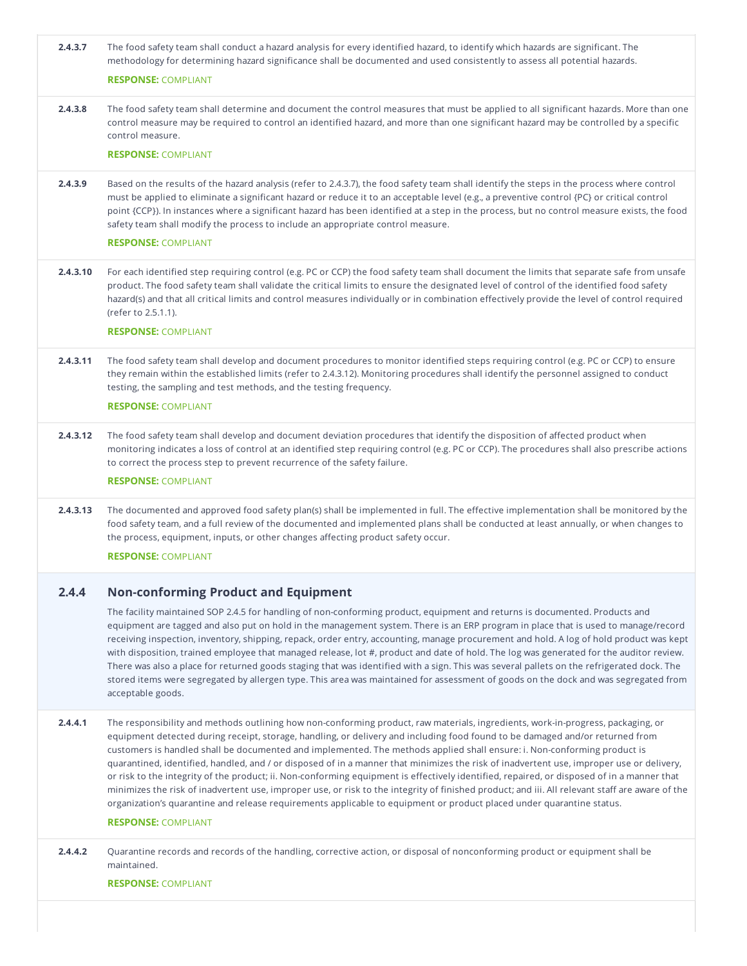| 2.4.3.7  | The food safety team shall conduct a hazard analysis for every identified hazard, to identify which hazards are significant. The<br>methodology for determining hazard significance shall be documented and used consistently to assess all potential hazards.<br><b>RESPONSE: COMPLIANT</b>                                                                                                                                                                                                                                                                                                                                                                                                                                                                                                                                                                                                                                                                                                      |
|----------|---------------------------------------------------------------------------------------------------------------------------------------------------------------------------------------------------------------------------------------------------------------------------------------------------------------------------------------------------------------------------------------------------------------------------------------------------------------------------------------------------------------------------------------------------------------------------------------------------------------------------------------------------------------------------------------------------------------------------------------------------------------------------------------------------------------------------------------------------------------------------------------------------------------------------------------------------------------------------------------------------|
| 2.4.3.8  | The food safety team shall determine and document the control measures that must be applied to all significant hazards. More than one<br>control measure may be required to control an identified hazard, and more than one significant hazard may be controlled by a specific<br>control measure.<br><b>RESPONSE: COMPLIANT</b>                                                                                                                                                                                                                                                                                                                                                                                                                                                                                                                                                                                                                                                                  |
| 2.4.3.9  | Based on the results of the hazard analysis (refer to 2.4.3.7), the food safety team shall identify the steps in the process where control<br>must be applied to eliminate a significant hazard or reduce it to an acceptable level (e.g., a preventive control {PC} or critical control<br>point {CCP}). In instances where a significant hazard has been identified at a step in the process, but no control measure exists, the food<br>safety team shall modify the process to include an appropriate control measure.<br><b>RESPONSE: COMPLIANT</b>                                                                                                                                                                                                                                                                                                                                                                                                                                          |
| 2.4.3.10 | For each identified step requiring control (e.g. PC or CCP) the food safety team shall document the limits that separate safe from unsafe<br>product. The food safety team shall validate the critical limits to ensure the designated level of control of the identified food safety<br>hazard(s) and that all critical limits and control measures individually or in combination effectively provide the level of control required<br>(refer to 2.5.1.1).<br><b>RESPONSE: COMPLIANT</b>                                                                                                                                                                                                                                                                                                                                                                                                                                                                                                        |
| 2.4.3.11 | The food safety team shall develop and document procedures to monitor identified steps requiring control (e.g. PC or CCP) to ensure<br>they remain within the established limits (refer to 2.4.3.12). Monitoring procedures shall identify the personnel assigned to conduct<br>testing, the sampling and test methods, and the testing frequency.<br><b>RESPONSE: COMPLIANT</b>                                                                                                                                                                                                                                                                                                                                                                                                                                                                                                                                                                                                                  |
| 2.4.3.12 | The food safety team shall develop and document deviation procedures that identify the disposition of affected product when<br>monitoring indicates a loss of control at an identified step requiring control (e.g. PC or CCP). The procedures shall also prescribe actions<br>to correct the process step to prevent recurrence of the safety failure.<br><b>RESPONSE: COMPLIANT</b>                                                                                                                                                                                                                                                                                                                                                                                                                                                                                                                                                                                                             |
| 2.4.3.13 | The documented and approved food safety plan(s) shall be implemented in full. The effective implementation shall be monitored by the<br>food safety team, and a full review of the documented and implemented plans shall be conducted at least annually, or when changes to<br>the process, equipment, inputs, or other changes affecting product safety occur.<br><b>RESPONSE: COMPLIANT</b>                                                                                                                                                                                                                                                                                                                                                                                                                                                                                                                                                                                                    |
| 2.4.4    | <b>Non-conforming Product and Equipment</b><br>The facility maintained SOP 2.4.5 for handling of non-conforming product, equipment and returns is documented. Products and<br>equipment are tagged and also put on hold in the management system. There is an ERP program in place that is used to manage/record<br>receiving inspection, inventory, shipping, repack, order entry, accounting, manage procurement and hold. A log of hold product was kept<br>with disposition, trained employee that managed release, lot #, product and date of hold. The log was generated for the auditor review.<br>There was also a place for returned goods staging that was identified with a sign. This was several pallets on the refrigerated dock. The<br>stored items were segregated by allergen type. This area was maintained for assessment of goods on the dock and was segregated from<br>acceptable goods.                                                                                   |
| 2.4.4.1  | The responsibility and methods outlining how non-conforming product, raw materials, ingredients, work-in-progress, packaging, or<br>equipment detected during receipt, storage, handling, or delivery and including food found to be damaged and/or returned from<br>customers is handled shall be documented and implemented. The methods applied shall ensure: i. Non-conforming product is<br>quarantined, identified, handled, and / or disposed of in a manner that minimizes the risk of inadvertent use, improper use or delivery,<br>or risk to the integrity of the product; ii. Non-conforming equipment is effectively identified, repaired, or disposed of in a manner that<br>minimizes the risk of inadvertent use, improper use, or risk to the integrity of finished product; and iii. All relevant staff are aware of the<br>organization's quarantine and release requirements applicable to equipment or product placed under quarantine status.<br><b>RESPONSE: COMPLIANT</b> |
| 2.4.4.2  | Quarantine records and records of the handling, corrective action, or disposal of nonconforming product or equipment shall be<br>maintained.                                                                                                                                                                                                                                                                                                                                                                                                                                                                                                                                                                                                                                                                                                                                                                                                                                                      |
|          | <b>RESPONSE: COMPLIANT</b>                                                                                                                                                                                                                                                                                                                                                                                                                                                                                                                                                                                                                                                                                                                                                                                                                                                                                                                                                                        |
|          |                                                                                                                                                                                                                                                                                                                                                                                                                                                                                                                                                                                                                                                                                                                                                                                                                                                                                                                                                                                                   |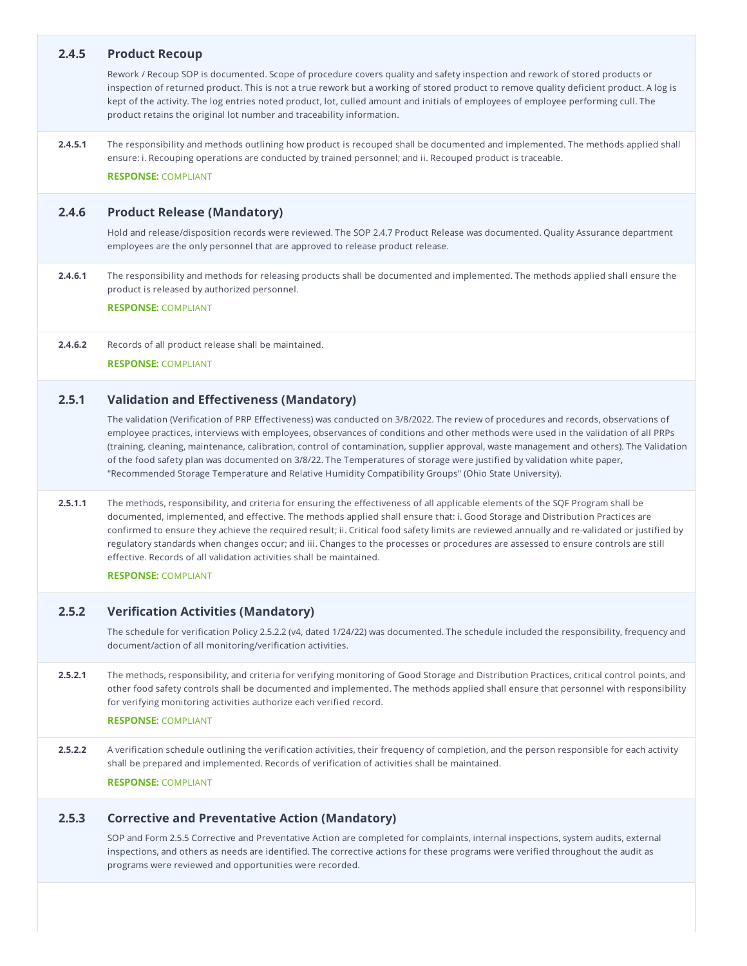| 2.4.5   | <b>Product Recoup</b>                                                                                                                                                                                                                                                                                                                                                                                                                                                                                                                                                                                                                                        |
|---------|--------------------------------------------------------------------------------------------------------------------------------------------------------------------------------------------------------------------------------------------------------------------------------------------------------------------------------------------------------------------------------------------------------------------------------------------------------------------------------------------------------------------------------------------------------------------------------------------------------------------------------------------------------------|
|         | Rework / Recoup SOP is documented. Scope of procedure covers quality and safety inspection and rework of stored products or<br>inspection of returned product. This is not a true rework but a working of stored product to remove quality deficient product. A log is<br>kept of the activity. The log entries noted product, lot, culled amount and initials of employees of employee performing cull. The<br>product retains the original lot number and traceability information.                                                                                                                                                                        |
| 2.4.5.1 | The responsibility and methods outlining how product is recouped shall be documented and implemented. The methods applied shall<br>ensure: i. Recouping operations are conducted by trained personnel; and ii. Recouped product is traceable.                                                                                                                                                                                                                                                                                                                                                                                                                |
|         | <b>RESPONSE: COMPLIANT</b>                                                                                                                                                                                                                                                                                                                                                                                                                                                                                                                                                                                                                                   |
| 2.4.6   | <b>Product Release (Mandatory)</b>                                                                                                                                                                                                                                                                                                                                                                                                                                                                                                                                                                                                                           |
|         | Hold and release/disposition records were reviewed. The SOP 2.4.7 Product Release was documented. Quality Assurance department<br>employees are the only personnel that are approved to release product release.                                                                                                                                                                                                                                                                                                                                                                                                                                             |
| 2.4.6.1 | The responsibility and methods for releasing products shall be documented and implemented. The methods applied shall ensure the<br>product is released by authorized personnel.                                                                                                                                                                                                                                                                                                                                                                                                                                                                              |
|         | <b>RESPONSE: COMPLIANT</b>                                                                                                                                                                                                                                                                                                                                                                                                                                                                                                                                                                                                                                   |
| 2.4.6.2 | Records of all product release shall be maintained.                                                                                                                                                                                                                                                                                                                                                                                                                                                                                                                                                                                                          |
|         | <b>RESPONSE: COMPLIANT</b>                                                                                                                                                                                                                                                                                                                                                                                                                                                                                                                                                                                                                                   |
| 2.5.1   | <b>Validation and Effectiveness (Mandatory)</b>                                                                                                                                                                                                                                                                                                                                                                                                                                                                                                                                                                                                              |
|         | The validation (Verification of PRP Effectiveness) was conducted on 3/8/2022. The review of procedures and records, observations of<br>employee practices, interviews with employees, observances of conditions and other methods were used in the validation of all PRPs<br>(training, cleaning, maintenance, calibration, control of contamination, supplier approval, waste management and others). The Validation<br>of the food safety plan was documented on 3/8/22. The Temperatures of storage were justified by validation white paper,<br>"Recommended Storage Temperature and Relative Humidity Compatibility Groups" (Ohio State University).    |
| 2.5.1.1 | The methods, responsibility, and criteria for ensuring the effectiveness of all applicable elements of the SQF Program shall be<br>documented, implemented, and effective. The methods applied shall ensure that: i. Good Storage and Distribution Practices are<br>confirmed to ensure they achieve the required result; ii. Critical food safety limits are reviewed annually and re-validated or justified by<br>regulatory standards when changes occur; and iii. Changes to the processes or procedures are assessed to ensure controls are still<br>effective. Records of all validation activities shall be maintained.<br><b>RESPONSE: COMPLIANT</b> |
|         |                                                                                                                                                                                                                                                                                                                                                                                                                                                                                                                                                                                                                                                              |
| 2.5.2   | <b>Verification Activities (Mandatory)</b><br>The schedule for verification Policy 2.5.2.2 (v4, dated 1/24/22) was documented. The schedule included the responsibility, frequency and<br>document/action of all monitoring/verification activities.                                                                                                                                                                                                                                                                                                                                                                                                         |
| 2.5.2.1 | The methods, responsibility, and criteria for verifying monitoring of Good Storage and Distribution Practices, critical control points, and<br>other food safety controls shall be documented and implemented. The methods applied shall ensure that personnel with responsibility<br>for verifying monitoring activities authorize each verified record.                                                                                                                                                                                                                                                                                                    |
|         | <b>RESPONSE: COMPLIANT</b>                                                                                                                                                                                                                                                                                                                                                                                                                                                                                                                                                                                                                                   |
| 2.5.2.2 | A verification schedule outlining the verification activities, their frequency of completion, and the person responsible for each activity<br>shall be prepared and implemented. Records of verification of activities shall be maintained.<br><b>RESPONSE: COMPLIANT</b>                                                                                                                                                                                                                                                                                                                                                                                    |
|         |                                                                                                                                                                                                                                                                                                                                                                                                                                                                                                                                                                                                                                                              |
| 2.5.3   | <b>Corrective and Preventative Action (Mandatory)</b>                                                                                                                                                                                                                                                                                                                                                                                                                                                                                                                                                                                                        |
|         | SOP and Form 2.5.5 Corrective and Preventative Action are completed for complaints, internal inspections, system audits, external<br>inspections, and others as needs are identified. The corrective actions for these programs were verified throughout the audit as<br>programs were reviewed and opportunities were recorded.                                                                                                                                                                                                                                                                                                                             |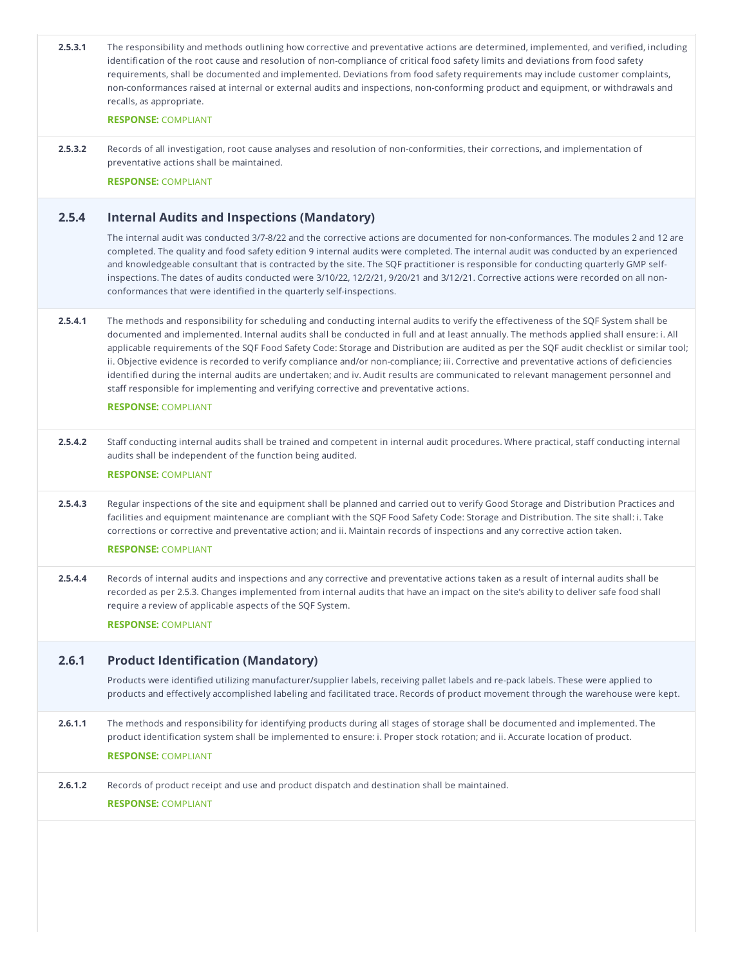| 2.5.3.1 | The responsibility and methods outlining how corrective and preventative actions are determined, implemented, and verified, including<br>identification of the root cause and resolution of non-compliance of critical food safety limits and deviations from food safety<br>requirements, shall be documented and implemented. Deviations from food safety requirements may include customer complaints,<br>non-conformances raised at internal or external audits and inspections, non-conforming product and equipment, or withdrawals and<br>recalls, as appropriate.                                                                                                                                                                                                                           |
|---------|-----------------------------------------------------------------------------------------------------------------------------------------------------------------------------------------------------------------------------------------------------------------------------------------------------------------------------------------------------------------------------------------------------------------------------------------------------------------------------------------------------------------------------------------------------------------------------------------------------------------------------------------------------------------------------------------------------------------------------------------------------------------------------------------------------|
|         | <b>RESPONSE: COMPLIANT</b>                                                                                                                                                                                                                                                                                                                                                                                                                                                                                                                                                                                                                                                                                                                                                                          |
| 2.5.3.2 | Records of all investigation, root cause analyses and resolution of non-conformities, their corrections, and implementation of<br>preventative actions shall be maintained.                                                                                                                                                                                                                                                                                                                                                                                                                                                                                                                                                                                                                         |
|         | <b>RESPONSE: COMPLIANT</b>                                                                                                                                                                                                                                                                                                                                                                                                                                                                                                                                                                                                                                                                                                                                                                          |
| 2.5.4   | <b>Internal Audits and Inspections (Mandatory)</b>                                                                                                                                                                                                                                                                                                                                                                                                                                                                                                                                                                                                                                                                                                                                                  |
|         | The internal audit was conducted 3/7-8/22 and the corrective actions are documented for non-conformances. The modules 2 and 12 are<br>completed. The quality and food safety edition 9 internal audits were completed. The internal audit was conducted by an experienced<br>and knowledgeable consultant that is contracted by the site. The SQF practitioner is responsible for conducting quarterly GMP self-<br>inspections. The dates of audits conducted were 3/10/22, 12/2/21, 9/20/21 and 3/12/21. Corrective actions were recorded on all non-<br>conformances that were identified in the quarterly self-inspections.                                                                                                                                                                     |
| 2.5.4.1 | The methods and responsibility for scheduling and conducting internal audits to verify the effectiveness of the SQF System shall be<br>documented and implemented. Internal audits shall be conducted in full and at least annually. The methods applied shall ensure: i. All<br>applicable requirements of the SQF Food Safety Code: Storage and Distribution are audited as per the SQF audit checklist or similar tool;<br>ii. Objective evidence is recorded to verify compliance and/or non-compliance; iii. Corrective and preventative actions of deficiencies<br>identified during the internal audits are undertaken; and iv. Audit results are communicated to relevant management personnel and<br>staff responsible for implementing and verifying corrective and preventative actions. |
|         | <b>RESPONSE: COMPLIANT</b>                                                                                                                                                                                                                                                                                                                                                                                                                                                                                                                                                                                                                                                                                                                                                                          |
| 2.5.4.2 | Staff conducting internal audits shall be trained and competent in internal audit procedures. Where practical, staff conducting internal<br>audits shall be independent of the function being audited.                                                                                                                                                                                                                                                                                                                                                                                                                                                                                                                                                                                              |
|         | <b>RESPONSE: COMPLIANT</b>                                                                                                                                                                                                                                                                                                                                                                                                                                                                                                                                                                                                                                                                                                                                                                          |
| 2.5.4.3 | Regular inspections of the site and equipment shall be planned and carried out to verify Good Storage and Distribution Practices and<br>facilities and equipment maintenance are compliant with the SQF Food Safety Code: Storage and Distribution. The site shall: i. Take<br>corrections or corrective and preventative action; and ii. Maintain records of inspections and any corrective action taken.                                                                                                                                                                                                                                                                                                                                                                                          |
|         | <b>RESPONSE: COMPLIANT</b>                                                                                                                                                                                                                                                                                                                                                                                                                                                                                                                                                                                                                                                                                                                                                                          |
| 2.5.4.4 | Records of internal audits and inspections and any corrective and preventative actions taken as a result of internal audits shall be<br>recorded as per 2.5.3. Changes implemented from internal audits that have an impact on the site's ability to deliver safe food shall<br>require a review of applicable aspects of the SQF System.                                                                                                                                                                                                                                                                                                                                                                                                                                                           |
|         | <b>RESPONSE: COMPLIANT</b>                                                                                                                                                                                                                                                                                                                                                                                                                                                                                                                                                                                                                                                                                                                                                                          |
| 2.6.1   | <b>Product Identification (Mandatory)</b>                                                                                                                                                                                                                                                                                                                                                                                                                                                                                                                                                                                                                                                                                                                                                           |
|         | Products were identified utilizing manufacturer/supplier labels, receiving pallet labels and re-pack labels. These were applied to<br>products and effectively accomplished labeling and facilitated trace. Records of product movement through the warehouse were kept.                                                                                                                                                                                                                                                                                                                                                                                                                                                                                                                            |
| 2.6.1.1 | The methods and responsibility for identifying products during all stages of storage shall be documented and implemented. The<br>product identification system shall be implemented to ensure: i. Proper stock rotation; and ii. Accurate location of product.                                                                                                                                                                                                                                                                                                                                                                                                                                                                                                                                      |
|         | <b>RESPONSE: COMPLIANT</b>                                                                                                                                                                                                                                                                                                                                                                                                                                                                                                                                                                                                                                                                                                                                                                          |
| 2.6.1.2 | Records of product receipt and use and product dispatch and destination shall be maintained.                                                                                                                                                                                                                                                                                                                                                                                                                                                                                                                                                                                                                                                                                                        |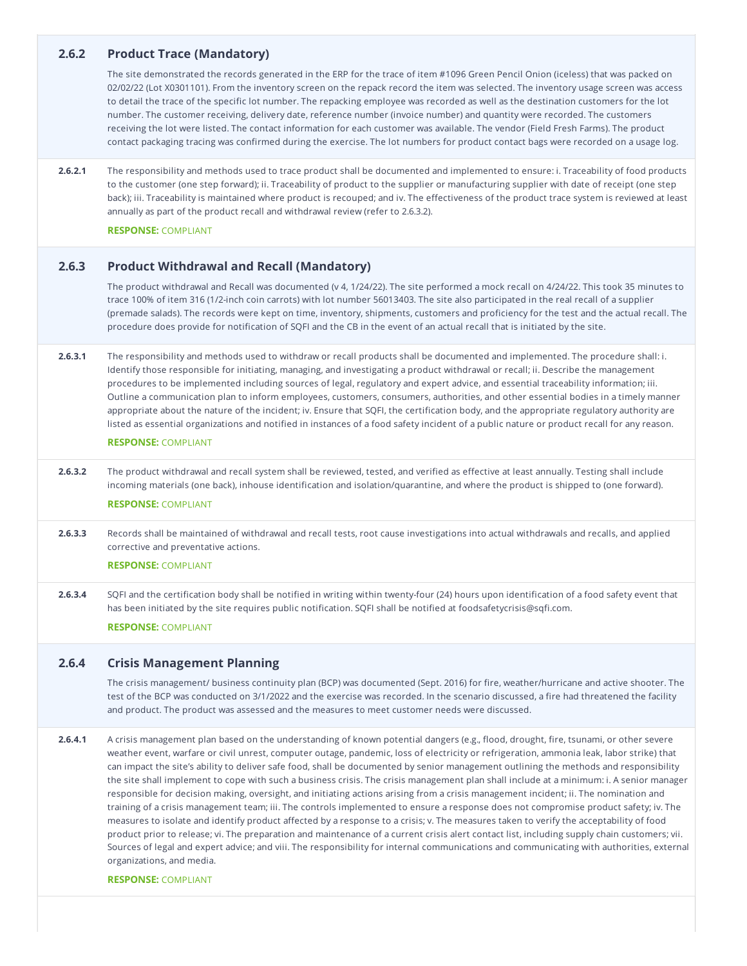# **2.6.2 Product Trace (Mandatory)**

The site demonstrated the records generated in the ERP for the trace of item #1096 Green Pencil Onion (iceless) that was packed on 02/02/22 (Lot X0301101). From the inventory screen on the repack record the item was selected. The inventory usage screen was access to detail the trace of the specific lot number. The repacking employee was recorded as well as the destination customers for the lot number. The customer receiving, delivery date, reference number (invoice number) and quantity were recorded. The customers receiving the lot were listed. The contact information for each customer was available. The vendor (Field Fresh Farms). The product contact packaging tracing was confirmed during the exercise. The lot numbers for product contact bags were recorded on a usage log.

**2.6.2.1** The responsibility and methods used to trace product shall be documented and implemented to ensure: i. Traceability of food products to the customer (one step forward); ii. Traceability of product to the supplier or manufacturing supplier with date of receipt (one step back); iii. Traceability is maintained where product is recouped; and iv. The effectiveness of the product trace system is reviewed at least annually as part of the product recall and withdrawal review (refer to 2.6.3.2).

**RESPONSE:** COMPLIANT

# **2.6.3 Product Withdrawal and Recall (Mandatory)**

The product withdrawal and Recall was documented (v 4, 1/24/22). The site performed a mock recall on 4/24/22. This took 35 minutes to trace 100% of item 316 (1/2-inch coin carrots) with lot number 56013403. The site also participated in the real recall of a supplier (premade salads). The records were kept on time, inventory, shipments, customers and proficiency for the test and the actual recall. The procedure does provide for notification of SQFI and the CB in the event of an actual recall that is initiated by the site.

**2.6.3.1** The responsibility and methods used to withdraw or recall products shall be documented and implemented. The procedure shall: i. Identify those responsible for initiating, managing, and investigating a product withdrawal or recall; ii. Describe the management procedures to be implemented including sources of legal, regulatory and expert advice, and essential traceability information; iii. Outline a communication plan to inform employees, customers, consumers, authorities, and other essential bodies in a timely manner appropriate about the nature of the incident; iv. Ensure that SQFI, the certification body, and the appropriate regulatory authority are listed as essential organizations and notified in instances of a food safety incident of a public nature or product recall for any reason.

### **RESPONSE:** COMPLIANT

**2.6.3.2** The product withdrawal and recall system shall be reviewed, tested, and verified as effective at least annually. Testing shall include incoming materials (one back), inhouse identification and isolation/quarantine, and where the product is shipped to (one forward).

# **RESPONSE:** COMPLIANT

**2.6.3.3** Records shall be maintained of withdrawal and recall tests, root cause investigations into actual withdrawals and recalls, and applied corrective and preventative actions.

### **RESPONSE:** COMPLIANT

**2.6.3.4** SQFI and the certification body shall be notified in writing within twenty-four (24) hours upon identification of a food safety event that has been initiated by the site requires public notification. SQFI shall be notified at foodsafetycrisis@sqfi.com.

#### **RESPONSE:** COMPLIANT

### **2.6.4 Crisis Management Planning**

The crisis management/ business continuity plan (BCP) was documented (Sept. 2016) for fire, weather/hurricane and active shooter. The test of the BCP was conducted on 3/1/2022 and the exercise was recorded. In the scenario discussed, a fire had threatened the facility and product. The product was assessed and the measures to meet customer needs were discussed.

**2.6.4.1** A crisis management plan based on the understanding of known potential dangers (e.g., flood, drought, fire, tsunami, or other severe weather event, warfare or civil unrest, computer outage, pandemic, loss of electricity or refrigeration, ammonia leak, labor strike) that can impact the site's ability to deliver safe food, shall be documented by senior management outlining the methods and responsibility the site shall implement to cope with such a business crisis. The crisis management plan shall include at a minimum: i. A senior manager responsible for decision making, oversight, and initiating actions arising from a crisis management incident; ii. The nomination and training of a crisis management team; iii. The controls implemented to ensure a response does not compromise product safety; iv. The measures to isolate and identify product affected by a response to a crisis; v. The measures taken to verify the acceptability of food product prior to release; vi. The preparation and maintenance of a current crisis alert contact list, including supply chain customers; vii. Sources of legal and expert advice; and viii. The responsibility for internal communications and communicating with authorities, external organizations, and media.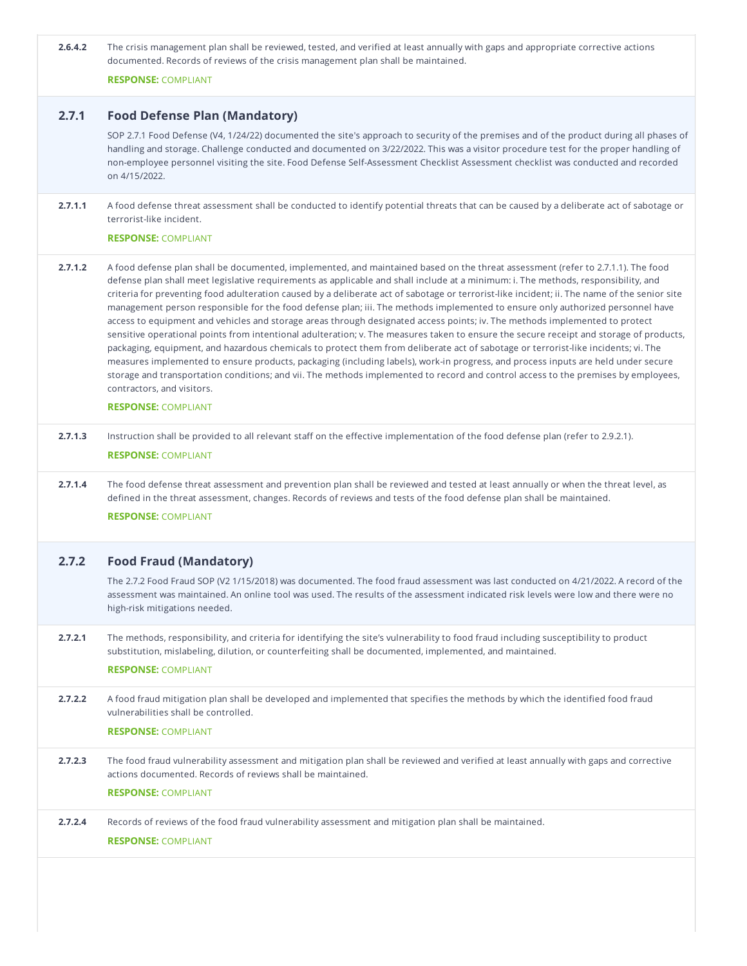| 2.6.4.2 | The crisis management plan shall be reviewed, tested, and verified at least annually with gaps and appropriate corrective actions |
|---------|-----------------------------------------------------------------------------------------------------------------------------------|
|         | documented. Records of reviews of the crisis management plan shall be maintained.                                                 |

**RESPONSE:** COMPLIANT

# **2.7.1 Food Defense Plan (Mandatory)**

SOP 2.7.1 Food Defense (V4, 1/24/22) documented the site's approach to security of the premises and of the product during all phases of handling and storage. Challenge conducted and documented on 3/22/2022. This was a visitor procedure test for the proper handling of non-employee personnel visiting the site. Food Defense Self-Assessment Checklist Assessment checklist was conducted and recorded on 4/15/2022.

**2.7.1.1** A food defense threat assessment shall be conducted to identify potential threats that can be caused by a deliberate act of sabotage or terrorist-like incident.

#### **RESPONSE:** COMPLIANT

**2.7.1.2** A food defense plan shall be documented, implemented, and maintained based on the threat assessment (refer to 2.7.1.1). The food defense plan shall meet legislative requirements as applicable and shall include at a minimum: i. The methods, responsibility, and criteria for preventing food adulteration caused by a deliberate act of sabotage or terrorist-like incident; ii. The name of the senior site management person responsible for the food defense plan; iii. The methods implemented to ensure only authorized personnel have access to equipment and vehicles and storage areas through designated access points; iv. The methods implemented to protect sensitive operational points from intentional adulteration; v. The measures taken to ensure the secure receipt and storage of products, packaging, equipment, and hazardous chemicals to protect them from deliberate act of sabotage or terrorist-like incidents; vi. The measures implemented to ensure products, packaging (including labels), work-in progress, and process inputs are held under secure storage and transportation conditions; and vii. The methods implemented to record and control access to the premises by employees, contractors, and visitors.

#### **RESPONSE:** COMPLIANT

- **2.7.1.3** Instruction shall be provided to all relevant staff on the effective implementation of the food defense plan (refer to 2.9.2.1). **RESPONSE:** COMPLIANT
- **2.7.1.4** The food defense threat assessment and prevention plan shall be reviewed and tested at least annually or when the threat level, as defined in the threat assessment, changes. Records of reviews and tests of the food defense plan shall be maintained.

# **RESPONSE:** COMPLIANT

# **2.7.2 Food Fraud (Mandatory)**

The 2.7.2 Food Fraud SOP (V2 1/15/2018) was documented. The food fraud assessment was last conducted on 4/21/2022. A record of the assessment was maintained. An online tool was used. The results of the assessment indicated risk levels were low and there were no high-risk mitigations needed.

**2.7.2.1** The methods, responsibility, and criteria for identifying the site's vulnerability to food fraud including susceptibility to product substitution, mislabeling, dilution, or counterfeiting shall be documented, implemented, and maintained.

### **RESPONSE:** COMPLIANT

**2.7.2.2** A food fraud mitigation plan shall be developed and implemented that specifies the methods by which the identified food fraud vulnerabilities shall be controlled.

### **RESPONSE:** COMPLIANT

**2.7.2.3** The food fraud vulnerability assessment and mitigation plan shall be reviewed and verified at least annually with gaps and corrective actions documented. Records of reviews shall be maintained.

### **RESPONSE:** COMPLIANT

**2.7.2.4** Records of reviews of the food fraud vulnerability assessment and mitigation plan shall be maintained.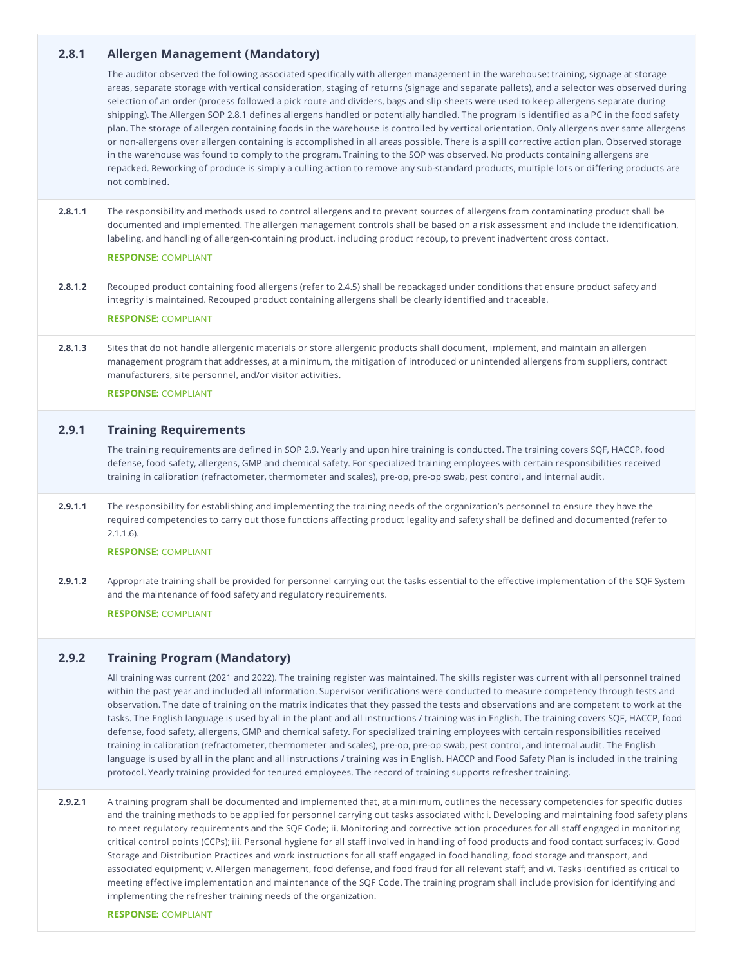# **2.8.1 Allergen Management (Mandatory)**

The auditor observed the following associated specifically with allergen management in the warehouse: training, signage at storage areas, separate storage with vertical consideration, staging of returns (signage and separate pallets), and a selector was observed during selection of an order (process followed a pick route and dividers, bags and slip sheets were used to keep allergens separate during shipping). The Allergen SOP 2.8.1 defines allergens handled or potentially handled. The program is identified as a PC in the food safety plan. The storage of allergen containing foods in the warehouse is controlled by vertical orientation. Only allergens over same allergens or non-allergens over allergen containing is accomplished in all areas possible. There is a spill corrective action plan. Observed storage in the warehouse was found to comply to the program. Training to the SOP was observed. No products containing allergens are repacked. Reworking of produce is simply a culling action to remove any sub-standard products, multiple lots or differing products are not combined.

**2.8.1.1** The responsibility and methods used to control allergens and to prevent sources of allergens from contaminating product shall be documented and implemented. The allergen management controls shall be based on a risk assessment and include the identification, labeling, and handling of allergen-containing product, including product recoup, to prevent inadvertent cross contact.

#### **RESPONSE:** COMPLIANT

**2.8.1.2** Recouped product containing food allergens (refer to 2.4.5) shall be repackaged under conditions that ensure product safety and integrity is maintained. Recouped product containing allergens shall be clearly identified and traceable.

#### **RESPONSE:** COMPLIANT

**2.8.1.3** Sites that do not handle allergenic materials or store allergenic products shall document, implement, and maintain an allergen management program that addresses, at a minimum, the mitigation of introduced or unintended allergens from suppliers, contract manufacturers, site personnel, and/or visitor activities.

#### **RESPONSE:** COMPLIANT

# **2.9.1 Training Requirements**

The training requirements are defined in SOP 2.9. Yearly and upon hire training is conducted. The training covers SQF, HACCP, food defense, food safety, allergens, GMP and chemical safety. For specialized training employees with certain responsibilities received training in calibration (refractometer, thermometer and scales), pre-op, pre-op swab, pest control, and internal audit.

**2.9.1.1** The responsibility for establishing and implementing the training needs of the organization's personnel to ensure they have the required competencies to carry out those functions affecting product legality and safety shall be defined and documented (refer to 2.1.1.6).

#### **RESPONSE:** COMPLIANT

**2.9.1.2** Appropriate training shall be provided for personnel carrying out the tasks essential to the effective implementation of the SQF System and the maintenance of food safety and regulatory requirements.

#### **RESPONSE:** COMPLIANT

# **2.9.2 Training Program (Mandatory)**

All training was current (2021 and 2022). The training register was maintained. The skills register was current with all personnel trained within the past year and included all information. Supervisor verifications were conducted to measure competency through tests and observation. The date of training on the matrix indicates that they passed the tests and observations and are competent to work at the tasks. The English language is used by all in the plant and all instructions / training was in English. The training covers SQF, HACCP, food defense, food safety, allergens, GMP and chemical safety. For specialized training employees with certain responsibilities received training in calibration (refractometer, thermometer and scales), pre-op, pre-op swab, pest control, and internal audit. The English language is used by all in the plant and all instructions / training was in English. HACCP and Food Safety Plan is included in the training protocol. Yearly training provided for tenured employees. The record of training supports refresher training.

**2.9.2.1** A training program shall be documented and implemented that, at a minimum, outlines the necessary competencies for specific duties and the training methods to be applied for personnel carrying out tasks associated with: i. Developing and maintaining food safety plans to meet regulatory requirements and the SQF Code; ii. Monitoring and corrective action procedures for all staff engaged in monitoring critical control points (CCPs); iii. Personal hygiene for all staff involved in handling of food products and food contact surfaces; iv. Good Storage and Distribution Practices and work instructions for all staff engaged in food handling, food storage and transport, and associated equipment; v. Allergen management, food defense, and food fraud for all relevant staff; and vi. Tasks identified as critical to meeting effective implementation and maintenance of the SQF Code. The training program shall include provision for identifying and implementing the refresher training needs of the organization.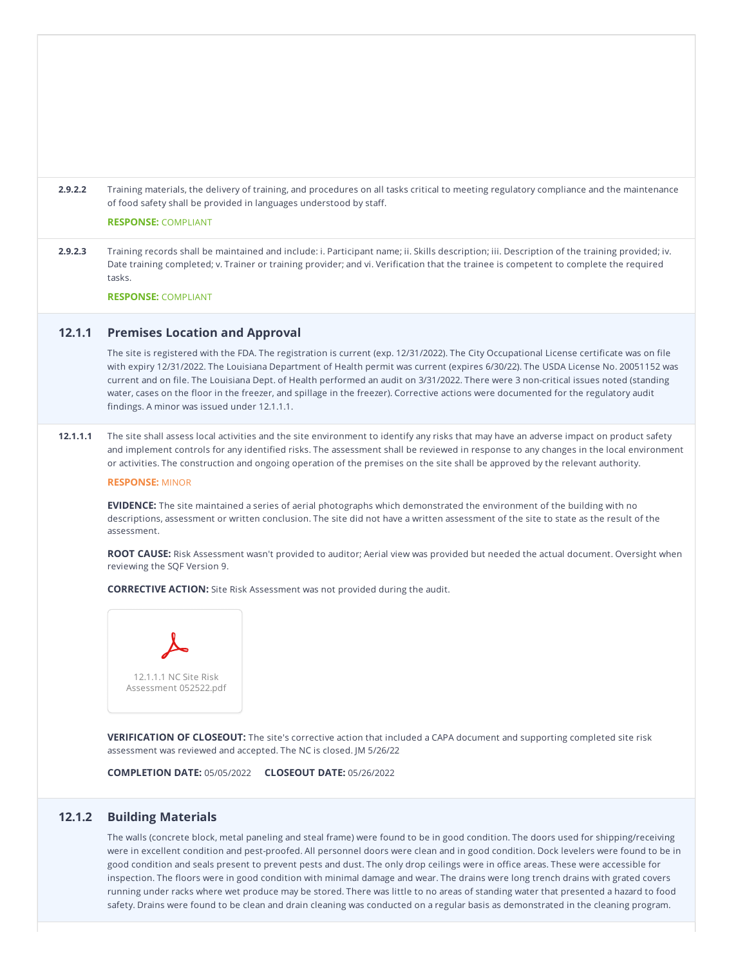- **2.9.2.2** Training materials, the delivery of training, and procedures on all tasks critical to meeting regulatory compliance and the maintenance of food safety shall be provided in languages understood by staff. **RESPONSE:** COMPLIANT
- **2.9.2.3** Training records shall be maintained and include: i. Participant name; ii. Skills description; iii. Description of the training provided; iv. Date training completed; v. Trainer or training provider; and vi. Verification that the trainee is competent to complete the required tasks.

**RESPONSE:** COMPLIANT

### **12.1.1 Premises Location and Approval**

The site is registered with the FDA. The registration is current (exp. 12/31/2022). The City Occupational License certificate was on file with expiry 12/31/2022. The Louisiana Department of Health permit was current (expires 6/30/22). The USDA License No. 20051152 was current and on file. The Louisiana Dept. of Health performed an audit on 3/31/2022. There were 3 non-critical issues noted (standing water, cases on the floor in the freezer, and spillage in the freezer). Corrective actions were documented for the regulatory audit findings. A minor was issued under 12.1.1.1.

### **12.1.1.1** The site shall assess local activities and the site environment to identify any risks that may have an adverse impact on product safety and implement controls for any identified risks. The assessment shall be reviewed in response to any changes in the local environment or activities. The construction and ongoing operation of the premises on the site shall be approved by the relevant authority.

**RESPONSE:** MINOR

**EVIDENCE:** The site maintained a series of aerial photographs which demonstrated the environment of the building with no descriptions, assessment or written conclusion. The site did not have a written assessment of the site to state as the result of the assessment.

**ROOT CAUSE:** Risk Assessment wasn't provided to auditor; Aerial view was provided but needed the actual document. Oversight when reviewing the SQF Version 9.

**CORRECTIVE ACTION:** Site Risk Assessment was not provided during the audit.



**VERIFICATION OF CLOSEOUT:** The site's corrective action that included a CAPA document and supporting completed site risk assessment was reviewed and accepted. The NC is closed. JM 5/26/22

**COMPLETION DATE:** 05/05/2022 **CLOSEOUT DATE:** 05/26/2022

# **12.1.2 Building Materials**

The walls (concrete block, metal paneling and steal frame) were found to be in good condition. The doors used for shipping/receiving were in excellent condition and pest-proofed. All personnel doors were clean and in good condition. Dock levelers were found to be in good condition and seals present to prevent pests and dust. The only drop ceilings were in office areas. These were accessible for inspection. The floors were in good condition with minimal damage and wear. The drains were long trench drains with grated covers running under racks where wet produce may be stored. There was little to no areas of standing water that presented a hazard to food safety. Drains were found to be clean and drain cleaning was conducted on a regular basis as demonstrated in the cleaning program.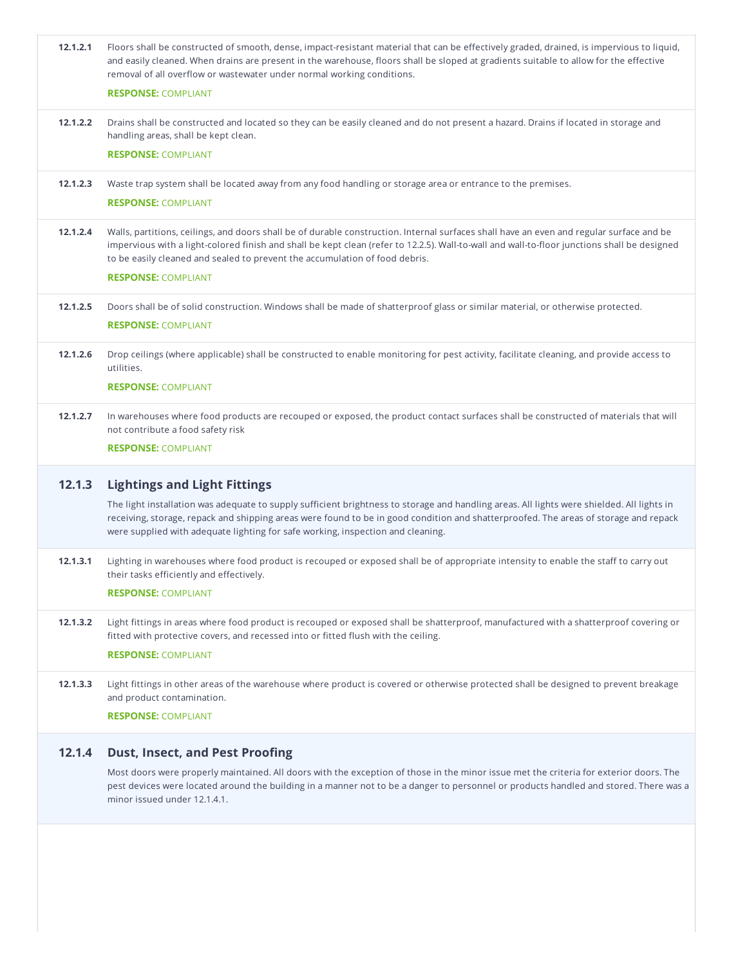| 12.1.2.1 | Floors shall be constructed of smooth, dense, impact-resistant material that can be effectively graded, drained, is impervious to liquid,<br>and easily cleaned. When drains are present in the warehouse, floors shall be sloped at gradients suitable to allow for the effective<br>removal of all overflow or wastewater under normal working conditions.            |
|----------|-------------------------------------------------------------------------------------------------------------------------------------------------------------------------------------------------------------------------------------------------------------------------------------------------------------------------------------------------------------------------|
| 12.1.2.2 | <b>RESPONSE: COMPLIANT</b><br>Drains shall be constructed and located so they can be easily cleaned and do not present a hazard. Drains if located in storage and                                                                                                                                                                                                       |
|          | handling areas, shall be kept clean.                                                                                                                                                                                                                                                                                                                                    |
|          | <b>RESPONSE: COMPLIANT</b>                                                                                                                                                                                                                                                                                                                                              |
| 12.1.2.3 | Waste trap system shall be located away from any food handling or storage area or entrance to the premises.                                                                                                                                                                                                                                                             |
|          | <b>RESPONSE: COMPLIANT</b>                                                                                                                                                                                                                                                                                                                                              |
| 12.1.2.4 | Walls, partitions, ceilings, and doors shall be of durable construction. Internal surfaces shall have an even and regular surface and be<br>impervious with a light-colored finish and shall be kept clean (refer to 12.2.5). Wall-to-wall and wall-to-floor junctions shall be designed<br>to be easily cleaned and sealed to prevent the accumulation of food debris. |
|          | <b>RESPONSE: COMPLIANT</b>                                                                                                                                                                                                                                                                                                                                              |
| 12.1.2.5 | Doors shall be of solid construction. Windows shall be made of shatterproof glass or similar material, or otherwise protected.                                                                                                                                                                                                                                          |
|          | <b>RESPONSE: COMPLIANT</b>                                                                                                                                                                                                                                                                                                                                              |
| 12.1.2.6 | Drop ceilings (where applicable) shall be constructed to enable monitoring for pest activity, facilitate cleaning, and provide access to<br>utilities.                                                                                                                                                                                                                  |
|          | <b>RESPONSE: COMPLIANT</b>                                                                                                                                                                                                                                                                                                                                              |
| 12.1.2.7 | In warehouses where food products are recouped or exposed, the product contact surfaces shall be constructed of materials that will<br>not contribute a food safety risk                                                                                                                                                                                                |
|          | <b>RESPONSE: COMPLIANT</b>                                                                                                                                                                                                                                                                                                                                              |
| 12.1.3   | <b>Lightings and Light Fittings</b>                                                                                                                                                                                                                                                                                                                                     |
|          | The light installation was adequate to supply sufficient brightness to storage and handling areas. All lights were shielded. All lights in<br>receiving, storage, repack and shipping areas were found to be in good condition and shatterproofed. The areas of storage and repack<br>were supplied with adequate lighting for safe working, inspection and cleaning.   |
| 12.1.3.1 | Lighting in warehouses where food product is recouped or exposed shall be of appropriate intensity to enable the staff to carry out<br>their tasks efficiently and effectively.                                                                                                                                                                                         |
|          | <b>RESPONSE: COMPLIANT</b>                                                                                                                                                                                                                                                                                                                                              |
| 12.1.3.2 | Light fittings in areas where food product is recouped or exposed shall be shatterproof, manufactured with a shatterproof covering or<br>fitted with protective covers, and recessed into or fitted flush with the ceiling.                                                                                                                                             |
|          | <b>RESPONSE: COMPLIANT</b>                                                                                                                                                                                                                                                                                                                                              |
| 12.1.3.3 | Light fittings in other areas of the warehouse where product is covered or otherwise protected shall be designed to prevent breakage<br>and product contamination.                                                                                                                                                                                                      |
|          | <b>RESPONSE: COMPLIANT</b>                                                                                                                                                                                                                                                                                                                                              |
| 12.1.4   | <b>Dust, Insect, and Pest Proofing</b>                                                                                                                                                                                                                                                                                                                                  |
|          | Most doors were properly maintained. All doors with the exception of those in the minor issue met the criteria for exterior doors. The                                                                                                                                                                                                                                  |

pest devices were located around the building in a manner not to be a danger to personnel or products handled and stored. There was a minor issued under 12.1.4.1.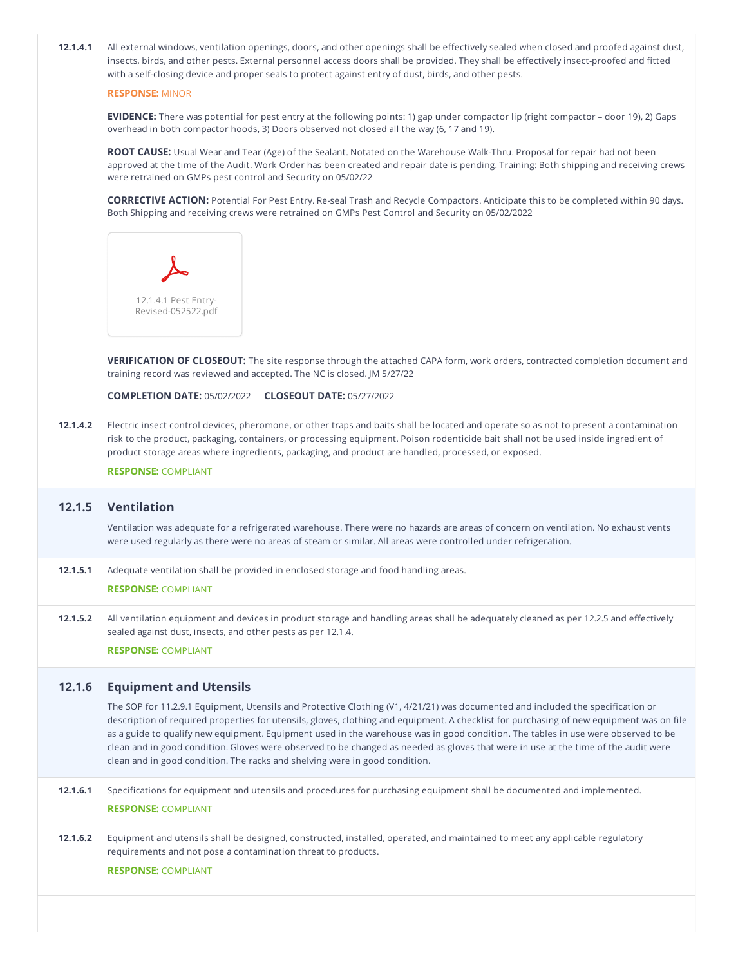**COMPLETION DATE:** 05/02/2022 **CLOSEOUT DATE:** 05/27/2022 **12.1.4.1** All external windows, ventilation openings, doors, and other openings shall be effectively sealed when closed and proofed against dust, insects, birds, and other pests. External personnel access doors shall be provided. They shall be effectively insect-proofed and fitted with a self-closing device and proper seals to protect against entry of dust, birds, and other pests. **RESPONSE:** MINOR **EVIDENCE:** There was potential for pest entry at the following points: 1) gap under compactor lip (right compactor – door 19), 2) Gaps overhead in both compactor hoods, 3) Doors observed not closed all the way (6, 17 and 19). **ROOT CAUSE:** Usual Wear and Tear (Age) of the Sealant. Notated on the Warehouse Walk-Thru. Proposal for repair had not been approved at the time of the Audit. Work Order has been created and repair date is pending. Training: Both shipping and receiving crews were retrained on GMPs pest control and Security on 05/02/22 **CORRECTIVE ACTION:** Potential For Pest Entry. Re-seal Trash and Recycle Compactors. Anticipate this to be completed within 90 days. Both Shipping and receiving crews were retrained on GMPs Pest Control and Security on 05/02/2022 **VERIFICATION OF CLOSEOUT:** The site response through the attached CAPA form, work orders, contracted completion document and training record was reviewed and accepted. The NC is closed. JM 5/27/22 **12.1.4.2** Electric insect control devices, pheromone, or other traps and baits shall be located and operate so as not to present a contamination risk to the product, packaging, containers, or processing equipment. Poison rodenticide bait shall not be used inside ingredient of product storage areas where ingredients, packaging, and product are handled, processed, or exposed. **RESPONSE:** COMPLIANT **12.1.5 Ventilation** Ventilation was adequate for a refrigerated warehouse. There were no hazards are areas of concern on ventilation. No exhaust vents were used regularly as there were no areas of steam or similar. All areas were controlled under refrigeration. **12.1.5.1** Adequate ventilation shall be provided in enclosed storage and food handling areas. **RESPONSE:** COMPLIANT **12.1.5.2** All ventilation equipment and devices in product storage and handling areas shall be adequately cleaned as per 12.2.5 and effectively sealed against dust, insects, and other pests as per 12.1.4. **RESPONSE:** COMPLIANT **12.1.6 Equipment and Utensils** The SOP for 11.2.9.1 Equipment, Utensils and Protective Clothing (V1, 4/21/21) was documented and included the specification or description of required properties for utensils, gloves, clothing and equipment. A checklist for purchasing of new equipment was on file as a guide to qualify new equipment. Equipment used in the warehouse was in good condition. The tables in use were observed to be clean and in good condition. Gloves were observed to be changed as needed as gloves that were in use at the time of the audit were clean and in good condition. The racks and shelving were in good condition. **12.1.6.1** Specifications for equipment and utensils and procedures for purchasing equipment shall be documented and implemented. **RESPONSE:** COMPLIANT **12.1.6.2** Equipment and utensils shall be designed, constructed, installed, operated, and maintained to meet any applicable regulatory requirements and not pose a contamination threat to products. **RESPONSE:** COMPLIANT 12.1.4.1 Pest Entry- Revised-052522.pdf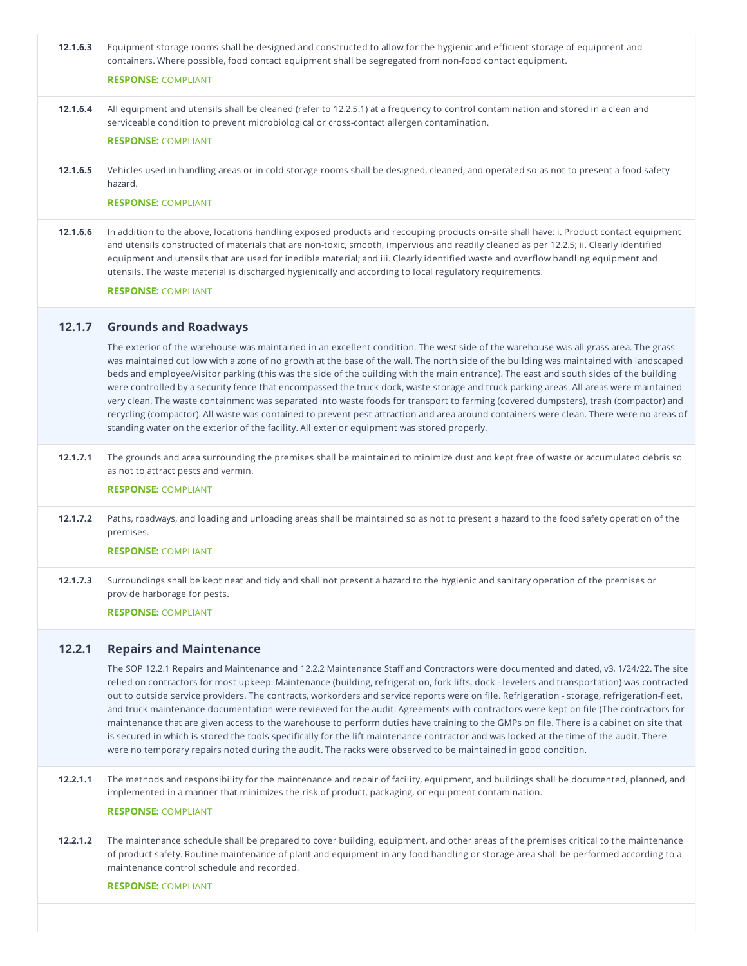| 12.1.6.3 | Equipment storage rooms shall be designed and constructed to allow for the hygienic and efficient storage of equipment and<br>containers. Where possible, food contact equipment shall be segregated from non-food contact equipment.<br><b>RESPONSE: COMPLIANT</b>                                                                                                                                                                                                                                                                                                                                                                                                                                                                                                                                                                                                                                                                                                                                                |
|----------|--------------------------------------------------------------------------------------------------------------------------------------------------------------------------------------------------------------------------------------------------------------------------------------------------------------------------------------------------------------------------------------------------------------------------------------------------------------------------------------------------------------------------------------------------------------------------------------------------------------------------------------------------------------------------------------------------------------------------------------------------------------------------------------------------------------------------------------------------------------------------------------------------------------------------------------------------------------------------------------------------------------------|
|          |                                                                                                                                                                                                                                                                                                                                                                                                                                                                                                                                                                                                                                                                                                                                                                                                                                                                                                                                                                                                                    |
| 12.1.6.4 | All equipment and utensils shall be cleaned (refer to 12.2.5.1) at a frequency to control contamination and stored in a clean and<br>serviceable condition to prevent microbiological or cross-contact allergen contamination.                                                                                                                                                                                                                                                                                                                                                                                                                                                                                                                                                                                                                                                                                                                                                                                     |
|          | <b>RESPONSE: COMPLIANT</b>                                                                                                                                                                                                                                                                                                                                                                                                                                                                                                                                                                                                                                                                                                                                                                                                                                                                                                                                                                                         |
| 12.1.6.5 | Vehicles used in handling areas or in cold storage rooms shall be designed, cleaned, and operated so as not to present a food safety<br>hazard.                                                                                                                                                                                                                                                                                                                                                                                                                                                                                                                                                                                                                                                                                                                                                                                                                                                                    |
|          | <b>RESPONSE: COMPLIANT</b>                                                                                                                                                                                                                                                                                                                                                                                                                                                                                                                                                                                                                                                                                                                                                                                                                                                                                                                                                                                         |
| 12.1.6.6 | In addition to the above, locations handling exposed products and recouping products on-site shall have: i. Product contact equipment<br>and utensils constructed of materials that are non-toxic, smooth, impervious and readily cleaned as per 12.2.5; ii. Clearly identified<br>equipment and utensils that are used for inedible material; and iii. Clearly identified waste and overflow handling equipment and<br>utensils. The waste material is discharged hygienically and according to local regulatory requirements.                                                                                                                                                                                                                                                                                                                                                                                                                                                                                    |
|          | <b>RESPONSE: COMPLIANT</b>                                                                                                                                                                                                                                                                                                                                                                                                                                                                                                                                                                                                                                                                                                                                                                                                                                                                                                                                                                                         |
| 12.1.7   | <b>Grounds and Roadways</b>                                                                                                                                                                                                                                                                                                                                                                                                                                                                                                                                                                                                                                                                                                                                                                                                                                                                                                                                                                                        |
|          | The exterior of the warehouse was maintained in an excellent condition. The west side of the warehouse was all grass area. The grass<br>was maintained cut low with a zone of no growth at the base of the wall. The north side of the building was maintained with landscaped<br>beds and employee/visitor parking (this was the side of the building with the main entrance). The east and south sides of the building<br>were controlled by a security fence that encompassed the truck dock, waste storage and truck parking areas. All areas were maintained<br>very clean. The waste containment was separated into waste foods for transport to farming (covered dumpsters), trash (compactor) and<br>recycling (compactor). All waste was contained to prevent pest attraction and area around containers were clean. There were no areas of<br>standing water on the exterior of the facility. All exterior equipment was stored properly.                                                                |
| 12.1.7.1 | The grounds and area surrounding the premises shall be maintained to minimize dust and kept free of waste or accumulated debris so<br>as not to attract pests and vermin.<br><b>RESPONSE: COMPLIANT</b>                                                                                                                                                                                                                                                                                                                                                                                                                                                                                                                                                                                                                                                                                                                                                                                                            |
| 12.1.7.2 | Paths, roadways, and loading and unloading areas shall be maintained so as not to present a hazard to the food safety operation of the<br>premises.<br><b>RESPONSE: COMPLIANT</b>                                                                                                                                                                                                                                                                                                                                                                                                                                                                                                                                                                                                                                                                                                                                                                                                                                  |
| 12.1.7.3 | Surroundings shall be kept neat and tidy and shall not present a hazard to the hygienic and sanitary operation of the premises or<br>provide harborage for pests.<br><b>RESPONSE: COMPLIANT</b>                                                                                                                                                                                                                                                                                                                                                                                                                                                                                                                                                                                                                                                                                                                                                                                                                    |
| 12.2.1   | <b>Repairs and Maintenance</b><br>The SOP 12.2.1 Repairs and Maintenance and 12.2.2 Maintenance Staff and Contractors were documented and dated, v3, 1/24/22. The site<br>relied on contractors for most upkeep. Maintenance (building, refrigeration, fork lifts, dock - levelers and transportation) was contracted<br>out to outside service providers. The contracts, workorders and service reports were on file. Refrigeration - storage, refrigeration-fleet,<br>and truck maintenance documentation were reviewed for the audit. Agreements with contractors were kept on file (The contractors for<br>maintenance that are given access to the warehouse to perform duties have training to the GMPs on file. There is a cabinet on site that<br>is secured in which is stored the tools specifically for the lift maintenance contractor and was locked at the time of the audit. There<br>were no temporary repairs noted during the audit. The racks were observed to be maintained in good condition. |
| 12.2.1.1 | The methods and responsibility for the maintenance and repair of facility, equipment, and buildings shall be documented, planned, and<br>implemented in a manner that minimizes the risk of product, packaging, or equipment contamination.<br><b>RESPONSE: COMPLIANT</b>                                                                                                                                                                                                                                                                                                                                                                                                                                                                                                                                                                                                                                                                                                                                          |
| 12.2.1.2 | The maintenance schedule shall be prepared to cover building, equipment, and other areas of the premises critical to the maintenance<br>of product safety. Routine maintenance of plant and equipment in any food handling or storage area shall be performed according to a<br>maintenance control schedule and recorded.                                                                                                                                                                                                                                                                                                                                                                                                                                                                                                                                                                                                                                                                                         |
|          | <b>RESPONSE: COMPLIANT</b>                                                                                                                                                                                                                                                                                                                                                                                                                                                                                                                                                                                                                                                                                                                                                                                                                                                                                                                                                                                         |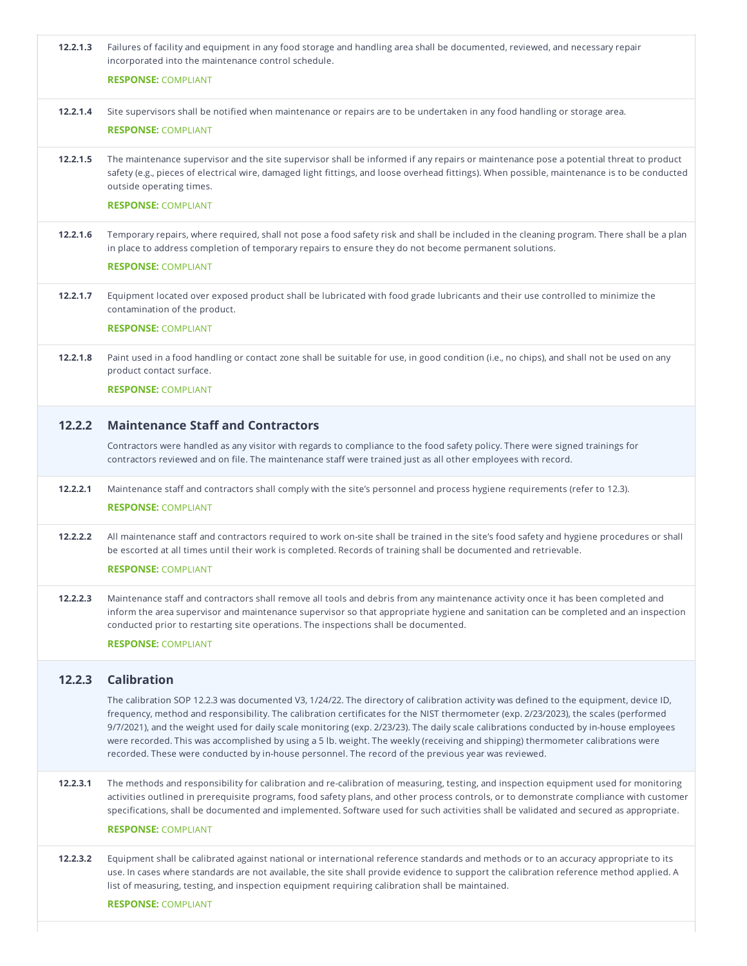| 12.2.1.3 | Failures of facility and equipment in any food storage and handling area shall be documented, reviewed, and necessary repair<br>incorporated into the maintenance control schedule.                                                                                                                                                                                                                                                                                                                                                                                                                                                                              |
|----------|------------------------------------------------------------------------------------------------------------------------------------------------------------------------------------------------------------------------------------------------------------------------------------------------------------------------------------------------------------------------------------------------------------------------------------------------------------------------------------------------------------------------------------------------------------------------------------------------------------------------------------------------------------------|
|          | <b>RESPONSE: COMPLIANT</b>                                                                                                                                                                                                                                                                                                                                                                                                                                                                                                                                                                                                                                       |
| 12.2.1.4 | Site supervisors shall be notified when maintenance or repairs are to be undertaken in any food handling or storage area.                                                                                                                                                                                                                                                                                                                                                                                                                                                                                                                                        |
|          | <b>RESPONSE: COMPLIANT</b>                                                                                                                                                                                                                                                                                                                                                                                                                                                                                                                                                                                                                                       |
| 12.2.1.5 | The maintenance supervisor and the site supervisor shall be informed if any repairs or maintenance pose a potential threat to product<br>safety (e.g., pieces of electrical wire, damaged light fittings, and loose overhead fittings). When possible, maintenance is to be conducted<br>outside operating times.                                                                                                                                                                                                                                                                                                                                                |
|          | <b>RESPONSE: COMPLIANT</b>                                                                                                                                                                                                                                                                                                                                                                                                                                                                                                                                                                                                                                       |
| 12.2.1.6 | Temporary repairs, where required, shall not pose a food safety risk and shall be included in the cleaning program. There shall be a plan<br>in place to address completion of temporary repairs to ensure they do not become permanent solutions.<br><b>RESPONSE: COMPLIANT</b>                                                                                                                                                                                                                                                                                                                                                                                 |
|          |                                                                                                                                                                                                                                                                                                                                                                                                                                                                                                                                                                                                                                                                  |
| 12.2.1.7 | Equipment located over exposed product shall be lubricated with food grade lubricants and their use controlled to minimize the<br>contamination of the product.                                                                                                                                                                                                                                                                                                                                                                                                                                                                                                  |
|          | <b>RESPONSE: COMPLIANT</b>                                                                                                                                                                                                                                                                                                                                                                                                                                                                                                                                                                                                                                       |
| 12.2.1.8 | Paint used in a food handling or contact zone shall be suitable for use, in good condition (i.e., no chips), and shall not be used on any<br>product contact surface.                                                                                                                                                                                                                                                                                                                                                                                                                                                                                            |
|          | <b>RESPONSE: COMPLIANT</b>                                                                                                                                                                                                                                                                                                                                                                                                                                                                                                                                                                                                                                       |
| 12.2.2   | <b>Maintenance Staff and Contractors</b>                                                                                                                                                                                                                                                                                                                                                                                                                                                                                                                                                                                                                         |
|          | Contractors were handled as any visitor with regards to compliance to the food safety policy. There were signed trainings for<br>contractors reviewed and on file. The maintenance staff were trained just as all other employees with record.                                                                                                                                                                                                                                                                                                                                                                                                                   |
| 12.2.2.1 | Maintenance staff and contractors shall comply with the site's personnel and process hygiene requirements (refer to 12.3).<br><b>RESPONSE: COMPLIANT</b>                                                                                                                                                                                                                                                                                                                                                                                                                                                                                                         |
| 12.2.2.2 | All maintenance staff and contractors required to work on-site shall be trained in the site's food safety and hygiene procedures or shall<br>be escorted at all times until their work is completed. Records of training shall be documented and retrievable.                                                                                                                                                                                                                                                                                                                                                                                                    |
|          | <b>RESPONSE: COMPLIANT</b>                                                                                                                                                                                                                                                                                                                                                                                                                                                                                                                                                                                                                                       |
| 12.2.2.3 | Maintenance staff and contractors shall remove all tools and debris from any maintenance activity once it has been completed and<br>inform the area supervisor and maintenance supervisor so that appropriate hygiene and sanitation can be completed and an inspection<br>conducted prior to restarting site operations. The inspections shall be documented.                                                                                                                                                                                                                                                                                                   |
|          | <b>RESPONSE: COMPLIANT</b>                                                                                                                                                                                                                                                                                                                                                                                                                                                                                                                                                                                                                                       |
| 12.2.3   | <b>Calibration</b>                                                                                                                                                                                                                                                                                                                                                                                                                                                                                                                                                                                                                                               |
|          | The calibration SOP 12.2.3 was documented V3, 1/24/22. The directory of calibration activity was defined to the equipment, device ID,<br>frequency, method and responsibility. The calibration certificates for the NIST thermometer (exp. 2/23/2023), the scales (performed<br>9/7/2021), and the weight used for daily scale monitoring (exp. 2/23/23). The daily scale calibrations conducted by in-house employees<br>were recorded. This was accomplished by using a 5 lb. weight. The weekly (receiving and shipping) thermometer calibrations were<br>recorded. These were conducted by in-house personnel. The record of the previous year was reviewed. |
| 12.2.3.1 | The methods and responsibility for calibration and re-calibration of measuring, testing, and inspection equipment used for monitoring<br>activities outlined in prerequisite programs, food safety plans, and other process controls, or to demonstrate compliance with customer<br>specifications, shall be documented and implemented. Software used for such activities shall be validated and secured as appropriate.                                                                                                                                                                                                                                        |
|          | <b>RESPONSE: COMPLIANT</b>                                                                                                                                                                                                                                                                                                                                                                                                                                                                                                                                                                                                                                       |
| 12.2.3.2 | Equipment shall be calibrated against national or international reference standards and methods or to an accuracy appropriate to its<br>use. In cases where standards are not available, the site shall provide evidence to support the calibration reference method applied. A<br>list of measuring, testing, and inspection equipment requiring calibration shall be maintained.                                                                                                                                                                                                                                                                               |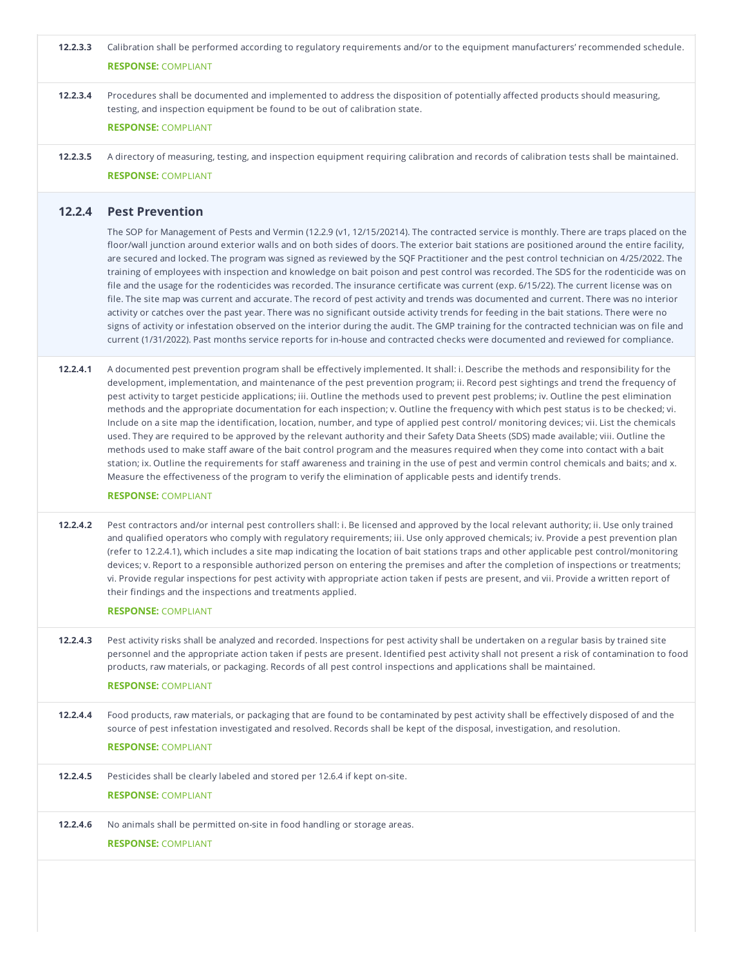| 12.2.3.3 | Calibration shall be performed according to regulatory requirements and/or to the equipment manufacturers' recommended schedule.<br><b>RESPONSE: COMPLIANT</b>                                                                                                                                                                                                                                                                                                                                                                                                                                                                                                                                                                                                                                                                                                                                                                                                                                                                                                                                                                                                                                                                                                                         |
|----------|----------------------------------------------------------------------------------------------------------------------------------------------------------------------------------------------------------------------------------------------------------------------------------------------------------------------------------------------------------------------------------------------------------------------------------------------------------------------------------------------------------------------------------------------------------------------------------------------------------------------------------------------------------------------------------------------------------------------------------------------------------------------------------------------------------------------------------------------------------------------------------------------------------------------------------------------------------------------------------------------------------------------------------------------------------------------------------------------------------------------------------------------------------------------------------------------------------------------------------------------------------------------------------------|
| 12.2.3.4 | Procedures shall be documented and implemented to address the disposition of potentially affected products should measuring,<br>testing, and inspection equipment be found to be out of calibration state.                                                                                                                                                                                                                                                                                                                                                                                                                                                                                                                                                                                                                                                                                                                                                                                                                                                                                                                                                                                                                                                                             |
|          | <b>RESPONSE: COMPLIANT</b>                                                                                                                                                                                                                                                                                                                                                                                                                                                                                                                                                                                                                                                                                                                                                                                                                                                                                                                                                                                                                                                                                                                                                                                                                                                             |
| 12.2.3.5 | A directory of measuring, testing, and inspection equipment requiring calibration and records of calibration tests shall be maintained.<br><b>RESPONSE: COMPLIANT</b>                                                                                                                                                                                                                                                                                                                                                                                                                                                                                                                                                                                                                                                                                                                                                                                                                                                                                                                                                                                                                                                                                                                  |
| 12.2.4   | <b>Pest Prevention</b>                                                                                                                                                                                                                                                                                                                                                                                                                                                                                                                                                                                                                                                                                                                                                                                                                                                                                                                                                                                                                                                                                                                                                                                                                                                                 |
|          | The SOP for Management of Pests and Vermin (12.2.9 (v1, 12/15/20214). The contracted service is monthly. There are traps placed on the<br>floor/wall junction around exterior walls and on both sides of doors. The exterior bait stations are positioned around the entire facility,<br>are secured and locked. The program was signed as reviewed by the SQF Practitioner and the pest control technician on 4/25/2022. The<br>training of employees with inspection and knowledge on bait poison and pest control was recorded. The SDS for the rodenticide was on<br>file and the usage for the rodenticides was recorded. The insurance certificate was current (exp. 6/15/22). The current license was on<br>file. The site map was current and accurate. The record of pest activity and trends was documented and current. There was no interior<br>activity or catches over the past year. There was no significant outside activity trends for feeding in the bait stations. There were no<br>signs of activity or infestation observed on the interior during the audit. The GMP training for the contracted technician was on file and<br>current (1/31/2022). Past months service reports for in-house and contracted checks were documented and reviewed for compliance. |
| 12.2.4.1 | A documented pest prevention program shall be effectively implemented. It shall: i. Describe the methods and responsibility for the<br>development, implementation, and maintenance of the pest prevention program; ii. Record pest sightings and trend the frequency of<br>pest activity to target pesticide applications; iii. Outline the methods used to prevent pest problems; iv. Outline the pest elimination<br>methods and the appropriate documentation for each inspection; v. Outline the frequency with which pest status is to be checked; vi.<br>Include on a site map the identification, location, number, and type of applied pest control/monitoring devices; vii. List the chemicals<br>used. They are required to be approved by the relevant authority and their Safety Data Sheets (SDS) made available; viii. Outline the<br>methods used to make staff aware of the bait control program and the measures required when they come into contact with a bait<br>station; ix. Outline the requirements for staff awareness and training in the use of pest and vermin control chemicals and baits; and x.<br>Measure the effectiveness of the program to verify the elimination of applicable pests and identify trends.                                         |
|          | <b>RESPONSE: COMPLIANT</b>                                                                                                                                                                                                                                                                                                                                                                                                                                                                                                                                                                                                                                                                                                                                                                                                                                                                                                                                                                                                                                                                                                                                                                                                                                                             |
| 12.2.4.2 | Pest contractors and/or internal pest controllers shall: i. Be licensed and approved by the local relevant authority; ii. Use only trained<br>and qualified operators who comply with regulatory requirements; iii. Use only approved chemicals; iv. Provide a pest prevention plan<br>(refer to 12.2.4.1), which includes a site map indicating the location of bait stations traps and other applicable pest control/monitoring<br>devices; v. Report to a responsible authorized person on entering the premises and after the completion of inspections or treatments;<br>vi. Provide regular inspections for pest activity with appropriate action taken if pests are present, and vii. Provide a written report of<br>their findings and the inspections and treatments applied.<br><b>RESPONSE: COMPLIANT</b>                                                                                                                                                                                                                                                                                                                                                                                                                                                                   |
| 12.2.4.3 | Pest activity risks shall be analyzed and recorded. Inspections for pest activity shall be undertaken on a regular basis by trained site<br>personnel and the appropriate action taken if pests are present. Identified pest activity shall not present a risk of contamination to food<br>products, raw materials, or packaging. Records of all pest control inspections and applications shall be maintained.<br><b>RESPONSE: COMPLIANT</b>                                                                                                                                                                                                                                                                                                                                                                                                                                                                                                                                                                                                                                                                                                                                                                                                                                          |
| 12.2.4.4 | Food products, raw materials, or packaging that are found to be contaminated by pest activity shall be effectively disposed of and the<br>source of pest infestation investigated and resolved. Records shall be kept of the disposal, investigation, and resolution.<br><b>RESPONSE: COMPLIANT</b>                                                                                                                                                                                                                                                                                                                                                                                                                                                                                                                                                                                                                                                                                                                                                                                                                                                                                                                                                                                    |
| 12.2.4.5 | Pesticides shall be clearly labeled and stored per 12.6.4 if kept on-site.<br><b>RESPONSE: COMPLIANT</b>                                                                                                                                                                                                                                                                                                                                                                                                                                                                                                                                                                                                                                                                                                                                                                                                                                                                                                                                                                                                                                                                                                                                                                               |
| 12.2.4.6 | No animals shall be permitted on-site in food handling or storage areas.<br><b>RESPONSE: COMPLIANT</b>                                                                                                                                                                                                                                                                                                                                                                                                                                                                                                                                                                                                                                                                                                                                                                                                                                                                                                                                                                                                                                                                                                                                                                                 |
|          |                                                                                                                                                                                                                                                                                                                                                                                                                                                                                                                                                                                                                                                                                                                                                                                                                                                                                                                                                                                                                                                                                                                                                                                                                                                                                        |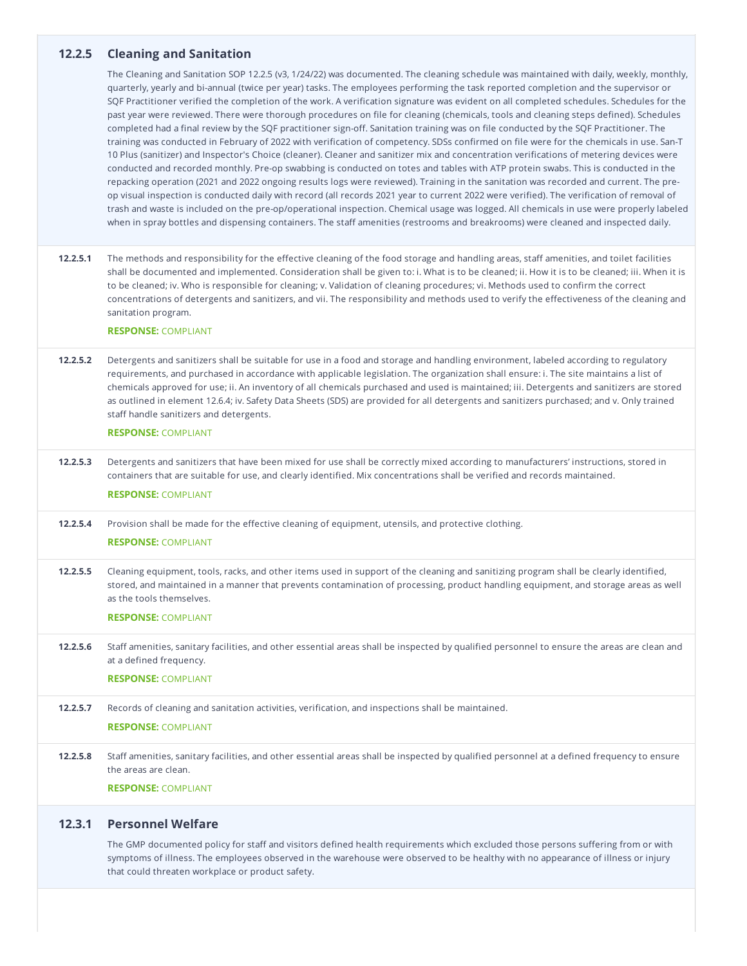# **12.2.5 Cleaning and Sanitation**

The Cleaning and Sanitation SOP 12.2.5 (v3, 1/24/22) was documented. The cleaning schedule was maintained with daily, weekly, monthly, quarterly, yearly and bi-annual (twice per year) tasks. The employees performing the task reported completion and the supervisor or SQF Practitioner verified the completion of the work. A verification signature was evident on all completed schedules. Schedules for the past year were reviewed. There were thorough procedures on file for cleaning (chemicals, tools and cleaning steps defined). Schedules completed had a final review by the SQF practitioner sign-off. Sanitation training was on file conducted by the SQF Practitioner. The training was conducted in February of 2022 with verification of competency. SDSs confirmed on file were for the chemicals in use. San-T 10 Plus (sanitizer) and Inspector's Choice (cleaner). Cleaner and sanitizer mix and concentration verifications of metering devices were conducted and recorded monthly. Pre-op swabbing is conducted on totes and tables with ATP protein swabs. This is conducted in the repacking operation (2021 and 2022 ongoing results logs were reviewed). Training in the sanitation was recorded and current. The pre op visual inspection is conducted daily with record (all records 2021 year to current 2022 were verified). The verification of removal of trash and waste is included on the pre-op/operational inspection. Chemical usage was logged. All chemicals in use were properly labeled when in spray bottles and dispensing containers. The staff amenities (restrooms and breakrooms) were cleaned and inspected daily.

**12.2.5.1** The methods and responsibility for the effective cleaning of the food storage and handling areas, staff amenities, and toilet facilities shall be documented and implemented. Consideration shall be given to: i. What is to be cleaned; ii. How it is to be cleaned; iii. When it is to be cleaned; iv. Who is responsible for cleaning; v. Validation of cleaning procedures; vi. Methods used to confirm the correct concentrations of detergents and sanitizers, and vii. The responsibility and methods used to verify the effectiveness of the cleaning and sanitation program.

#### **RESPONSE:** COMPLIANT

**12.2.5.2** Detergents and sanitizers shall be suitable for use in a food and storage and handling environment, labeled according to regulatory requirements, and purchased in accordance with applicable legislation. The organization shall ensure: i. The site maintains a list of chemicals approved for use; ii. An inventory of all chemicals purchased and used is maintained; iii. Detergents and sanitizers are stored as outlined in element 12.6.4; iv. Safety Data Sheets (SDS) are provided for all detergents and sanitizers purchased; and v.Only trained staff handle sanitizers and detergents.

### **RESPONSE:** COMPLIANT

**12.2.5.3** Detergents and sanitizers that have been mixed for use shall be correctly mixed according to manufacturers' instructions, stored in containers that are suitable for use, and clearly identified. Mix concentrations shall be verified and records maintained.

# **RESPONSE:** COMPLIANT

**12.2.5.4** Provision shall be made for the effective cleaning of equipment, utensils, and protective clothing.

# **RESPONSE:** COMPLIANT

**12.2.5.5** Cleaning equipment, tools, racks, and other items used in support of the cleaning and sanitizing program shall be clearly identified, stored, and maintained in a manner that prevents contamination of processing, product handling equipment, and storage areas as well as the tools themselves.

#### **RESPONSE:** COMPLIANT

**12.2.5.6** Staff amenities, sanitary facilities, and other essential areas shall be inspected by qualified personnel to ensure the areas are clean and at a defined frequency. **RESPONSE:** COMPLIANT

# **12.2.5.7** Records of cleaning and sanitation activities, verification, and inspections shall be maintained. **RESPONSE:** COMPLIANT

**12.2.5.8** Staff amenities, sanitary facilities, and other essential areas shall be inspected by qualified personnel at a defined frequency to ensure the areas are clean.

#### **RESPONSE:** COMPLIANT

# **12.3.1 Personnel Welfare**

The GMP documented policy for staff and visitors defined health requirements which excluded those persons suffering from or with symptoms of illness. The employees observed in the warehouse were observed to be healthy with no appearance of illness or injury that could threaten workplace or product safety.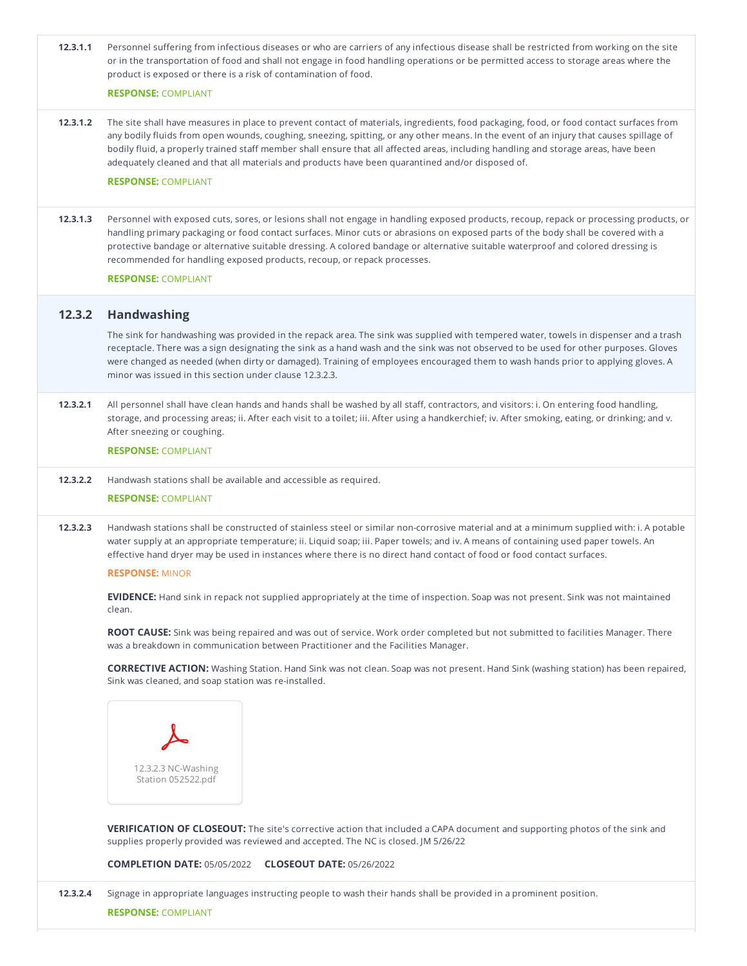| 12.3.1.1 | Personnel suffering from infectious diseases or who are carriers of any infectious disease shall be restricted from working on the site<br>or in the transportation of food and shall not engage in food handling operations or be permitted access to storage areas where the<br>product is exposed or there is a risk of contamination of food.<br><b>RESPONSE: COMPLIANT</b>                                                                                                                                                                             |
|----------|-------------------------------------------------------------------------------------------------------------------------------------------------------------------------------------------------------------------------------------------------------------------------------------------------------------------------------------------------------------------------------------------------------------------------------------------------------------------------------------------------------------------------------------------------------------|
| 12.3.1.2 | The site shall have measures in place to prevent contact of materials, ingredients, food packaging, food, or food contact surfaces from<br>any bodily fluids from open wounds, coughing, sneezing, spitting, or any other means. In the event of an injury that causes spillage of<br>bodily fluid, a properly trained staff member shall ensure that all affected areas, including handling and storage areas, have been<br>adequately cleaned and that all materials and products have been quarantined and/or disposed of.<br><b>RESPONSE: COMPLIANT</b> |
| 12.3.1.3 | Personnel with exposed cuts, sores, or lesions shall not engage in handling exposed products, recoup, repack or processing products, or<br>handling primary packaging or food contact surfaces. Minor cuts or abrasions on exposed parts of the body shall be covered with a<br>protective bandage or alternative suitable dressing. A colored bandage or alternative suitable waterproof and colored dressing is<br>recommended for handling exposed products, recoup, or repack processes.<br><b>RESPONSE: COMPLIANT</b>                                  |
| 12.3.2   | <b>Handwashing</b>                                                                                                                                                                                                                                                                                                                                                                                                                                                                                                                                          |
|          | The sink for handwashing was provided in the repack area. The sink was supplied with tempered water, towels in dispenser and a trash<br>receptacle. There was a sign designating the sink as a hand wash and the sink was not observed to be used for other purposes. Gloves<br>were changed as needed (when dirty or damaged). Training of employees encouraged them to wash hands prior to applying gloves. A<br>minor was issued in this section under clause 12.3.2.3.                                                                                  |
| 12.3.2.1 | All personnel shall have clean hands and hands shall be washed by all staff, contractors, and visitors: i. On entering food handling,<br>storage, and processing areas; ii. After each visit to a toilet; iii. After using a handkerchief; iv. After smoking, eating, or drinking; and v.<br>After sneezing or coughing.<br><b>RESPONSE: COMPLIANT</b>                                                                                                                                                                                                      |
| 12.3.2.2 | Handwash stations shall be available and accessible as required.                                                                                                                                                                                                                                                                                                                                                                                                                                                                                            |
|          | <b>RESPONSE: COMPLIANT</b>                                                                                                                                                                                                                                                                                                                                                                                                                                                                                                                                  |
| 12.3.2.3 | Handwash stations shall be constructed of stainless steel or similar non-corrosive material and at a minimum supplied with: i. A potable<br>water supply at an appropriate temperature; ii. Liquid soap; iii. Paper towels; and iv. A means of containing used paper towels. An<br>effective hand dryer may be used in instances where there is no direct hand contact of food or food contact surfaces.                                                                                                                                                    |
|          | <b>RESPONSE: MINOR</b>                                                                                                                                                                                                                                                                                                                                                                                                                                                                                                                                      |
|          | <b>EVIDENCE:</b> Hand sink in repack not supplied appropriately at the time of inspection. Soap was not present. Sink was not maintained<br>clean.                                                                                                                                                                                                                                                                                                                                                                                                          |
|          | ROOT CAUSE: Sink was being repaired and was out of service. Work order completed but not submitted to facilities Manager. There<br>was a breakdown in communication between Practitioner and the Facilities Manager.                                                                                                                                                                                                                                                                                                                                        |
|          | <b>CORRECTIVE ACTION:</b> Washing Station. Hand Sink was not clean. Soap was not present. Hand Sink (washing station) has been repaired,<br>Sink was cleaned, and soap station was re-installed.                                                                                                                                                                                                                                                                                                                                                            |
|          |                                                                                                                                                                                                                                                                                                                                                                                                                                                                                                                                                             |
|          | 12.3.2.3 NC-Washing<br>Station 052522.pdf                                                                                                                                                                                                                                                                                                                                                                                                                                                                                                                   |
|          | <b>VERIFICATION OF CLOSEOUT:</b> The site's corrective action that included a CAPA document and supporting photos of the sink and<br>supplies properly provided was reviewed and accepted. The NC is closed. JM 5/26/22                                                                                                                                                                                                                                                                                                                                     |
|          | <b>COMPLETION DATE: 05/05/2022</b><br><b>CLOSEOUT DATE: 05/26/2022</b>                                                                                                                                                                                                                                                                                                                                                                                                                                                                                      |
| 12.3.2.4 | Signage in appropriate languages instructing people to wash their hands shall be provided in a prominent position.                                                                                                                                                                                                                                                                                                                                                                                                                                          |
|          | <b>RESPONSE: COMPLIANT</b>                                                                                                                                                                                                                                                                                                                                                                                                                                                                                                                                  |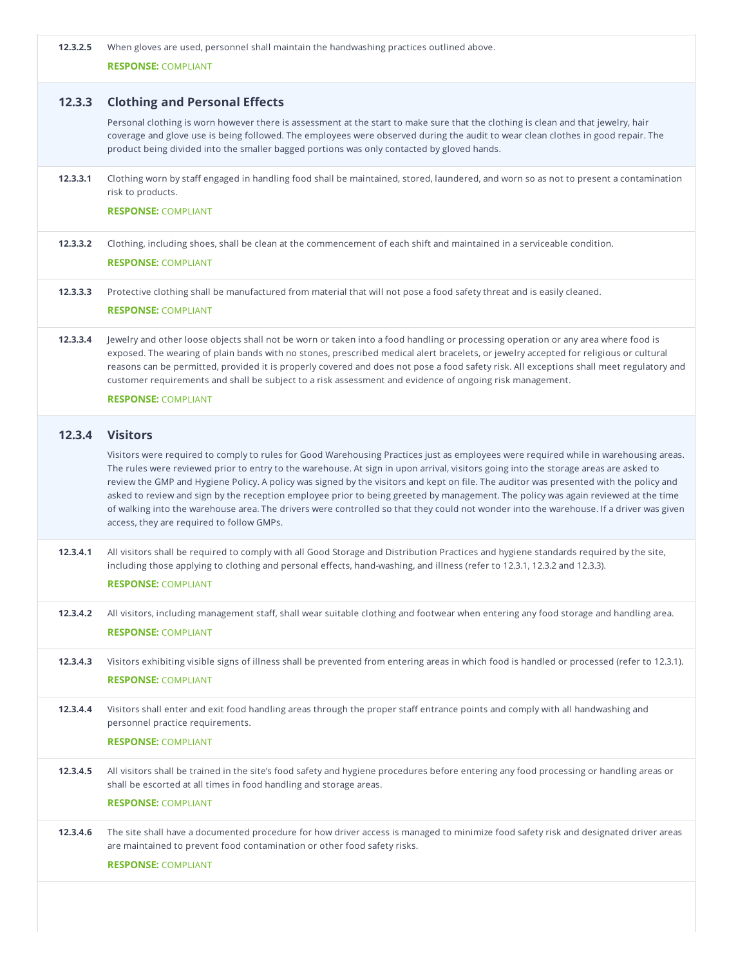| 12.3.2.5 | When gloves are used, personnel shall maintain the handwashing practices outlined above.<br><b>RESPONSE: COMPLIANT</b>                                                                                                                                                                                                                                                                                                                                                                                                                                                                                                                                                                                                                               |
|----------|------------------------------------------------------------------------------------------------------------------------------------------------------------------------------------------------------------------------------------------------------------------------------------------------------------------------------------------------------------------------------------------------------------------------------------------------------------------------------------------------------------------------------------------------------------------------------------------------------------------------------------------------------------------------------------------------------------------------------------------------------|
| 12.3.3   | <b>Clothing and Personal Effects</b>                                                                                                                                                                                                                                                                                                                                                                                                                                                                                                                                                                                                                                                                                                                 |
|          | Personal clothing is worn however there is assessment at the start to make sure that the clothing is clean and that jewelry, hair<br>coverage and glove use is being followed. The employees were observed during the audit to wear clean clothes in good repair. The<br>product being divided into the smaller bagged portions was only contacted by gloved hands.                                                                                                                                                                                                                                                                                                                                                                                  |
| 12.3.3.1 | Clothing worn by staff engaged in handling food shall be maintained, stored, laundered, and worn so as not to present a contamination<br>risk to products.<br><b>RESPONSE: COMPLIANT</b>                                                                                                                                                                                                                                                                                                                                                                                                                                                                                                                                                             |
|          |                                                                                                                                                                                                                                                                                                                                                                                                                                                                                                                                                                                                                                                                                                                                                      |
| 12.3.3.2 | Clothing, including shoes, shall be clean at the commencement of each shift and maintained in a serviceable condition.<br><b>RESPONSE: COMPLIANT</b>                                                                                                                                                                                                                                                                                                                                                                                                                                                                                                                                                                                                 |
| 12.3.3.3 | Protective clothing shall be manufactured from material that will not pose a food safety threat and is easily cleaned.                                                                                                                                                                                                                                                                                                                                                                                                                                                                                                                                                                                                                               |
|          | <b>RESPONSE: COMPLIANT</b>                                                                                                                                                                                                                                                                                                                                                                                                                                                                                                                                                                                                                                                                                                                           |
| 12.3.3.4 | Jewelry and other loose objects shall not be worn or taken into a food handling or processing operation or any area where food is<br>exposed. The wearing of plain bands with no stones, prescribed medical alert bracelets, or jewelry accepted for religious or cultural<br>reasons can be permitted, provided it is properly covered and does not pose a food safety risk. All exceptions shall meet regulatory and<br>customer requirements and shall be subject to a risk assessment and evidence of ongoing risk management.                                                                                                                                                                                                                   |
|          | <b>RESPONSE: COMPLIANT</b>                                                                                                                                                                                                                                                                                                                                                                                                                                                                                                                                                                                                                                                                                                                           |
| 12.3.4   | <b>Visitors</b>                                                                                                                                                                                                                                                                                                                                                                                                                                                                                                                                                                                                                                                                                                                                      |
|          | Visitors were required to comply to rules for Good Warehousing Practices just as employees were required while in warehousing areas.<br>The rules were reviewed prior to entry to the warehouse. At sign in upon arrival, visitors going into the storage areas are asked to<br>review the GMP and Hygiene Policy. A policy was signed by the visitors and kept on file. The auditor was presented with the policy and<br>asked to review and sign by the reception employee prior to being greeted by management. The policy was again reviewed at the time<br>of walking into the warehouse area. The drivers were controlled so that they could not wonder into the warehouse. If a driver was given<br>access, they are required to follow GMPs. |
| 12.3.4.1 | All visitors shall be required to comply with all Good Storage and Distribution Practices and hygiene standards required by the site,<br>including those applying to clothing and personal effects, hand-washing, and illness (refer to 12.3.1, 12.3.2 and 12.3.3).                                                                                                                                                                                                                                                                                                                                                                                                                                                                                  |
|          | <b>RESPONSE: COMPLIANT</b>                                                                                                                                                                                                                                                                                                                                                                                                                                                                                                                                                                                                                                                                                                                           |
| 12.3.4.2 | All visitors, including management staff, shall wear suitable clothing and footwear when entering any food storage and handling area.<br><b>RESPONSE: COMPLIANT</b>                                                                                                                                                                                                                                                                                                                                                                                                                                                                                                                                                                                  |
| 12.3.4.3 | Visitors exhibiting visible signs of illness shall be prevented from entering areas in which food is handled or processed (refer to 12.3.1).<br><b>RESPONSE: COMPLIANT</b>                                                                                                                                                                                                                                                                                                                                                                                                                                                                                                                                                                           |
| 12.3.4.4 | Visitors shall enter and exit food handling areas through the proper staff entrance points and comply with all handwashing and<br>personnel practice requirements.                                                                                                                                                                                                                                                                                                                                                                                                                                                                                                                                                                                   |
|          | <b>RESPONSE: COMPLIANT</b>                                                                                                                                                                                                                                                                                                                                                                                                                                                                                                                                                                                                                                                                                                                           |
| 12.3.4.5 | All visitors shall be trained in the site's food safety and hygiene procedures before entering any food processing or handling areas or<br>shall be escorted at all times in food handling and storage areas.                                                                                                                                                                                                                                                                                                                                                                                                                                                                                                                                        |
|          | <b>RESPONSE: COMPLIANT</b>                                                                                                                                                                                                                                                                                                                                                                                                                                                                                                                                                                                                                                                                                                                           |
| 12.3.4.6 | The site shall have a documented procedure for how driver access is managed to minimize food safety risk and designated driver areas<br>are maintained to prevent food contamination or other food safety risks.                                                                                                                                                                                                                                                                                                                                                                                                                                                                                                                                     |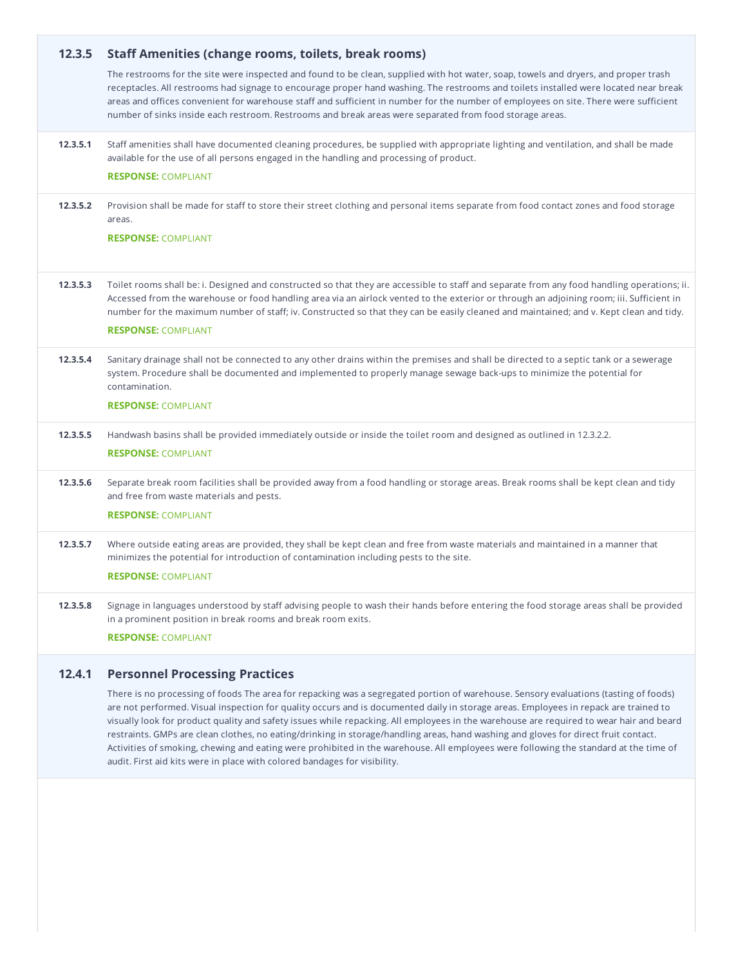| 12.3.5   | <b>Staff Amenities (change rooms, toilets, break rooms)</b><br>The restrooms for the site were inspected and found to be clean, supplied with hot water, soap, towels and dryers, and proper trash<br>receptacles. All restrooms had signage to encourage proper hand washing. The restrooms and toilets installed were located near break<br>areas and offices convenient for warehouse staff and sufficient in number for the number of employees on site. There were sufficient<br>number of sinks inside each restroom. Restrooms and break areas were separated from food storage areas. |
|----------|-----------------------------------------------------------------------------------------------------------------------------------------------------------------------------------------------------------------------------------------------------------------------------------------------------------------------------------------------------------------------------------------------------------------------------------------------------------------------------------------------------------------------------------------------------------------------------------------------|
| 12.3.5.1 | Staff amenities shall have documented cleaning procedures, be supplied with appropriate lighting and ventilation, and shall be made<br>available for the use of all persons engaged in the handling and processing of product.<br><b>RESPONSE: COMPLIANT</b>                                                                                                                                                                                                                                                                                                                                  |
| 12.3.5.2 | Provision shall be made for staff to store their street clothing and personal items separate from food contact zones and food storage<br>areas.<br><b>RESPONSE: COMPLIANT</b>                                                                                                                                                                                                                                                                                                                                                                                                                 |
| 12.3.5.3 | Toilet rooms shall be: i. Designed and constructed so that they are accessible to staff and separate from any food handling operations; ii.<br>Accessed from the warehouse or food handling area via an airlock vented to the exterior or through an adjoining room; iii. Sufficient in<br>number for the maximum number of staff; iv. Constructed so that they can be easily cleaned and maintained; and v. Kept clean and tidy.<br><b>RESPONSE: COMPLIANT</b>                                                                                                                               |
| 12.3.5.4 | Sanitary drainage shall not be connected to any other drains within the premises and shall be directed to a septic tank or a sewerage<br>system. Procedure shall be documented and implemented to properly manage sewage back-ups to minimize the potential for<br>contamination.<br><b>RESPONSE: COMPLIANT</b>                                                                                                                                                                                                                                                                               |
| 12.3.5.5 | Handwash basins shall be provided immediately outside or inside the toilet room and designed as outlined in 12.3.2.2.<br><b>RESPONSE: COMPLIANT</b>                                                                                                                                                                                                                                                                                                                                                                                                                                           |
| 12.3.5.6 | Separate break room facilities shall be provided away from a food handling or storage areas. Break rooms shall be kept clean and tidy<br>and free from waste materials and pests.<br><b>RESPONSE: COMPLIANT</b>                                                                                                                                                                                                                                                                                                                                                                               |
| 12.3.5.7 | Where outside eating areas are provided, they shall be kept clean and free from waste materials and maintained in a manner that<br>minimizes the potential for introduction of contamination including pests to the site.<br><b>RESPONSE: COMPLIANT</b>                                                                                                                                                                                                                                                                                                                                       |
| 12.3.5.8 | Signage in languages understood by staff advising people to wash their hands before entering the food storage areas shall be provided<br>in a prominent position in break rooms and break room exits.<br><b>RESPONSE: COMPLIANT</b>                                                                                                                                                                                                                                                                                                                                                           |
| 12.4.1   | <b>Personnel Processing Practices</b>                                                                                                                                                                                                                                                                                                                                                                                                                                                                                                                                                         |

There is no processing of foods The area for repacking was a segregated portion of warehouse. Sensory evaluations (tasting of foods) are not performed. Visual inspection for quality occurs and is documented daily in storage areas. Employees in repack are trained to visually look for product quality and safety issues while repacking. All employees in the warehouse are required to wear hair and beard restraints. GMPs are clean clothes, no eating/drinking in storage/handling areas, hand washing and gloves for direct fruit contact. Activities of smoking, chewing and eating were prohibited in the warehouse. All employees were following the standard at the time of audit. First aid kits were in place with colored bandages for visibility.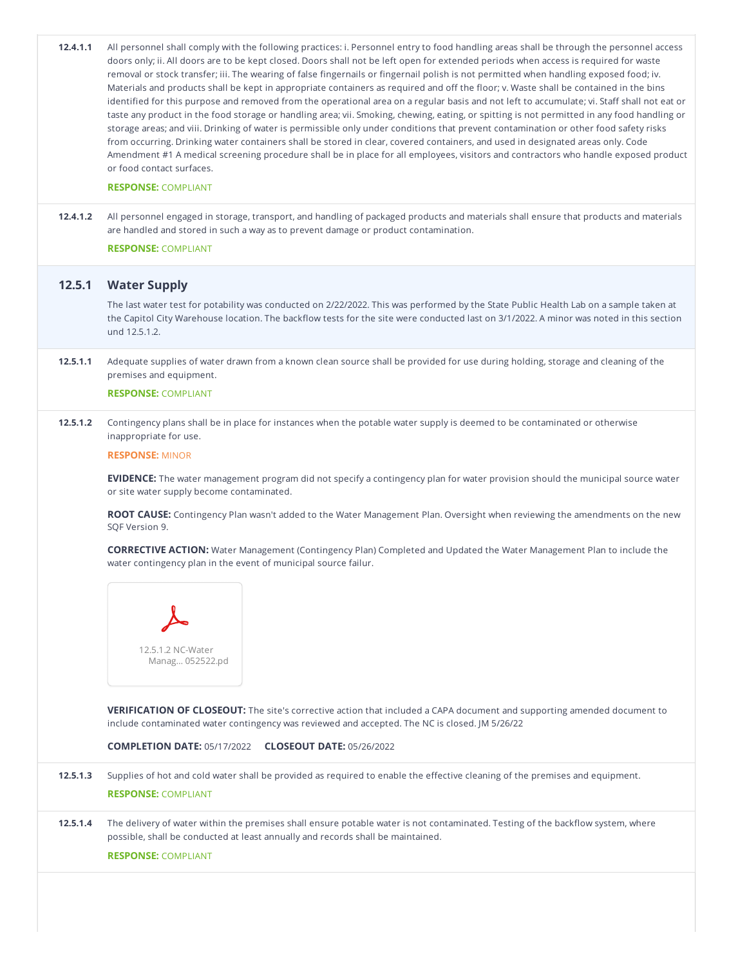| 12.4.1.1 | All personnel shall comply with the following practices: i. Personnel entry to food handling areas shall be through the personnel access<br>doors only; ii. All doors are to be kept closed. Doors shall not be left open for extended periods when access is required for waste<br>removal or stock transfer; iii. The wearing of false fingernails or fingernail polish is not permitted when handling exposed food; iv.<br>Materials and products shall be kept in appropriate containers as required and off the floor; v. Waste shall be contained in the bins<br>identified for this purpose and removed from the operational area on a regular basis and not left to accumulate; vi. Staff shall not eat or<br>taste any product in the food storage or handling area; vii. Smoking, chewing, eating, or spitting is not permitted in any food handling or<br>storage areas; and viii. Drinking of water is permissible only under conditions that prevent contamination or other food safety risks<br>from occurring. Drinking water containers shall be stored in clear, covered containers, and used in designated areas only. Code<br>Amendment #1 A medical screening procedure shall be in place for all employees, visitors and contractors who handle exposed product<br>or food contact surfaces.<br><b>RESPONSE: COMPLIANT</b> |
|----------|-------------------------------------------------------------------------------------------------------------------------------------------------------------------------------------------------------------------------------------------------------------------------------------------------------------------------------------------------------------------------------------------------------------------------------------------------------------------------------------------------------------------------------------------------------------------------------------------------------------------------------------------------------------------------------------------------------------------------------------------------------------------------------------------------------------------------------------------------------------------------------------------------------------------------------------------------------------------------------------------------------------------------------------------------------------------------------------------------------------------------------------------------------------------------------------------------------------------------------------------------------------------------------------------------------------------------------------------------|
| 12.4.1.2 | All personnel engaged in storage, transport, and handling of packaged products and materials shall ensure that products and materials<br>are handled and stored in such a way as to prevent damage or product contamination.                                                                                                                                                                                                                                                                                                                                                                                                                                                                                                                                                                                                                                                                                                                                                                                                                                                                                                                                                                                                                                                                                                                    |
|          | <b>RESPONSE: COMPLIANT</b>                                                                                                                                                                                                                                                                                                                                                                                                                                                                                                                                                                                                                                                                                                                                                                                                                                                                                                                                                                                                                                                                                                                                                                                                                                                                                                                      |
| 12.5.1   | <b>Water Supply</b>                                                                                                                                                                                                                                                                                                                                                                                                                                                                                                                                                                                                                                                                                                                                                                                                                                                                                                                                                                                                                                                                                                                                                                                                                                                                                                                             |
|          | The last water test for potability was conducted on 2/22/2022. This was performed by the State Public Health Lab on a sample taken at<br>the Capitol City Warehouse location. The backflow tests for the site were conducted last on 3/1/2022. A minor was noted in this section<br>und 12.5.1.2.                                                                                                                                                                                                                                                                                                                                                                                                                                                                                                                                                                                                                                                                                                                                                                                                                                                                                                                                                                                                                                               |
| 12.5.1.1 | Adequate supplies of water drawn from a known clean source shall be provided for use during holding, storage and cleaning of the<br>premises and equipment.                                                                                                                                                                                                                                                                                                                                                                                                                                                                                                                                                                                                                                                                                                                                                                                                                                                                                                                                                                                                                                                                                                                                                                                     |
|          | <b>RESPONSE: COMPLIANT</b>                                                                                                                                                                                                                                                                                                                                                                                                                                                                                                                                                                                                                                                                                                                                                                                                                                                                                                                                                                                                                                                                                                                                                                                                                                                                                                                      |
| 12.5.1.2 | Contingency plans shall be in place for instances when the potable water supply is deemed to be contaminated or otherwise<br>inappropriate for use.                                                                                                                                                                                                                                                                                                                                                                                                                                                                                                                                                                                                                                                                                                                                                                                                                                                                                                                                                                                                                                                                                                                                                                                             |
|          | <b>RESPONSE: MINOR</b>                                                                                                                                                                                                                                                                                                                                                                                                                                                                                                                                                                                                                                                                                                                                                                                                                                                                                                                                                                                                                                                                                                                                                                                                                                                                                                                          |
|          | EVIDENCE: The water management program did not specify a contingency plan for water provision should the municipal source water<br>or site water supply become contaminated.                                                                                                                                                                                                                                                                                                                                                                                                                                                                                                                                                                                                                                                                                                                                                                                                                                                                                                                                                                                                                                                                                                                                                                    |
|          | ROOT CAUSE: Contingency Plan wasn't added to the Water Management Plan. Oversight when reviewing the amendments on the new<br>SQF Version 9.                                                                                                                                                                                                                                                                                                                                                                                                                                                                                                                                                                                                                                                                                                                                                                                                                                                                                                                                                                                                                                                                                                                                                                                                    |
|          | <b>CORRECTIVE ACTION:</b> Water Management (Contingency Plan) Completed and Updated the Water Management Plan to include the<br>water contingency plan in the event of municipal source failur.                                                                                                                                                                                                                                                                                                                                                                                                                                                                                                                                                                                                                                                                                                                                                                                                                                                                                                                                                                                                                                                                                                                                                 |
|          | 12.5.1.2 NC-Water<br>Manag 052522.pd                                                                                                                                                                                                                                                                                                                                                                                                                                                                                                                                                                                                                                                                                                                                                                                                                                                                                                                                                                                                                                                                                                                                                                                                                                                                                                            |
|          | <b>VERIFICATION OF CLOSEOUT:</b> The site's corrective action that included a CAPA document and supporting amended document to<br>include contaminated water contingency was reviewed and accepted. The NC is closed. JM 5/26/22                                                                                                                                                                                                                                                                                                                                                                                                                                                                                                                                                                                                                                                                                                                                                                                                                                                                                                                                                                                                                                                                                                                |
|          | <b>COMPLETION DATE: 05/17/2022  CLOSEOUT DATE: 05/26/2022</b>                                                                                                                                                                                                                                                                                                                                                                                                                                                                                                                                                                                                                                                                                                                                                                                                                                                                                                                                                                                                                                                                                                                                                                                                                                                                                   |
| 12.5.1.3 | Supplies of hot and cold water shall be provided as required to enable the effective cleaning of the premises and equipment.                                                                                                                                                                                                                                                                                                                                                                                                                                                                                                                                                                                                                                                                                                                                                                                                                                                                                                                                                                                                                                                                                                                                                                                                                    |
|          | <b>RESPONSE: COMPLIANT</b>                                                                                                                                                                                                                                                                                                                                                                                                                                                                                                                                                                                                                                                                                                                                                                                                                                                                                                                                                                                                                                                                                                                                                                                                                                                                                                                      |
| 12.5.1.4 | The delivery of water within the premises shall ensure potable water is not contaminated. Testing of the backflow system, where<br>possible, shall be conducted at least annually and records shall be maintained.<br><b>RESPONSE: COMPLIANT</b>                                                                                                                                                                                                                                                                                                                                                                                                                                                                                                                                                                                                                                                                                                                                                                                                                                                                                                                                                                                                                                                                                                |
|          |                                                                                                                                                                                                                                                                                                                                                                                                                                                                                                                                                                                                                                                                                                                                                                                                                                                                                                                                                                                                                                                                                                                                                                                                                                                                                                                                                 |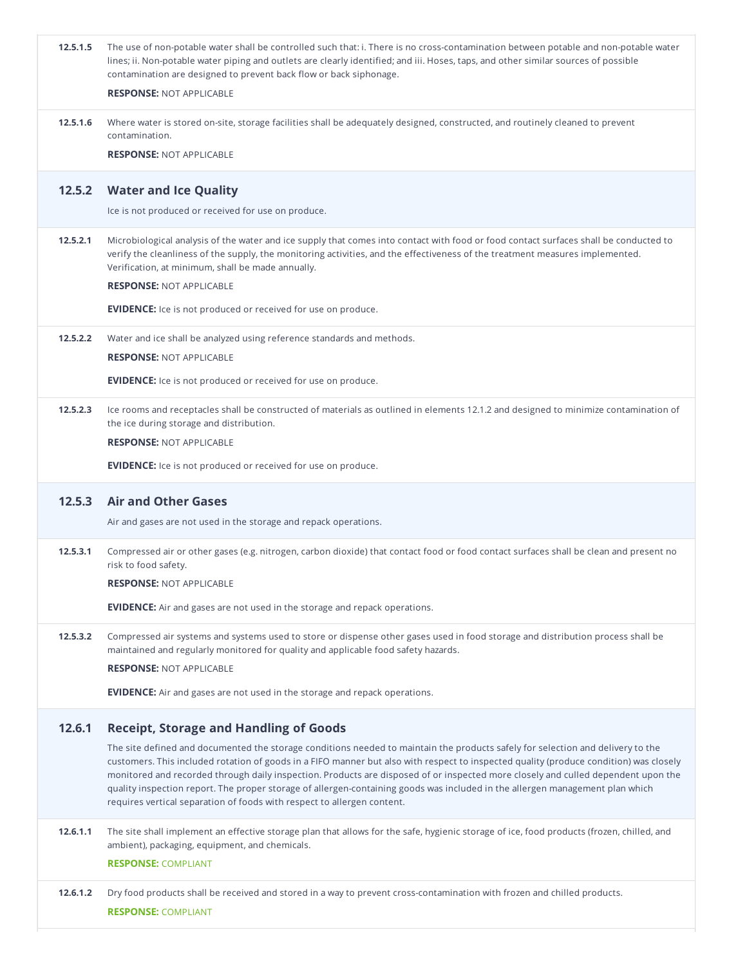| 12.5.1.5 | The use of non-potable water shall be controlled such that: i. There is no cross-contamination between potable and non-potable water<br>lines; ii. Non-potable water piping and outlets are clearly identified; and iii. Hoses, taps, and other similar sources of possible<br>contamination are designed to prevent back flow or back siphonage.<br><b>RESPONSE: NOT APPLICABLE</b>                                                                                                                                                                                                                                       |
|----------|----------------------------------------------------------------------------------------------------------------------------------------------------------------------------------------------------------------------------------------------------------------------------------------------------------------------------------------------------------------------------------------------------------------------------------------------------------------------------------------------------------------------------------------------------------------------------------------------------------------------------|
| 12.5.1.6 | Where water is stored on-site, storage facilities shall be adequately designed, constructed, and routinely cleaned to prevent<br>contamination.<br><b>RESPONSE: NOT APPLICABLE</b>                                                                                                                                                                                                                                                                                                                                                                                                                                         |
| 12.5.2   | <b>Water and Ice Quality</b><br>Ice is not produced or received for use on produce.                                                                                                                                                                                                                                                                                                                                                                                                                                                                                                                                        |
| 12.5.2.1 | Microbiological analysis of the water and ice supply that comes into contact with food or food contact surfaces shall be conducted to<br>verify the cleanliness of the supply, the monitoring activities, and the effectiveness of the treatment measures implemented.<br>Verification, at minimum, shall be made annually.<br><b>RESPONSE: NOT APPLICABLE</b>                                                                                                                                                                                                                                                             |
|          | <b>EVIDENCE:</b> Ice is not produced or received for use on produce.                                                                                                                                                                                                                                                                                                                                                                                                                                                                                                                                                       |
| 12.5.2.2 | Water and ice shall be analyzed using reference standards and methods.<br><b>RESPONSE: NOT APPLICABLE</b>                                                                                                                                                                                                                                                                                                                                                                                                                                                                                                                  |
|          | <b>EVIDENCE:</b> Ice is not produced or received for use on produce.                                                                                                                                                                                                                                                                                                                                                                                                                                                                                                                                                       |
| 12.5.2.3 | Ice rooms and receptacles shall be constructed of materials as outlined in elements 12.1.2 and designed to minimize contamination of<br>the ice during storage and distribution.                                                                                                                                                                                                                                                                                                                                                                                                                                           |
|          | <b>RESPONSE: NOT APPLICABLE</b>                                                                                                                                                                                                                                                                                                                                                                                                                                                                                                                                                                                            |
|          | <b>EVIDENCE:</b> Ice is not produced or received for use on produce.                                                                                                                                                                                                                                                                                                                                                                                                                                                                                                                                                       |
|          |                                                                                                                                                                                                                                                                                                                                                                                                                                                                                                                                                                                                                            |
| 12.5.3   | <b>Air and Other Gases</b>                                                                                                                                                                                                                                                                                                                                                                                                                                                                                                                                                                                                 |
|          | Air and gases are not used in the storage and repack operations.                                                                                                                                                                                                                                                                                                                                                                                                                                                                                                                                                           |
| 12.5.3.1 | Compressed air or other gases (e.g. nitrogen, carbon dioxide) that contact food or food contact surfaces shall be clean and present no<br>risk to food safety.                                                                                                                                                                                                                                                                                                                                                                                                                                                             |
|          | <b>RESPONSE: NOT APPLICABLE</b>                                                                                                                                                                                                                                                                                                                                                                                                                                                                                                                                                                                            |
|          | <b>EVIDENCE:</b> Air and gases are not used in the storage and repack operations.                                                                                                                                                                                                                                                                                                                                                                                                                                                                                                                                          |
| 12.5.3.2 | Compressed air systems and systems used to store or dispense other gases used in food storage and distribution process shall be<br>maintained and regularly monitored for quality and applicable food safety hazards.                                                                                                                                                                                                                                                                                                                                                                                                      |
|          | <b>RESPONSE: NOT APPLICABLE</b>                                                                                                                                                                                                                                                                                                                                                                                                                                                                                                                                                                                            |
|          | <b>EVIDENCE:</b> Air and gases are not used in the storage and repack operations.                                                                                                                                                                                                                                                                                                                                                                                                                                                                                                                                          |
| 12.6.1   | <b>Receipt, Storage and Handling of Goods</b>                                                                                                                                                                                                                                                                                                                                                                                                                                                                                                                                                                              |
|          | The site defined and documented the storage conditions needed to maintain the products safely for selection and delivery to the<br>customers. This included rotation of goods in a FIFO manner but also with respect to inspected quality (produce condition) was closely<br>monitored and recorded through daily inspection. Products are disposed of or inspected more closely and culled dependent upon the<br>quality inspection report. The proper storage of allergen-containing goods was included in the allergen management plan which<br>requires vertical separation of foods with respect to allergen content. |
| 12.6.1.1 | The site shall implement an effective storage plan that allows for the safe, hygienic storage of ice, food products (frozen, chilled, and<br>ambient), packaging, equipment, and chemicals.                                                                                                                                                                                                                                                                                                                                                                                                                                |
|          | <b>RESPONSE: COMPLIANT</b>                                                                                                                                                                                                                                                                                                                                                                                                                                                                                                                                                                                                 |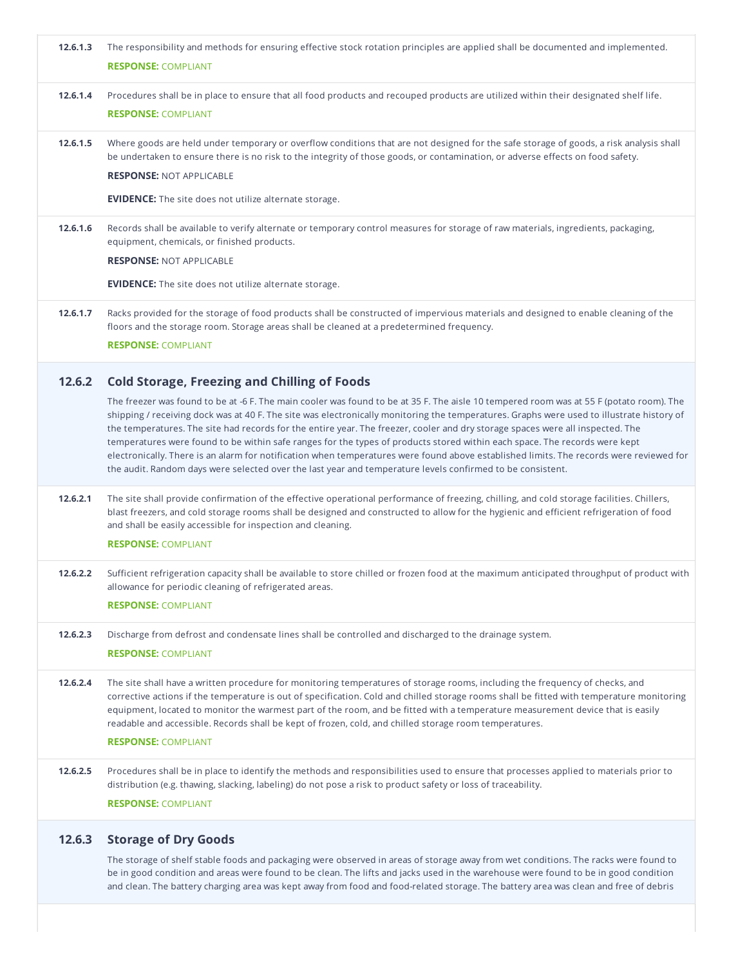| 12.6.1.3 | The responsibility and methods for ensuring effective stock rotation principles are applied shall be documented and implemented.<br><b>RESPONSE: COMPLIANT</b>                                                                                                                                                                                                                                                                                                                                                                                                                                                                                                                                                                                                                                                |
|----------|---------------------------------------------------------------------------------------------------------------------------------------------------------------------------------------------------------------------------------------------------------------------------------------------------------------------------------------------------------------------------------------------------------------------------------------------------------------------------------------------------------------------------------------------------------------------------------------------------------------------------------------------------------------------------------------------------------------------------------------------------------------------------------------------------------------|
| 12.6.1.4 | Procedures shall be in place to ensure that all food products and recouped products are utilized within their designated shelf life.<br><b>RESPONSE: COMPLIANT</b>                                                                                                                                                                                                                                                                                                                                                                                                                                                                                                                                                                                                                                            |
| 12.6.1.5 | Where goods are held under temporary or overflow conditions that are not designed for the safe storage of goods, a risk analysis shall<br>be undertaken to ensure there is no risk to the integrity of those goods, or contamination, or adverse effects on food safety.                                                                                                                                                                                                                                                                                                                                                                                                                                                                                                                                      |
|          | <b>RESPONSE: NOT APPLICABLE</b>                                                                                                                                                                                                                                                                                                                                                                                                                                                                                                                                                                                                                                                                                                                                                                               |
|          | <b>EVIDENCE:</b> The site does not utilize alternate storage.                                                                                                                                                                                                                                                                                                                                                                                                                                                                                                                                                                                                                                                                                                                                                 |
| 12.6.1.6 | Records shall be available to verify alternate or temporary control measures for storage of raw materials, ingredients, packaging,<br>equipment, chemicals, or finished products.                                                                                                                                                                                                                                                                                                                                                                                                                                                                                                                                                                                                                             |
|          | <b>RESPONSE: NOT APPLICABLE</b>                                                                                                                                                                                                                                                                                                                                                                                                                                                                                                                                                                                                                                                                                                                                                                               |
|          | <b>EVIDENCE:</b> The site does not utilize alternate storage.                                                                                                                                                                                                                                                                                                                                                                                                                                                                                                                                                                                                                                                                                                                                                 |
| 12.6.1.7 | Racks provided for the storage of food products shall be constructed of impervious materials and designed to enable cleaning of the<br>floors and the storage room. Storage areas shall be cleaned at a predetermined frequency.                                                                                                                                                                                                                                                                                                                                                                                                                                                                                                                                                                              |
|          | <b>RESPONSE: COMPLIANT</b>                                                                                                                                                                                                                                                                                                                                                                                                                                                                                                                                                                                                                                                                                                                                                                                    |
| 12.6.2   | <b>Cold Storage, Freezing and Chilling of Foods</b>                                                                                                                                                                                                                                                                                                                                                                                                                                                                                                                                                                                                                                                                                                                                                           |
|          | The freezer was found to be at -6 F. The main cooler was found to be at 35 F. The aisle 10 tempered room was at 55 F (potato room). The<br>shipping / receiving dock was at 40 F. The site was electronically monitoring the temperatures. Graphs were used to illustrate history of<br>the temperatures. The site had records for the entire year. The freezer, cooler and dry storage spaces were all inspected. The<br>temperatures were found to be within safe ranges for the types of products stored within each space. The records were kept<br>electronically. There is an alarm for notification when temperatures were found above established limits. The records were reviewed for<br>the audit. Random days were selected over the last year and temperature levels confirmed to be consistent. |
| 12.6.2.1 | The site shall provide confirmation of the effective operational performance of freezing, chilling, and cold storage facilities. Chillers,<br>blast freezers, and cold storage rooms shall be designed and constructed to allow for the hygienic and efficient refrigeration of food<br>and shall be easily accessible for inspection and cleaning.<br><b>RESPONSE: COMPLIANT</b>                                                                                                                                                                                                                                                                                                                                                                                                                             |
| 12.6.2.2 | Sufficient refrigeration capacity shall be available to store chilled or frozen food at the maximum anticipated throughput of product with<br>allowance for periodic cleaning of refrigerated areas.<br><b>RESPONSE: COMPLIANT</b>                                                                                                                                                                                                                                                                                                                                                                                                                                                                                                                                                                            |
| 12.6.2.3 | Discharge from defrost and condensate lines shall be controlled and discharged to the drainage system.                                                                                                                                                                                                                                                                                                                                                                                                                                                                                                                                                                                                                                                                                                        |
|          | <b>RESPONSE: COMPLIANT</b>                                                                                                                                                                                                                                                                                                                                                                                                                                                                                                                                                                                                                                                                                                                                                                                    |
| 12.6.2.4 | The site shall have a written procedure for monitoring temperatures of storage rooms, including the frequency of checks, and<br>corrective actions if the temperature is out of specification. Cold and chilled storage rooms shall be fitted with temperature monitoring<br>equipment, located to monitor the warmest part of the room, and be fitted with a temperature measurement device that is easily<br>readable and accessible. Records shall be kept of frozen, cold, and chilled storage room temperatures.                                                                                                                                                                                                                                                                                         |
|          | <b>RESPONSE: COMPLIANT</b>                                                                                                                                                                                                                                                                                                                                                                                                                                                                                                                                                                                                                                                                                                                                                                                    |
| 12.6.2.5 | Procedures shall be in place to identify the methods and responsibilities used to ensure that processes applied to materials prior to<br>distribution (e.g. thawing, slacking, labeling) do not pose a risk to product safety or loss of traceability.                                                                                                                                                                                                                                                                                                                                                                                                                                                                                                                                                        |
|          | <b>RESPONSE: COMPLIANT</b>                                                                                                                                                                                                                                                                                                                                                                                                                                                                                                                                                                                                                                                                                                                                                                                    |
| 12.6.3   | <b>Storage of Dry Goods</b>                                                                                                                                                                                                                                                                                                                                                                                                                                                                                                                                                                                                                                                                                                                                                                                   |

The storage of shelf stable foods and packaging were observed in areas of storage away from wet conditions. The racks were found to be in good condition and areas were found to be clean. The lifts and jacks used in the warehouse were found to be in good condition and clean. The battery charging area was kept away from food and food-related storage. The battery area was clean and free of debris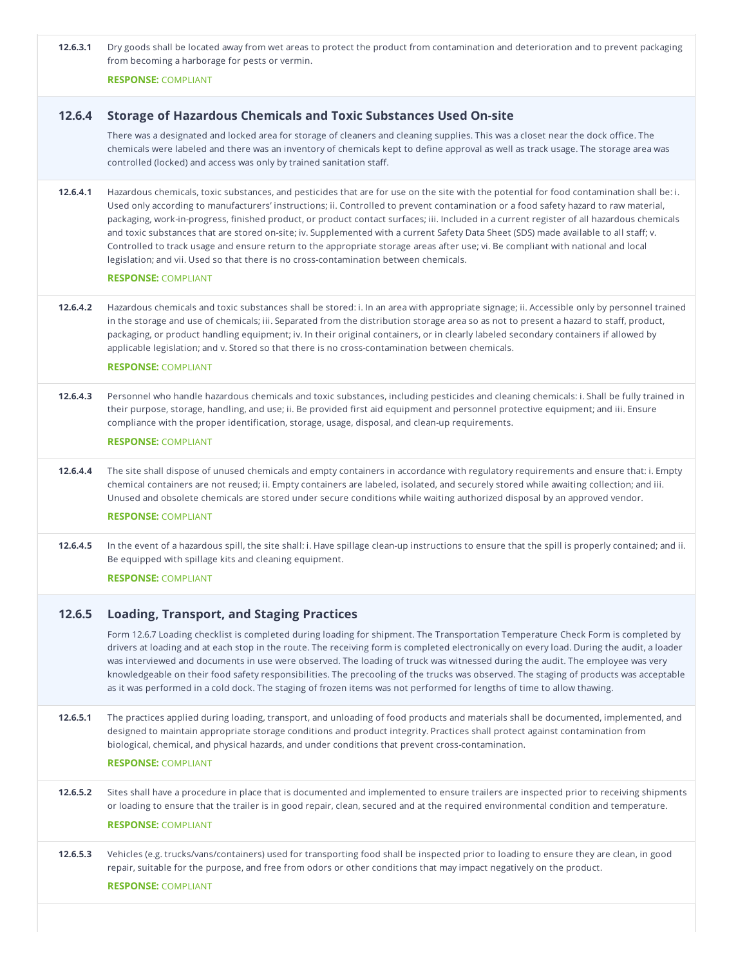**12.6.3.1** Dry goods shall be located away from wet areas to protect the product from contamination and deterioration and to prevent packaging from becoming a harborage for pests or vermin.

**RESPONSE:** COMPLIANT

### **12.6.4 Storage of Hazardous Chemicals and Toxic Substances Used On-site**

There was a designated and locked area for storage of cleaners and cleaning supplies. This was a closet near the dock office. The chemicals were labeled and there was an inventory of chemicals kept to define approval as well as track usage. The storage area was controlled (locked) and access was only by trained sanitation staff.

**12.6.4.1** Hazardous chemicals, toxic substances, and pesticides that are for use on the site with the potential for food contamination shall be: i. Used only according to manufacturers' instructions; ii. Controlled to prevent contamination or a food safety hazard to raw material, packaging, work-in-progress, finished product, or product contact surfaces; iii. Included in a current register of all hazardous chemicals and toxic substances that are stored on-site; iv. Supplemented with a current Safety Data Sheet (SDS) made available to all staff; v. Controlled to track usage and ensure return to the appropriate storage areas after use; vi. Be compliant with national and local legislation; and vii. Used so that there is no cross-contamination between chemicals.

### **RESPONSE:** COMPLIANT

**12.6.4.2** Hazardous chemicals and toxic substances shall be stored: i. In an area with appropriate signage; ii. Accessible only by personnel trained in the storage and use of chemicals; iii. Separated from the distribution storage area so as not to present a hazard to staff, product, packaging, or product handling equipment; iv. In their original containers, or in clearly labeled secondary containers if allowed by applicable legislation; and v.Stored so that there is no cross-contamination between chemicals.

#### **RESPONSE:** COMPLIANT

**12.6.4.3** Personnel who handle hazardous chemicals and toxic substances, including pesticides and cleaning chemicals: i. Shall be fully trained in their purpose, storage, handling, and use; ii. Be provided first aid equipment and personnel protective equipment; and iii. Ensure compliance with the proper identification, storage, usage, disposal, and clean-up requirements.

# **RESPONSE:** COMPLIANT

**12.6.4.4** The site shall dispose of unused chemicals and empty containers in accordance with regulatory requirements and ensure that: i. Empty chemical containers are not reused; ii. Empty containers are labeled, isolated, and securely stored while awaiting collection; and iii. Unused and obsolete chemicals are stored under secure conditions while waiting authorized disposal by an approved vendor.

### **RESPONSE:** COMPLIANT

**12.6.4.5** In the event of a hazardous spill, the site shall: i. Have spillage clean-up instructions to ensure that the spill is properly contained; and ii.<br>Be equipped with spillage kits and cleaning equipment.

**RESPONSE:** COMPLIANT

### **12.6.5 Loading, Transport, and Staging Practices**

Form 12.6.7 Loading checklist is completed during loading for shipment. The Transportation Temperature Check Form is completed by drivers at loading and at each stop in the route. The receiving form is completed electronically on every load. During the audit, a loader was interviewed and documents in use were observed. The loading of truck was witnessed during the audit. The employee was very knowledgeable on their food safety responsibilities. The precooling of the trucks was observed. The staging of products was acceptable as it was performed in a cold dock. The staging of frozen items was not performed for lengths of time to allow thawing.

**12.6.5.1** The practices applied during loading, transport, and unloading of food products and materials shall be documented, implemented, and designed to maintain appropriate storage conditions and product integrity. Practices shall protect against contamination from biological, chemical, and physical hazards, and under conditions that prevent cross-contamination.

### **RESPONSE:** COMPLIANT

- **12.6.5.2** Sites shall have a procedure in place that is documented and implemented to ensure trailers are inspected prior to receiving shipments or loading to ensure that the trailer is in good repair, clean, secured and at the required environmental condition and temperature. **RESPONSE:** COMPLIANT
- **12.6.5.3** Vehicles (e.g. trucks/vans/containers) used for transporting food shall be inspected prior to loading to ensure they are clean, in good repair, suitable for the purpose, and free from odors or other conditions that may impact negatively on the product.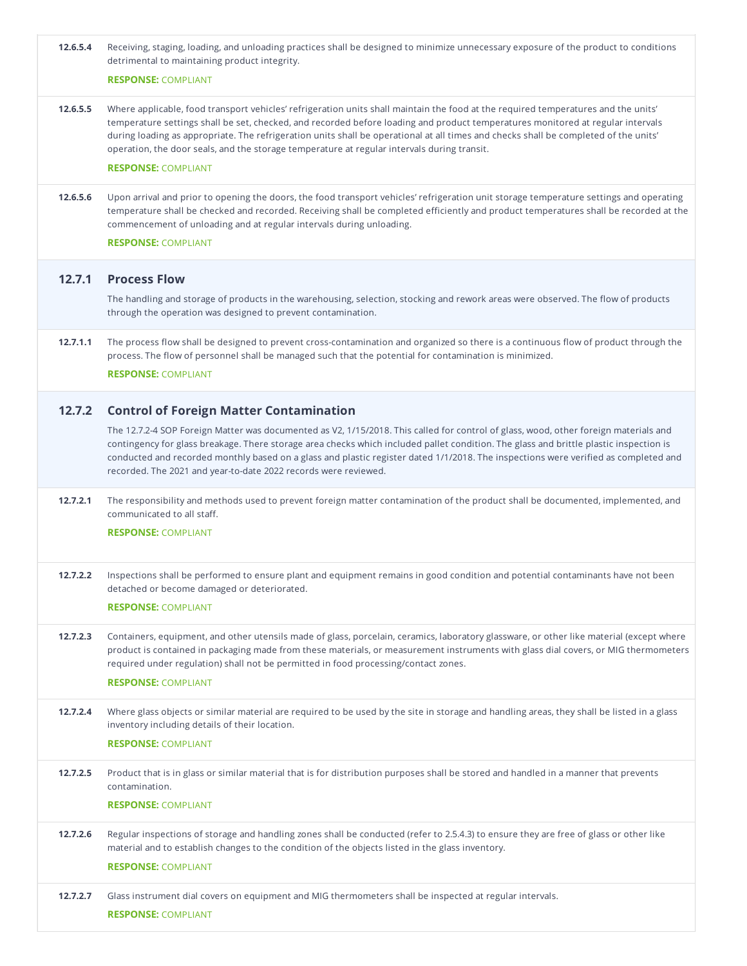| 12.6.5.4 | Receiving, staging, loading, and unloading practices shall be designed to minimize unnecessary exposure of the product to conditions<br>detrimental to maintaining product integrity.<br><b>RESPONSE: COMPLIANT</b>                                                                                                                                                                                                                                                                                                                        |
|----------|--------------------------------------------------------------------------------------------------------------------------------------------------------------------------------------------------------------------------------------------------------------------------------------------------------------------------------------------------------------------------------------------------------------------------------------------------------------------------------------------------------------------------------------------|
| 12.6.5.5 | Where applicable, food transport vehicles' refrigeration units shall maintain the food at the required temperatures and the units'<br>temperature settings shall be set, checked, and recorded before loading and product temperatures monitored at regular intervals<br>during loading as appropriate. The refrigeration units shall be operational at all times and checks shall be completed of the units'<br>operation, the door seals, and the storage temperature at regular intervals during transit.<br><b>RESPONSE: COMPLIANT</b> |
| 12.6.5.6 | Upon arrival and prior to opening the doors, the food transport vehicles' refrigeration unit storage temperature settings and operating<br>temperature shall be checked and recorded. Receiving shall be completed efficiently and product temperatures shall be recorded at the<br>commencement of unloading and at regular intervals during unloading.<br><b>RESPONSE: COMPLIANT</b>                                                                                                                                                     |
| 12.7.1   | <b>Process Flow</b>                                                                                                                                                                                                                                                                                                                                                                                                                                                                                                                        |
|          | The handling and storage of products in the warehousing, selection, stocking and rework areas were observed. The flow of products<br>through the operation was designed to prevent contamination.                                                                                                                                                                                                                                                                                                                                          |
| 12.7.1.1 | The process flow shall be designed to prevent cross-contamination and organized so there is a continuous flow of product through the<br>process. The flow of personnel shall be managed such that the potential for contamination is minimized.<br><b>RESPONSE: COMPLIANT</b>                                                                                                                                                                                                                                                              |
|          |                                                                                                                                                                                                                                                                                                                                                                                                                                                                                                                                            |
| 12.7.2   | <b>Control of Foreign Matter Contamination</b>                                                                                                                                                                                                                                                                                                                                                                                                                                                                                             |
|          | The 12.7.2-4 SOP Foreign Matter was documented as V2, 1/15/2018. This called for control of glass, wood, other foreign materials and<br>contingency for glass breakage. There storage area checks which included pallet condition. The glass and brittle plastic inspection is<br>conducted and recorded monthly based on a glass and plastic register dated 1/1/2018. The inspections were verified as completed and<br>recorded. The 2021 and year-to-date 2022 records were reviewed.                                                   |
| 12.7.2.1 | The responsibility and methods used to prevent foreign matter contamination of the product shall be documented, implemented, and<br>communicated to all staff.                                                                                                                                                                                                                                                                                                                                                                             |
|          | <b>RESPONSE: COMPLIANT</b>                                                                                                                                                                                                                                                                                                                                                                                                                                                                                                                 |
| 12.7.2.2 | Inspections shall be performed to ensure plant and equipment remains in good condition and potential contaminants have not been<br>detached or become damaged or deteriorated.                                                                                                                                                                                                                                                                                                                                                             |
|          | <b>RESPONSE: COMPLIANT</b>                                                                                                                                                                                                                                                                                                                                                                                                                                                                                                                 |
| 12.7.2.3 | Containers, equipment, and other utensils made of glass, porcelain, ceramics, laboratory glassware, or other like material (except where<br>product is contained in packaging made from these materials, or measurement instruments with glass dial covers, or MIG thermometers<br>required under regulation) shall not be permitted in food processing/contact zones.                                                                                                                                                                     |
|          | <b>RESPONSE: COMPLIANT</b>                                                                                                                                                                                                                                                                                                                                                                                                                                                                                                                 |
| 12.7.2.4 | Where glass objects or similar material are required to be used by the site in storage and handling areas, they shall be listed in a glass<br>inventory including details of their location.                                                                                                                                                                                                                                                                                                                                               |
|          | <b>RESPONSE: COMPLIANT</b>                                                                                                                                                                                                                                                                                                                                                                                                                                                                                                                 |
| 12.7.2.5 | Product that is in glass or similar material that is for distribution purposes shall be stored and handled in a manner that prevents<br>contamination.                                                                                                                                                                                                                                                                                                                                                                                     |
|          | <b>RESPONSE: COMPLIANT</b>                                                                                                                                                                                                                                                                                                                                                                                                                                                                                                                 |
| 12.7.2.6 | Regular inspections of storage and handling zones shall be conducted (refer to 2.5.4.3) to ensure they are free of glass or other like<br>material and to establish changes to the condition of the objects listed in the glass inventory.                                                                                                                                                                                                                                                                                                 |
|          | <b>RESPONSE: COMPLIANT</b>                                                                                                                                                                                                                                                                                                                                                                                                                                                                                                                 |
| 12.7.2.7 | Glass instrument dial covers on equipment and MIG thermometers shall be inspected at regular intervals.                                                                                                                                                                                                                                                                                                                                                                                                                                    |
|          | <b>RESPONSE: COMPLIANT</b>                                                                                                                                                                                                                                                                                                                                                                                                                                                                                                                 |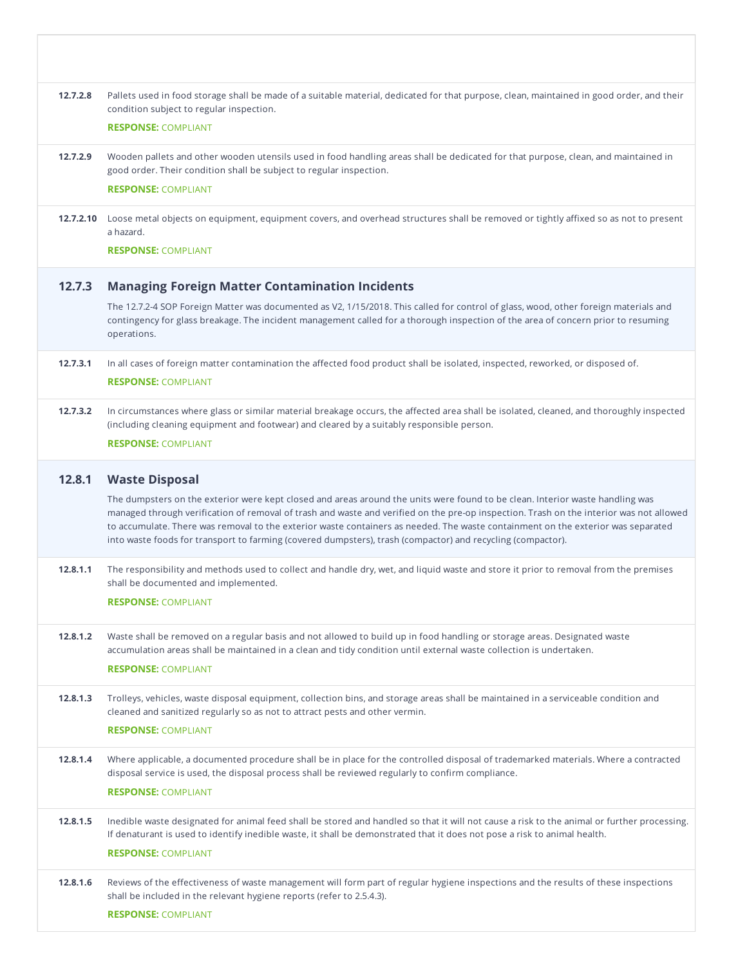| 12.7.2.8 | Pallets used in food storage shall be made of a suitable material, dedicated for that purpose, clean, maintained in good order, and their<br>condition subject to regular inspection.                                                                                                                                                                                                                                                                                                                                                                |
|----------|------------------------------------------------------------------------------------------------------------------------------------------------------------------------------------------------------------------------------------------------------------------------------------------------------------------------------------------------------------------------------------------------------------------------------------------------------------------------------------------------------------------------------------------------------|
|          | <b>RESPONSE: COMPLIANT</b>                                                                                                                                                                                                                                                                                                                                                                                                                                                                                                                           |
| 12.7.2.9 | Wooden pallets and other wooden utensils used in food handling areas shall be dedicated for that purpose, clean, and maintained in<br>good order. Their condition shall be subject to regular inspection.<br><b>RESPONSE: COMPLIANT</b>                                                                                                                                                                                                                                                                                                              |
|          | 12.7.2.10 Loose metal objects on equipment, equipment covers, and overhead structures shall be removed or tightly affixed so as not to present                                                                                                                                                                                                                                                                                                                                                                                                       |
|          | a hazard.                                                                                                                                                                                                                                                                                                                                                                                                                                                                                                                                            |
|          | <b>RESPONSE: COMPLIANT</b>                                                                                                                                                                                                                                                                                                                                                                                                                                                                                                                           |
| 12.7.3   | <b>Managing Foreign Matter Contamination Incidents</b>                                                                                                                                                                                                                                                                                                                                                                                                                                                                                               |
|          | The 12.7.2-4 SOP Foreign Matter was documented as V2, 1/15/2018. This called for control of glass, wood, other foreign materials and<br>contingency for glass breakage. The incident management called for a thorough inspection of the area of concern prior to resuming<br>operations.                                                                                                                                                                                                                                                             |
| 12.7.3.1 | In all cases of foreign matter contamination the affected food product shall be isolated, inspected, reworked, or disposed of.<br><b>RESPONSE: COMPLIANT</b>                                                                                                                                                                                                                                                                                                                                                                                         |
| 12.7.3.2 | In circumstances where glass or similar material breakage occurs, the affected area shall be isolated, cleaned, and thoroughly inspected<br>(including cleaning equipment and footwear) and cleared by a suitably responsible person.                                                                                                                                                                                                                                                                                                                |
|          | <b>RESPONSE: COMPLIANT</b>                                                                                                                                                                                                                                                                                                                                                                                                                                                                                                                           |
| 12.8.1   |                                                                                                                                                                                                                                                                                                                                                                                                                                                                                                                                                      |
|          | <b>Waste Disposal</b><br>The dumpsters on the exterior were kept closed and areas around the units were found to be clean. Interior waste handling was<br>managed through verification of removal of trash and waste and verified on the pre-op inspection. Trash on the interior was not allowed<br>to accumulate. There was removal to the exterior waste containers as needed. The waste containment on the exterior was separated<br>into waste foods for transport to farming (covered dumpsters), trash (compactor) and recycling (compactor). |
| 12.8.1.1 | The responsibility and methods used to collect and handle dry, wet, and liquid waste and store it prior to removal from the premises<br>shall be documented and implemented.                                                                                                                                                                                                                                                                                                                                                                         |
|          | <b>RESPONSE: COMPLIANT</b>                                                                                                                                                                                                                                                                                                                                                                                                                                                                                                                           |
| 12.8.1.2 | Waste shall be removed on a regular basis and not allowed to build up in food handling or storage areas. Designated waste<br>accumulation areas shall be maintained in a clean and tidy condition until external waste collection is undertaken.<br><b>RESPONSE: COMPLIANT</b>                                                                                                                                                                                                                                                                       |
| 12.8.1.3 | Trolleys, vehicles, waste disposal equipment, collection bins, and storage areas shall be maintained in a serviceable condition and<br>cleaned and sanitized regularly so as not to attract pests and other vermin.                                                                                                                                                                                                                                                                                                                                  |
|          | <b>RESPONSE: COMPLIANT</b>                                                                                                                                                                                                                                                                                                                                                                                                                                                                                                                           |
| 12.8.1.4 | Where applicable, a documented procedure shall be in place for the controlled disposal of trademarked materials. Where a contracted<br>disposal service is used, the disposal process shall be reviewed regularly to confirm compliance.                                                                                                                                                                                                                                                                                                             |
|          | <b>RESPONSE: COMPLIANT</b>                                                                                                                                                                                                                                                                                                                                                                                                                                                                                                                           |
| 12.8.1.5 | Inedible waste designated for animal feed shall be stored and handled so that it will not cause a risk to the animal or further processing.<br>If denaturant is used to identify inedible waste, it shall be demonstrated that it does not pose a risk to animal health.                                                                                                                                                                                                                                                                             |
|          | <b>RESPONSE: COMPLIANT</b>                                                                                                                                                                                                                                                                                                                                                                                                                                                                                                                           |
| 12.8.1.6 | Reviews of the effectiveness of waste management will form part of regular hygiene inspections and the results of these inspections<br>shall be included in the relevant hygiene reports (refer to 2.5.4.3).                                                                                                                                                                                                                                                                                                                                         |
|          | <b>RESPONSE: COMPLIANT</b>                                                                                                                                                                                                                                                                                                                                                                                                                                                                                                                           |
|          |                                                                                                                                                                                                                                                                                                                                                                                                                                                                                                                                                      |